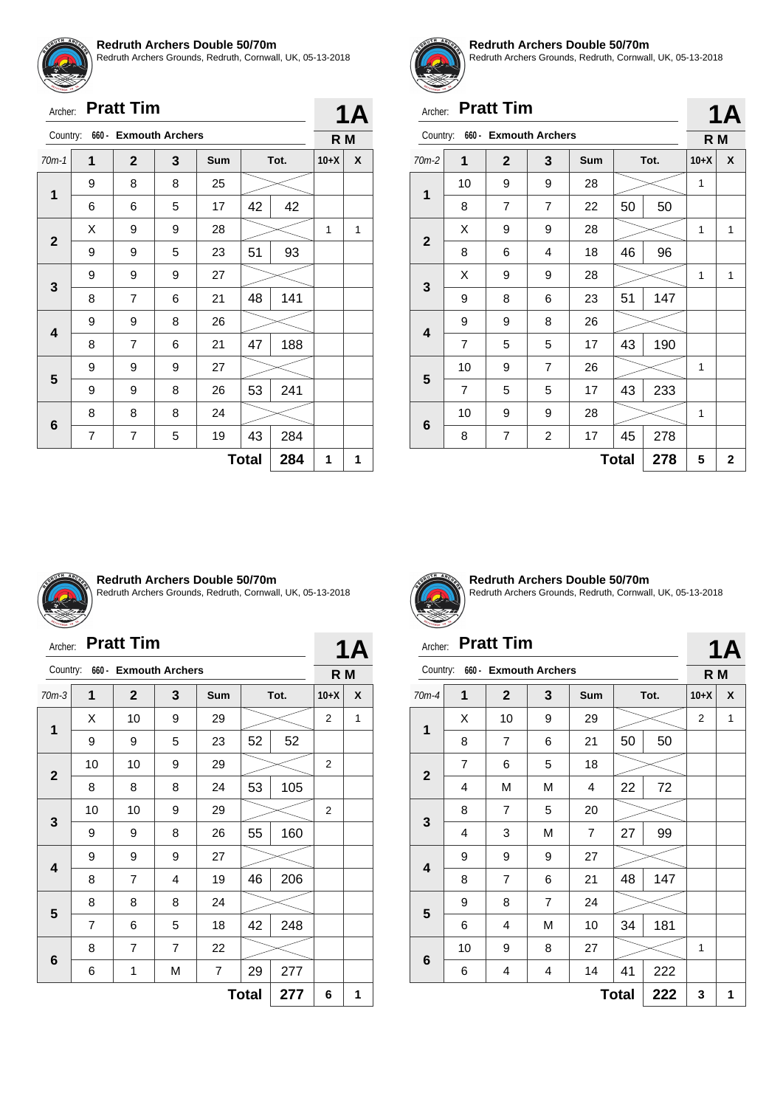

Redruth Archers Grounds, Redruth, Cornwall, UK, 05-13-2018

|                         | <b>Pratt Tim</b><br>Archer: |                |                       |            |              |      |        |   |
|-------------------------|-----------------------------|----------------|-----------------------|------------|--------------|------|--------|---|
| Country:                |                             |                | 660 - Exmouth Archers |            |              |      | R M    |   |
| $70m-1$                 | 1                           | $\mathbf{2}$   | 3                     | <b>Sum</b> |              | Tot. | $10+X$ | X |
| 1                       | 9                           | 8              | 8                     | 25         |              |      |        |   |
|                         | 6                           | 6              | 5                     | 17         | 42           | 42   |        |   |
| $\mathbf{2}$            | Χ                           | 9              | 9                     | 28         |              |      | 1      | 1 |
|                         | 9                           | 9              | 5                     | 23         | 51           | 93   |        |   |
|                         | 9                           | 9              | 9                     | 27         |              |      |        |   |
| 3                       | 8                           | 7              | 6                     | 21         | 48           | 141  |        |   |
| $\overline{\mathbf{4}}$ | 9                           | 9              | 8                     | 26         |              |      |        |   |
|                         | 8                           | $\overline{7}$ | 6                     | 21         | 47           | 188  |        |   |
|                         | 9                           | 9              | 9                     | 27         |              |      |        |   |
| 5                       | 9                           | 9              | 8                     | 26         | 53           | 241  |        |   |
|                         | 8                           | 8              | 8                     | 24         |              |      |        |   |
| 6                       | 7                           | 7              | 5                     | 19         | 43           | 284  |        |   |
|                         |                             |                |                       |            | <b>Total</b> | 284  | 1      | 1 |



#### **Redruth Archers Double 50/70m**

Redruth Archers Grounds, Redruth, Cornwall, UK, 05-13-2018

**1A**

**1A**

# Archer: **Pratt Tim**

| Country:     |    | 660 - Exmouth Archers |                |     |              |      | R M    |                         |  |  |
|--------------|----|-----------------------|----------------|-----|--------------|------|--------|-------------------------|--|--|
| $70m-2$      | 1  | $\mathbf{2}$          | 3              | Sum |              | Tot. | $10+X$ | X                       |  |  |
| $\mathbf{1}$ | 10 | 9                     | 9              | 28  |              |      | 1      |                         |  |  |
|              | 8  | $\overline{7}$        | 7              | 22  | 50           | 50   |        |                         |  |  |
|              | Χ  | 9                     | 9              | 28  |              |      | 1      | 1                       |  |  |
| $\mathbf{2}$ | 8  | 6                     | 4              | 18  | 46           | 96   |        |                         |  |  |
| 3            | X  | 9                     | 9              | 28  |              |      | 1      | 1                       |  |  |
|              | 9  | 8                     | 6              | 23  | 51           | 147  |        |                         |  |  |
| 4            | 9  | 9                     | 8              | 26  |              |      |        |                         |  |  |
|              | 7  | 5                     | 5              | 17  | 43           | 190  |        |                         |  |  |
| 5            | 10 | 9                     | 7              | 26  |              |      | 1      |                         |  |  |
|              | 7  | 5                     | 5              | 17  | 43           | 233  |        |                         |  |  |
| 6            | 10 | 9                     | 9              | 28  |              |      | 1      |                         |  |  |
|              | 8  | 7                     | $\overline{c}$ | 17  | 45           | 278  |        |                         |  |  |
|              |    |                       |                |     | <b>Total</b> | 278  | 5      | $\overline{\mathbf{2}}$ |  |  |



#### **Redruth Archers Double 50/70m**

Redruth Archers Grounds, Redruth, Cornwall, UK, 05-13-2018

# Archer: **Pratt Tim**

|                     | <b>Pratt Tim</b><br>Archer: |                        |                |            |    |      |                |   |  |
|---------------------|-----------------------------|------------------------|----------------|------------|----|------|----------------|---|--|
| Country:            | $660 -$                     | <b>Exmouth Archers</b> |                |            |    |      | 1A<br>R M      |   |  |
| $70m-3$             | 1                           | $\mathbf{2}$           | 3              | <b>Sum</b> |    | Tot. | $10+X$         | X |  |
| 1                   | X                           | 10                     | 9              | 29         |    |      | 2              | 1 |  |
|                     | 9                           | 9                      | 5              | 23         | 52 | 52   |                |   |  |
| $\mathbf{2}$        | 10                          | 10                     | 9              | 29         |    |      | $\overline{2}$ |   |  |
|                     | 8                           | 8                      | 8              | 24         | 53 | 105  |                |   |  |
| 3                   | 10                          | 10                     | 9              | 29         |    |      | 2              |   |  |
|                     | 9                           | 9                      | 8              | 26         | 55 | 160  |                |   |  |
| 4                   | 9                           | 9                      | 9              | 27         |    |      |                |   |  |
|                     | 8                           | $\overline{7}$         | 4              | 19         | 46 | 206  |                |   |  |
| 5                   | 8                           | 8                      | 8              | 24         |    |      |                |   |  |
|                     | 7                           | 6                      | 5              | 18         | 42 | 248  |                |   |  |
| 6                   | 8                           | $\overline{7}$         | $\overline{7}$ | 22         |    |      |                |   |  |
|                     | 6                           | 1                      | М              | 7          | 29 | 277  |                |   |  |
| <b>Total</b><br>277 |                             |                        |                |            |    |      |                | 1 |  |



**Redruth Archers Double 50/70m** Redruth Archers Grounds, Redruth, Cornwall, UK, 05-13-2018

# Archer: **Pratt Tim**

| Country:                |                | 660 - Exmouth Archers |   |                |              |      | R M            |   |
|-------------------------|----------------|-----------------------|---|----------------|--------------|------|----------------|---|
| 70m-4                   | 1              | $\overline{2}$        | 3 | Sum            |              | Tot. | $10+X$         | X |
|                         | X              | 10                    | 9 | 29             |              |      | $\overline{2}$ | 1 |
| 1                       | 8              | $\overline{7}$        | 6 | 21             | 50           | 50   |                |   |
|                         | $\overline{7}$ | 6                     | 5 | 18             |              |      |                |   |
| $\mathbf{2}$            | 4              | M                     | M | 4              | 22           | 72   |                |   |
| 3                       | 8              | $\overline{7}$        | 5 | 20             |              |      |                |   |
|                         | 4              | 3                     | M | $\overline{7}$ | 27           | 99   |                |   |
|                         | 9              | 9                     | 9 | 27             |              |      |                |   |
| $\overline{\mathbf{4}}$ | 8              | 7                     | 6 | 21             | 48           | 147  |                |   |
|                         | 9              | 8                     | 7 | 24             |              |      |                |   |
| 5                       | 6              | 4                     | M | 10             | 34           | 181  |                |   |
|                         | 10             | 9                     | 8 | 27             |              |      | 1              |   |
| 6                       | 6              | 4                     | 4 | 14             | 41           | 222  |                |   |
|                         |                |                       |   |                | <b>Total</b> | 222  | 3              | 1 |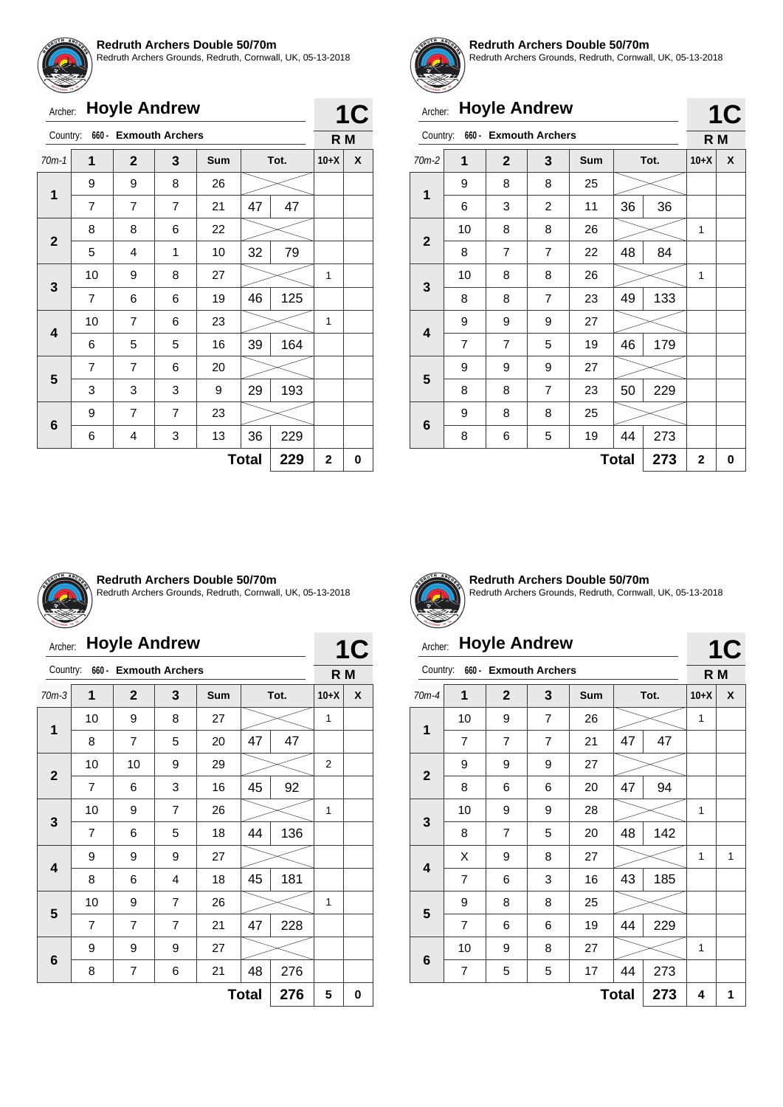

Redruth Archers Grounds, Redruth, Cornwall, UK, 05-13-2018

| <b>SET WY EMILY 18 19</b> |                      |  |
|---------------------------|----------------------|--|
|                           | Archer: Hoyle Andrew |  |

| Archer:      |                                |                | <b>Hoyle Andrew</b> |            |              |      |                | <b>1C</b> |
|--------------|--------------------------------|----------------|---------------------|------------|--------------|------|----------------|-----------|
|              | Country: 660 - Exmouth Archers |                |                     |            |              |      | R <sub>M</sub> |           |
| $70m-1$      | 1                              | $\mathbf{2}$   | 3                   | <b>Sum</b> |              | Tot. | $10+X$         | X         |
| 1            | 9                              | 9              | 8                   | 26         |              |      |                |           |
|              | 7                              | 7              | 7                   | 21         | 47           | 47   |                |           |
|              | 8                              | 8              | 6                   | 22         |              |      |                |           |
| $\mathbf{2}$ | 5                              | 4              | 1                   | 10         | 32           | 79   |                |           |
|              | 10                             | 9              | 8                   | 27         |              |      | 1              |           |
| 3            | $\overline{7}$                 | 6              | 6                   | 19         | 46           | 125  |                |           |
|              | 10                             | $\overline{7}$ | 6                   | 23         |              |      | 1              |           |
| 4            | 6                              | 5              | 5                   | 16         | 39           | 164  |                |           |
|              | 7                              | $\overline{7}$ | 6                   | 20         |              |      |                |           |
| 5            | 3                              | 3              | 3                   | 9          | 29           | 193  |                |           |
|              | 9                              | 7              | 7                   | 23         |              |      |                |           |
| 6            | 6                              | 4              | 3                   | 13         | 36           | 229  |                |           |
|              |                                |                |                     |            | <b>Total</b> | 229  | $\mathbf 2$    | 0         |



#### **Redruth Archers Double 50/70m**

Redruth Archers Grounds, Redruth, Cornwall, UK, 05-13-2018

**1C**

**1C**

# Archer: **Hoyle Andrew**

|             |    | ' '                   |                |            |              |      |              |   |
|-------------|----|-----------------------|----------------|------------|--------------|------|--------------|---|
| Country:    |    | 660 - Exmouth Archers |                |            |              |      | R M          |   |
| $70m-2$     | 1  | $\mathbf 2$           | 3              | <b>Sum</b> |              | Tot. | $10+X$       | X |
| 1           | 9  | 8                     | 8              | 25         |              |      |              |   |
|             | 6  | 3                     | $\overline{2}$ | 11         | 36           | 36   |              |   |
| $\mathbf 2$ | 10 | 8                     | 8              | 26         |              |      | 1            |   |
|             | 8  | 7                     | $\overline{7}$ | 22         | 48           | 84   |              |   |
|             | 10 | 8                     | 8              | 26         |              |      | 1            |   |
| 3           | 8  | 8                     | $\overline{7}$ | 23         | 49           | 133  |              |   |
| 4           | 9  | 9                     | 9              | 27         |              |      |              |   |
|             | 7  | $\overline{7}$        | 5              | 19         | 46           | 179  |              |   |
| 5           | 9  | 9                     | 9              | 27         |              |      |              |   |
|             | 8  | 8                     | $\overline{7}$ | 23         | 50           | 229  |              |   |
|             | 9  | 8                     | 8              | 25         |              |      |              |   |
| 6           | 8  | 6                     | 5              | 19         | 44           | 273  |              |   |
|             |    |                       |                |            | <b>Total</b> | 273  | $\mathbf{2}$ | 0 |



#### **Redruth Archers Double 50/70m**

Redruth Archers Grounds, Redruth, Cornwall, UK, 05-13-2018

# Archer: **Hoyle Andrew**

|                     | Country:<br>660 - Exmouth Archers |                |                |            |    |      |        | R M |
|---------------------|-----------------------------------|----------------|----------------|------------|----|------|--------|-----|
| $70m-3$             | 1                                 | $\overline{2}$ | 3              | <b>Sum</b> |    | Tot. | $10+X$ | X   |
|                     | 10                                | 9              | 8              | 27         |    |      | 1      |     |
| 1                   | 8                                 | 7              | 5              | 20         | 47 | 47   |        |     |
| $\overline{2}$      | 10                                | 10             | 9              | 29         |    |      | 2      |     |
|                     | 7                                 | 6              | 3              | 16         | 45 | 92   |        |     |
| 3                   | 10                                | 9              | $\overline{7}$ | 26         |    |      | 1      |     |
|                     | 7                                 | 6              | 5              | 18         | 44 | 136  |        |     |
| 4                   | 9                                 | 9              | 9              | 27         |    |      |        |     |
|                     | 8                                 | 6              | 4              | 18         | 45 | 181  |        |     |
| 5                   | 10                                | 9              | $\overline{7}$ | 26         |    |      | 1      |     |
|                     | 7                                 | $\overline{7}$ | $\overline{7}$ | 21         | 47 | 228  |        |     |
| 6                   | 9                                 | 9              | 9              | 27         |    |      |        |     |
|                     | 8                                 | $\overline{7}$ | 6              | 21         | 48 | 276  |        |     |
| <b>Total</b><br>276 |                                   |                |                |            |    |      |        | 0   |



**1C**

**Redruth Archers Double 50/70m** Redruth Archers Grounds, Redruth, Cornwall, UK, 05-13-2018

# Archer: **Hoyle Andrew**

| Country:                |                     | 660 - Exmouth Archers |                |            |    |      | R M    |   |  |
|-------------------------|---------------------|-----------------------|----------------|------------|----|------|--------|---|--|
| $70m-4$                 | 1                   | $\mathbf{2}$          | 3              | <b>Sum</b> |    | Tot. | $10+X$ | X |  |
| 1                       | 10                  | 9                     | 7              | 26         |    |      | 1      |   |  |
|                         | $\overline{7}$      | $\overline{7}$        | $\overline{7}$ | 21         | 47 | 47   |        |   |  |
|                         | 9                   | 9                     | 9              | 27         |    |      |        |   |  |
| $\mathbf{2}$            | 8                   | 6                     | 6              | 20         | 47 | 94   |        |   |  |
| 3                       | 10                  | 9                     | 9              | 28         |    |      | 1      |   |  |
|                         | 8                   | $\overline{7}$        | 5              | 20         | 48 | 142  |        |   |  |
| $\overline{\mathbf{4}}$ | X                   | 9                     | 8              | 27         |    |      | 1      | 1 |  |
|                         | 7                   | 6                     | 3              | 16         | 43 | 185  |        |   |  |
|                         | 9                   | 8                     | 8              | 25         |    |      |        |   |  |
| 5                       | $\overline{7}$      | 6                     | 6              | 19         | 44 | 229  |        |   |  |
|                         | 10                  | 9                     | 8              | 27         |    |      | 1      |   |  |
| 6                       | 7                   | 5                     | 5              | 17         | 44 | 273  |        |   |  |
|                         | <b>Total</b><br>273 |                       |                |            |    |      |        | 1 |  |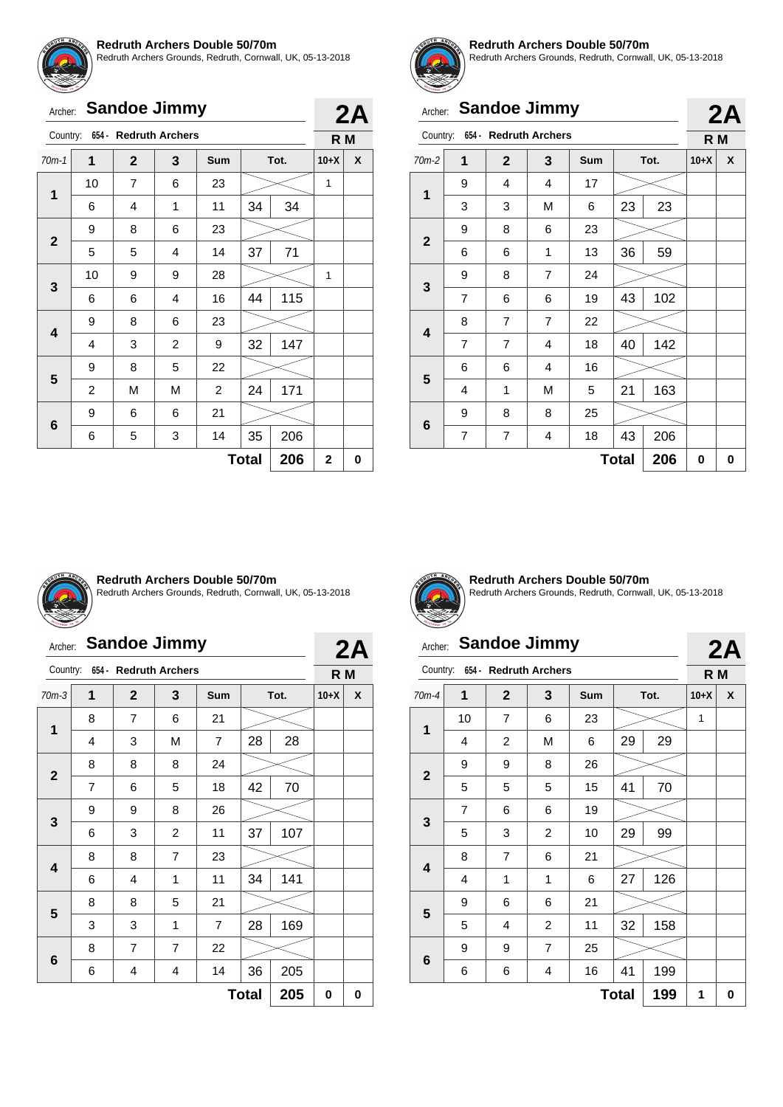

Redruth Archers Grounds, Redruth, Cornwall, UK, 05-13-2018

|  | Archer: Sandoe Jimmy           |  |  |
|--|--------------------------------|--|--|
|  | Country: 654 - Redruth Archers |  |  |
|  |                                |  |  |

| $70m-1$                 | $\mathbf 1$             | $\mathbf{2}$   | $\mathbf{3}$   | <b>Sum</b>     |              | Tot. | $10+X$                  | X |
|-------------------------|-------------------------|----------------|----------------|----------------|--------------|------|-------------------------|---|
| $\mathbf 1$             | 10                      | $\overline{7}$ | 6              | 23             |              |      | $\mathbf{1}$            |   |
|                         | 6                       | 4              | 1              | 11             | 34           | 34   |                         |   |
| $\mathbf{2}$            | 9                       | 8              | 6              | 23             |              |      |                         |   |
|                         | 5                       | 5              | 4              | 14             | 37           | 71   |                         |   |
| 3                       | 10                      | 9              | 9              | 28             |              |      | 1                       |   |
|                         | 6                       | 6              | 4              | 16             | 44           | 115  |                         |   |
| $\overline{\mathbf{4}}$ | 9                       | 8              | 6              | 23             |              |      |                         |   |
|                         | 4                       | 3              | $\overline{c}$ | 9              | 32           | 147  |                         |   |
| 5                       | 9                       | 8              | 5              | 22             |              |      |                         |   |
|                         | $\overline{\mathbf{c}}$ | M              | M              | $\overline{c}$ | 24           | 171  |                         |   |
|                         | 9                       | 6              | 6              | 21             |              |      |                         |   |
| $\bf 6$                 | 6                       | 5              | 3              | 14             | 35           | 206  |                         |   |
|                         |                         |                |                |                | <b>Total</b> | 206  | $\overline{\mathbf{2}}$ | 0 |



**2A R M**

#### **Redruth Archers Double 50/70m**

Redruth Archers Grounds, Redruth, Cornwall, UK, 05-13-2018

**2A**

**2A**

# Archer: **Sandoe Jimmy**

|              |                |                       |                |            |              |      |        | Lr |
|--------------|----------------|-----------------------|----------------|------------|--------------|------|--------|----|
| Country:     |                | 654 - Redruth Archers |                |            |              |      | R M    |    |
| $70m-2$      | 1              | $\mathbf{2}$          | 3              | <b>Sum</b> |              | Tot. | $10+X$ | X  |
| 1            | 9              | 4                     | 4              | 17         |              |      |        |    |
|              | 3              | 3                     | M              | 6          | 23           | 23   |        |    |
| $\mathbf{2}$ | 9              | 8                     | 6              | 23         |              |      |        |    |
|              | 6              | 6                     | 1              | 13         | 36           | 59   |        |    |
|              | 9              | 8                     | $\overline{7}$ | 24         |              |      |        |    |
| 3            | $\overline{7}$ | 6                     | 6              | 19         | 43           | 102  |        |    |
| 4            | 8              | $\overline{7}$        | $\overline{7}$ | 22         |              |      |        |    |
|              | 7              | $\overline{7}$        | 4              | 18         | 40           | 142  |        |    |
|              | 6              | 6                     | 4              | 16         |              |      |        |    |
| 5            | 4              | 1                     | M              | 5          | 21           | 163  |        |    |
| 6            | 9              | 8                     | 8              | 25         |              |      |        |    |
|              | 7              | 7                     | 4              | 18         | 43           | 206  |        |    |
|              |                |                       |                |            | <b>Total</b> | 206  | 0      | 0  |



#### **Redruth Archers Double 50/70m**

Redruth Archers Grounds, Redruth, Cornwall, UK, 05-13-2018

# Archer: **Sandoe Jimmy**

| Country:     |   | 654 - Redruth Archers |                |                |              |      | R M    |   |
|--------------|---|-----------------------|----------------|----------------|--------------|------|--------|---|
| $70m-3$      | 1 | $\mathbf{2}$          | 3              | Sum            |              | Tot. | $10+X$ | X |
|              | 8 | 7                     | 6              | 21             |              |      |        |   |
| 1            | 4 | 3                     | M              | 7              | 28           | 28   |        |   |
|              | 8 | 8                     | 8              | 24             |              |      |        |   |
| $\mathbf{2}$ | 7 | 6                     | 5              | 18             | 42           | 70   |        |   |
|              | 9 | 9                     | 8              | 26             |              |      |        |   |
| 3            | 6 | 3                     | 2              | 11             | 37           | 107  |        |   |
|              | 8 | 8                     | $\overline{7}$ | 23             |              |      |        |   |
| 4            | 6 | 4                     | 1              | 11             | 34           | 141  |        |   |
|              | 8 | 8                     | 5              | 21             |              |      |        |   |
| 5            | 3 | 3                     | 1              | $\overline{7}$ | 28           | 169  |        |   |
|              | 8 | $\overline{7}$        | $\overline{7}$ | 22             |              |      |        |   |
| 6            | 6 | 4                     | 4              | 14             | 36           | 205  |        |   |
|              |   |                       |                |                | <b>Total</b> | 205  | 0      | 0 |



**2A**

**Redruth Archers Double 50/70m** Redruth Archers Grounds, Redruth, Cornwall, UK, 05-13-2018

# Archer: **Sandoe Jimmy**

| Country:                |    | 654 - Redruth Archers |                |     |              |      | R M          |   |
|-------------------------|----|-----------------------|----------------|-----|--------------|------|--------------|---|
| 70m-4                   | 1  | $\mathbf 2$           | 3              | Sum |              | Tot. | $10+X$       | X |
| $\mathbf 1$             | 10 | $\overline{7}$        | 6              | 23  |              |      | $\mathbf{1}$ |   |
|                         | 4  | 2                     | M              | 6   | 29           | 29   |              |   |
| $\mathbf{2}$            | 9  | 9                     | 8              | 26  |              |      |              |   |
|                         | 5  | 5                     | 5              | 15  | 41           | 70   |              |   |
|                         | 7  | 6                     | 6              | 19  |              |      |              |   |
| 3                       | 5  | 3                     | 2              | 10  | 29           | 99   |              |   |
|                         | 8  | $\overline{7}$        | 6              | 21  |              |      |              |   |
| $\overline{\mathbf{4}}$ | 4  | 1                     | 1              | 6   | 27           | 126  |              |   |
|                         | 9  | 6                     | 6              | 21  |              |      |              |   |
| 5                       | 5  | 4                     | 2              | 11  | 32           | 158  |              |   |
|                         | 9  | 9                     | $\overline{7}$ | 25  |              |      |              |   |
| 6                       | 6  | 6                     | 4              | 16  | 41           | 199  |              |   |
|                         |    |                       |                |     | <b>Total</b> | 199  | 1            | 0 |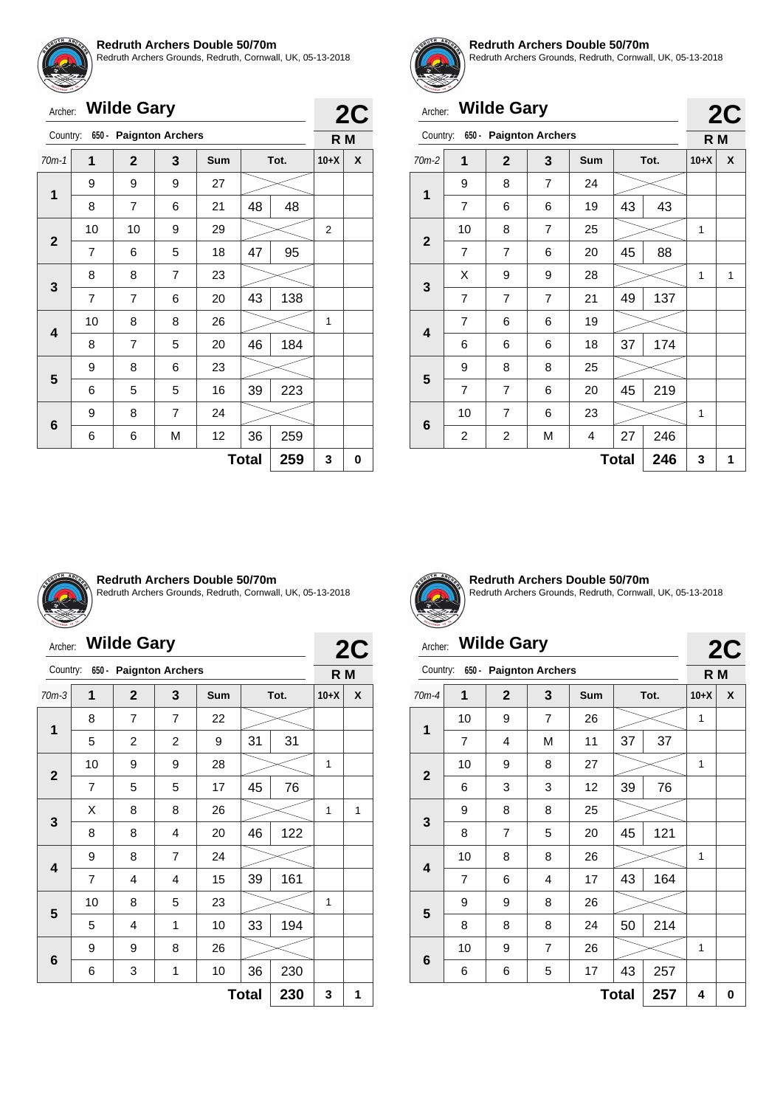

**1**

**2**

**3**

**4**

**5**

**6**

# **Redruth Archers Double 50/70m**

70m-1 **1 2 3 Sum Tot. 10+X X**

8 | 7 | 6 | 21 |48 | 48

7 | 6 | 5 | 18 | 47 | 95

7 | 7 | 6 | 20 |43 | 138

8 | 7 | 5 | 20 |46 | 184

6 5 5 16 39 223

6 | 6 | M | 12 | 36 | 259

10 | 8 | 8 | 26 |  $>$  | 1

10 | 10 | 9 | 29 |  $>$  | 2

ers Grounds, Redruth, Cornwall, UK, 05-13-2018

|         | <b>Redruth Archers Gr</b> |
|---------|---------------------------|
| Archer: | <b>Wilde Gary</b>         |

Country: **650 - Paignton Archers**

9 9 9 27

8 8 7 23

 $9 \mid 8 \mid 6 \mid 23$ 

9 | 8 | 7 | 24

**2C R M**

#### **Redruth Archers Double 50/70m**

Redruth Archers Grounds, Redruth, Cornwall, UK, 05-13-2018

**2C**

**2C**

# Archer: **Wilde Gary**

| Country:    |                         | 650 - Paignton Archers  |                |            |              |      | R M    |   |  |  |
|-------------|-------------------------|-------------------------|----------------|------------|--------------|------|--------|---|--|--|
| $70m-2$     | 1                       | $\overline{2}$          | 3              | <b>Sum</b> |              | Tot. | $10+X$ | X |  |  |
|             | 9                       | 8                       | $\overline{7}$ | 24         |              |      |        |   |  |  |
| 1           | 7                       | 6                       | 6              | 19         | 43           | 43   |        |   |  |  |
| $\mathbf 2$ | 10                      | 8                       | $\overline{7}$ | 25         |              |      | 1      |   |  |  |
|             | 7                       | 7                       | 6              | 20         | 45           | 88   |        |   |  |  |
|             | X                       | 9                       | 9              | 28         |              |      | 1      | 1 |  |  |
| 3           | $\overline{7}$          | $\overline{7}$          | $\overline{7}$ | 21         | 49           | 137  |        |   |  |  |
| 4           | 7                       | 6                       | 6              | 19         |              |      |        |   |  |  |
|             | 6                       | 6                       | 6              | 18         | 37           | 174  |        |   |  |  |
| 5           | 9                       | 8                       | 8              | 25         |              |      |        |   |  |  |
|             | 7                       | 7                       | 6              | 20         | 45           | 219  |        |   |  |  |
|             | 10                      | 7                       | 6              | 23         |              |      | 1      |   |  |  |
| 6           | $\overline{\mathbf{c}}$ | $\overline{\mathbf{c}}$ | М              | 4          | 27           | 246  |        |   |  |  |
|             |                         |                         |                |            | <b>Total</b> | 246  | 3      | 1 |  |  |



#### **Redruth Archers Double 50/70m**

Redruth Archers Grounds, Redruth, Cornwall, UK, 05-13-2018

 $Total | 259 | 3 | 0$ 

# Archer: **Wilde Gary**

|              | Country:<br>$650 -$<br><b>Paignton Archers</b> |                |                |     |              |      |        |   |  |
|--------------|------------------------------------------------|----------------|----------------|-----|--------------|------|--------|---|--|
|              |                                                |                |                |     |              |      | R M    |   |  |
| $70m-3$      | 1                                              | $\overline{2}$ | 3              | Sum |              | Tot. | $10+X$ | X |  |
|              | 8                                              | 7              | $\overline{7}$ | 22  |              |      |        |   |  |
| 1            | 5                                              | 2              | $\overline{c}$ | 9   | 31           | 31   |        |   |  |
|              | 10                                             | 9              | 9              | 28  |              |      | 1      |   |  |
| $\mathbf{2}$ | 7                                              | 5              | 5              | 17  | 45           | 76   |        |   |  |
|              | X                                              | 8              | 8              | 26  |              |      | 1      | 1 |  |
| 3            | 8                                              | 8              | 4              | 20  | 46           | 122  |        |   |  |
|              | 9                                              | 8              | $\overline{7}$ | 24  |              |      |        |   |  |
| 4            | 7                                              | 4              | 4              | 15  | 39           | 161  |        |   |  |
| 5            | 10                                             | 8              | 5              | 23  |              |      | 1      |   |  |
|              | 5                                              | 4              | 1              | 10  | 33           | 194  |        |   |  |
| 6            | 9                                              | 9              | 8              | 26  |              |      |        |   |  |
|              | 6                                              | 3              | 1              | 10  | 36           | 230  |        |   |  |
|              |                                                |                |                |     | <b>Total</b> | 230  | 3      | 1 |  |



**2C**

**Redruth Archers Double 50/70m** Redruth Archers Grounds, Redruth, Cornwall, UK, 05-13-2018

# Archer: **Wilde Gary**

|                |                |                |                         |     |              |      |        | LV |
|----------------|----------------|----------------|-------------------------|-----|--------------|------|--------|----|
| Country:       | 650 -          |                | <b>Paignton Archers</b> |     |              |      | R M    |    |
| $70m-4$        | 1              | $\overline{2}$ | 3                       | Sum |              | Tot. | $10+X$ | X  |
|                | 10             | 9              | 7                       | 26  |              |      | 1      |    |
| 1              | 7              | 4              | M                       | 11  | 37           | 37   |        |    |
| $\overline{2}$ | 10             | 9              | 8                       | 27  |              |      | 1      |    |
|                | 6              | 3              | 3                       | 12  | 39           | 76   |        |    |
|                | 9              | 8              | 8                       | 25  |              |      |        |    |
| 3              | 8              | $\overline{7}$ | 5                       | 20  | 45           | 121  |        |    |
|                | 10             | 8              | 8                       | 26  |              |      | 1      |    |
| 4              | $\overline{7}$ | 6              | 4                       | 17  | 43           | 164  |        |    |
|                | 9              | 9              | 8                       | 26  |              |      |        |    |
| 5              | 8              | 8              | 8                       | 24  | 50           | 214  |        |    |
|                | 10             | 9              | $\overline{7}$          | 26  |              |      | 1      |    |
| 6              | 6              | 6              | 5                       | 17  | 43           | 257  |        |    |
|                |                |                |                         |     | <b>Total</b> | 257  | 4      | 0  |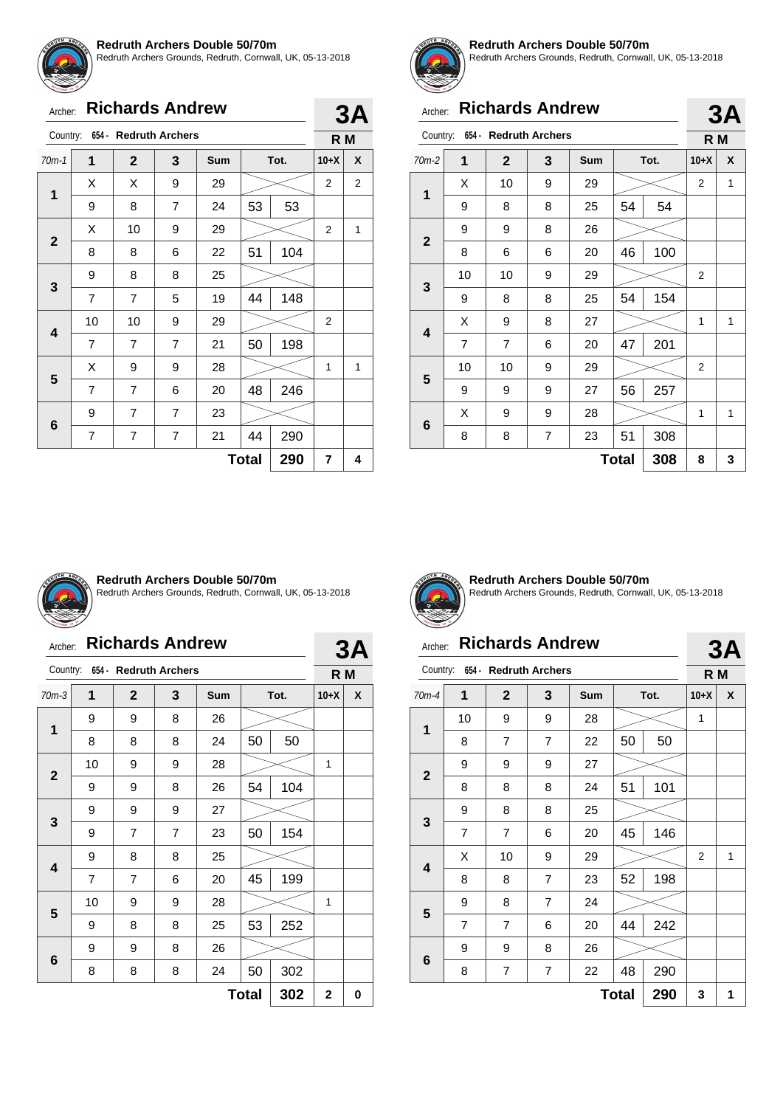

Redruth Archers Grounds, Redruth, Cornwall, UK, 05-13-2018

|  | Archer: Richards Andrew |  |
|--|-------------------------|--|
|--|-------------------------|--|

| Country:     |                     | 654 - Redruth Archers |                |     |          |      |                | R M |  |  |
|--------------|---------------------|-----------------------|----------------|-----|----------|------|----------------|-----|--|--|
| $70m-1$      | 1                   | $\overline{2}$        | 3              | Sum |          | Tot. | $10+X$         | X   |  |  |
| 1            | X                   | X                     | 9              | 29  |          |      | 2              | 2   |  |  |
|              | 9                   | 8                     | $\overline{7}$ | 24  | 53<br>53 |      |                |     |  |  |
| $\mathbf{2}$ | X                   | 10                    | 9              | 29  |          |      | 2              | 1   |  |  |
|              | 8                   | 8                     | 6              | 22  | 51       | 104  |                |     |  |  |
| 3            | 9                   | 8                     | 8              | 25  |          |      |                |     |  |  |
|              | 7                   | 7                     | 5              | 19  | 44       | 148  |                |     |  |  |
| 4            | 10                  | 10                    | 9              | 29  |          |      | $\overline{2}$ |     |  |  |
|              | 7                   | 7                     | $\overline{7}$ | 21  | 50       | 198  |                |     |  |  |
| 5            | X                   | 9                     | 9              | 28  |          |      | 1              | 1   |  |  |
|              | 7                   | 7                     | 6              | 20  | 48       | 246  |                |     |  |  |
|              | 9                   | 7                     | $\overline{7}$ | 23  |          |      |                |     |  |  |
| 6            | $\overline{7}$      | 7                     | 7              | 21  | 44       | 290  |                |     |  |  |
|              | 290<br><b>Total</b> |                       |                |     |          |      |                |     |  |  |



**3A**

#### **Redruth Archers Double 50/70m**

Redruth Archers Grounds, Redruth, Cornwall, UK, 05-13-2018

|              | <b>Richards Andrew</b><br>Archer: |                       |                |            |              |      |                | 3A  |  |
|--------------|-----------------------------------|-----------------------|----------------|------------|--------------|------|----------------|-----|--|
| Country:     |                                   | 654 - Redruth Archers |                |            |              |      |                | R M |  |
| $70m-2$      | 1                                 | $\overline{2}$        | 3              | <b>Sum</b> |              | Tot. | $10+X$         | X   |  |
| 1            | X                                 | 10                    | 9              | 29         |              |      | $\overline{2}$ | 1   |  |
|              | 9                                 | 8                     | 8              | 25         | 54           | 54   |                |     |  |
| $\mathbf{2}$ | 9                                 | 9                     | 8              | 26         |              |      |                |     |  |
|              | 8                                 | 6                     | 6              | 20         | 46           | 100  |                |     |  |
|              | 10                                | 10                    | 9              | 29         |              |      | 2              |     |  |
| 3            | 9                                 | 8                     | 8              | 25         | 54           | 154  |                |     |  |
|              | X                                 | 9                     | 8              | 27         |              |      | 1              | 1   |  |
| 4            | 7                                 | 7                     | 6              | 20         | 47           | 201  |                |     |  |
|              | 10                                | 10                    | 9              | 29         |              |      | 2              |     |  |
| 5            | 9                                 | 9                     | 9              | 27         | 56           | 257  |                |     |  |
|              | X                                 | 9                     | 9              | 28         |              |      | 1              | 1   |  |
| 6            | 8                                 | 8                     | $\overline{7}$ | 23         | 51           | 308  |                |     |  |
|              |                                   |                       |                |            | <b>Total</b> | 308  | 8              | 3   |  |



#### **Redruth Archers Double 50/70m**

Redruth Archers Grounds, Redruth, Cornwall, UK, 05-13-2018

### Archer: **Richards Andrew**

| Country:     |                | 654 - Redruth Archers |   |     |              |      | R M         |   |
|--------------|----------------|-----------------------|---|-----|--------------|------|-------------|---|
| $70m-3$      | 1              | $\mathbf{2}$          | 3 | Sum |              | Tot. | $10+X$      | X |
|              | 9              | 9                     | 8 | 26  |              |      |             |   |
| 1            | 8              | 8                     | 8 | 24  | 50           | 50   |             |   |
|              | 10             | 9                     | 9 | 28  |              |      | 1           |   |
| $\mathbf{2}$ | 9              | 9                     | 8 | 26  | 54           | 104  |             |   |
|              | 9              | 9                     | 9 | 27  |              |      |             |   |
| 3            | 9              | $\overline{7}$        | 7 | 23  | 50           | 154  |             |   |
|              | 9              | 8                     | 8 | 25  |              |      |             |   |
| 4            | $\overline{7}$ | $\overline{7}$        | 6 | 20  | 45           | 199  |             |   |
|              | 10             | 9                     | 9 | 28  |              |      | 1           |   |
| 5            | 9              | 8                     | 8 | 25  | 53           | 252  |             |   |
|              | 9              | 9                     | 8 | 26  |              |      |             |   |
| 6            | 8              | 8                     | 8 | 24  | 50           | 302  |             |   |
|              |                |                       |   |     | <b>Total</b> | 302  | $\mathbf 2$ | 0 |



**3A**

**Redruth Archers Double 50/70m** Redruth Archers Grounds, Redruth, Cornwall, UK, 05-13-2018

# Archer: **Richards Andrew**

# **3A**

| $654 -$<br><b>Redruth Archers</b><br>Country: |                |                |                |            | R M          |      |                |   |
|-----------------------------------------------|----------------|----------------|----------------|------------|--------------|------|----------------|---|
| $70m-4$                                       | 1              | $\mathbf{2}$   | 3              | <b>Sum</b> |              | Tot. | $10+X$         | X |
| $\mathbf{1}$                                  | 10             | 9              | 9              | 28         |              |      | 1              |   |
|                                               | 8              | $\overline{7}$ | $\overline{7}$ | 22         | 50           | 50   |                |   |
|                                               | 9              | 9              | 9              | 27         |              |      |                |   |
| $\mathbf{2}$                                  | 8              | 8              | 8              | 24         | 51           | 101  |                |   |
|                                               | 9              | 8              | 8              | 25         |              |      |                |   |
| 3                                             | $\overline{7}$ | 7              | 6              | 20         | 45           | 146  |                |   |
|                                               | X              | 10             | 9              | 29         |              |      | $\overline{2}$ | 1 |
| 4                                             | 8              | 8              | $\overline{7}$ | 23         | 52           | 198  |                |   |
|                                               | 9              | 8              | 7              | 24         |              |      |                |   |
| 5                                             | 7              | 7              | 6              | 20         | 44           | 242  |                |   |
|                                               | 9              | 9              | 8              | 26         |              |      |                |   |
| $6\phantom{1}6$                               | 8              | $\overline{7}$ | 7              | 22         | 48           | 290  |                |   |
|                                               |                |                |                |            | <b>Total</b> | 290  | 3              | 1 |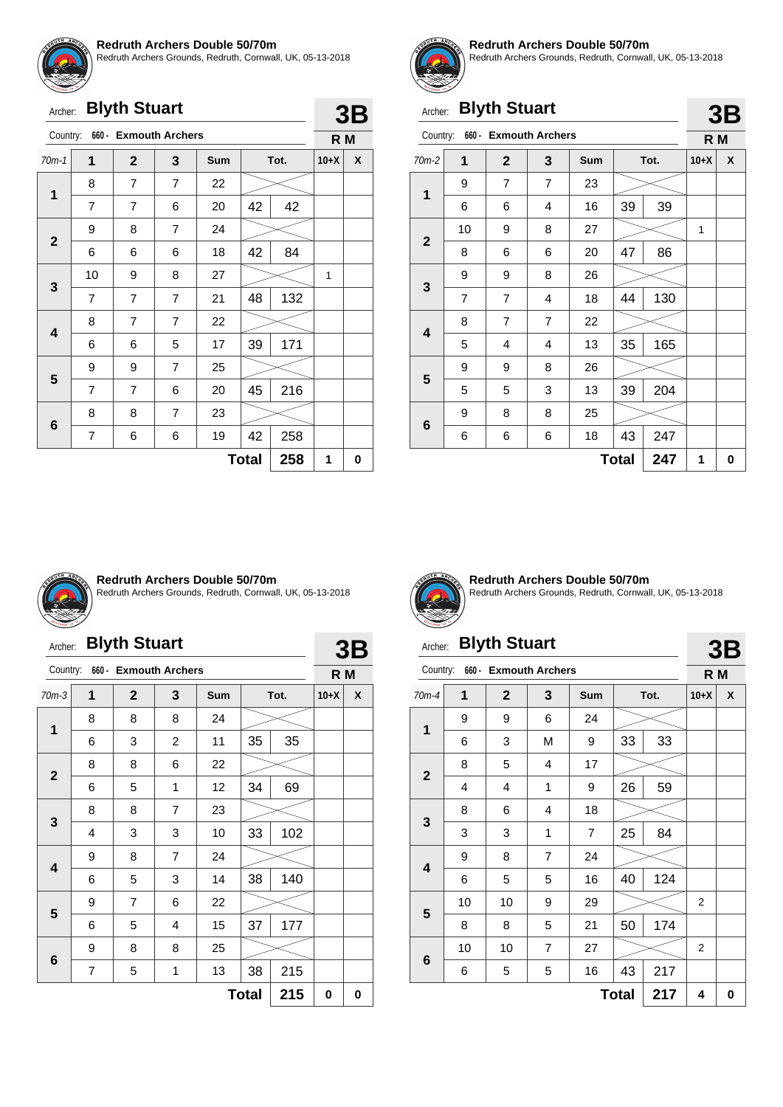

th Archers Grounds, Redruth, Cornwall, UK, 05-13-2018

| Redrutr |
|---------|
|         |
|         |
|         |

| Archer: Blyth Stuart |  |
|----------------------|--|
|----------------------|--|

| Country:                |                | 660 - Exmouth Archers |                |     |              |      | R M    |   |
|-------------------------|----------------|-----------------------|----------------|-----|--------------|------|--------|---|
| $70m-1$                 | 1              | $\mathbf{2}$          | 3              | Sum |              | Tot. | $10+X$ | X |
| $\mathbf 1$             | 8              | $\overline{7}$        | 7              | 22  |              |      |        |   |
|                         | $\overline{7}$ | 7                     | 6              | 20  | 42           | 42   |        |   |
|                         | 9              | 8                     | 7              | 24  |              |      |        |   |
| $\mathbf{2}$            | 6              | 6                     | 6              | 18  | 42           | 84   |        |   |
|                         | 10             | 9                     | 8              | 27  |              |      | 1      |   |
| 3                       | $\overline{7}$ | 7                     | $\overline{7}$ | 21  | 48           | 132  |        |   |
| $\overline{\mathbf{4}}$ | 8              | 7                     | $\overline{7}$ | 22  |              |      |        |   |
|                         | 6              | 6                     | 5              | 17  | 39           | 171  |        |   |
|                         | 9              | 9                     | $\overline{7}$ | 25  |              |      |        |   |
| 5                       | 7              | $\overline{7}$        | 6              | 20  | 45           | 216  |        |   |
|                         | 8              | 8                     | 7              | 23  |              |      |        |   |
| $6\phantom{1}6$         | 7              | 6                     | 6              | 19  | 42           | 258  |        |   |
|                         |                |                       |                |     | <b>Total</b> | 258  | 1      | 0 |



**3B**

#### **Redruth Archers Double 50/70m**

Redruth Archers Grounds, Redruth, Cornwall, UK, 05-13-2018

**3B**

# Archer: **Blyth Stuart**

|              |                |                       |                |            |              |      |        | ◡◡ |
|--------------|----------------|-----------------------|----------------|------------|--------------|------|--------|----|
| Country:     |                | 660 - Exmouth Archers |                |            |              |      | R M    |    |
| $70m-2$      | 1              | $\mathbf{2}$          | 3              | <b>Sum</b> |              | Tot. | $10+X$ | X  |
| $\mathbf{1}$ | 9              | 7                     | $\overline{7}$ | 23         |              |      |        |    |
|              | 6              | 6                     | 4              | 16         | 39           | 39   |        |    |
| $\mathbf{2}$ | 10             | 9                     | 8              | 27         |              |      | 1      |    |
|              | 8              | 6                     | 6              | 20         | 47           | 86   |        |    |
|              | 9              | 9                     | 8              | 26         |              |      |        |    |
| 3            | $\overline{7}$ | $\overline{7}$        | 4              | 18         | 44           | 130  |        |    |
| 4            | 8              | $\overline{7}$        | $\overline{7}$ | 22         |              |      |        |    |
|              | 5              | 4                     | 4              | 13         | 35           | 165  |        |    |
| 5            | 9              | 9                     | 8              | 26         |              |      |        |    |
|              | 5              | 5                     | 3              | 13         | 39           | 204  |        |    |
|              | 9              | 8                     | 8              | 25         |              |      |        |    |
| 6            | 6              | 6                     | 6              | 18         | 43           | 247  |        |    |
|              |                |                       |                |            | <b>Total</b> | 247  | 1      | 0  |



#### **Redruth Archers Double 50/70m**

Redruth Archers Grounds, Redruth, Cornwall, UK, 05-13-2018

# Archer: **Blyth Stuart**

| Archer:      |         | <b>Blyth Stuart</b>    |                |            |              |      |        | 3B |  |
|--------------|---------|------------------------|----------------|------------|--------------|------|--------|----|--|
| Country:     | $660 -$ | <b>Exmouth Archers</b> |                |            |              |      | R M    |    |  |
| $70m-3$      | 1       | $\mathbf{2}$           | 3              | <b>Sum</b> |              | Tot. | $10+X$ | X  |  |
| 1            | 8       | 8                      | 8              | 24         |              |      |        |    |  |
|              | 6       | 3                      | 2              | 11         | 35           | 35   |        |    |  |
| $\mathbf{2}$ | 8       | 8                      | 6              | 22         |              |      |        |    |  |
|              | 6       | 5                      | 1              | 12         | 34           | 69   |        |    |  |
|              | 8       | 8                      | $\overline{7}$ | 23         |              |      |        |    |  |
| 3            | 4       | 3                      | 3              | 10         | 33           | 102  |        |    |  |
|              | 9       | 8                      | $\overline{7}$ | 24         |              |      |        |    |  |
| 4            | 6       | 5                      | 3              | 14         | 38           | 140  |        |    |  |
|              | 9       | $\overline{7}$         | 6              | 22         |              |      |        |    |  |
| 5            | 6       | 5                      | 4              | 15         | 37           | 177  |        |    |  |
|              | 9       | 8                      | 8              | 25         |              |      |        |    |  |
| 6            | 7       | 5                      | 1              | 13         | 38           | 215  |        |    |  |
|              |         |                        |                |            | <b>Total</b> | 215  | 0      | 0  |  |



**Redruth Archers Double 50/70m** Redruth Archers Grounds, Redruth, Cornwall, UK, 05-13-2018

## Archer: **Blyth Stuart**

#### Country: **660 - Exmouth Archers 3B R M** 70m-4 **1 2 3 Sum Tot. 10+X X 1** 9 9 6 24 6 | 3 | M | 9 | 33 | 33 **2** 8 | 5 | 4 | 17 4 | 4 | 1 | 9 | 26 | 59 **3** 8 6 4 18 3 3 1 7 25 84 **4** 9 | 8 | 7 | 24 6 | 5 | 5 | 16 | 40 | 124 **5** 10 | 10 | 9 | 29 |  $\gg$  | 2 8 | 8 | 5 | 21 | 50 | 174 **6** 10 | 10 | 7 | 27 |  $\gg$  | 2 6 | 5 | 5 | 16 | 43 | 217  $Total | 217 | 4 | 0$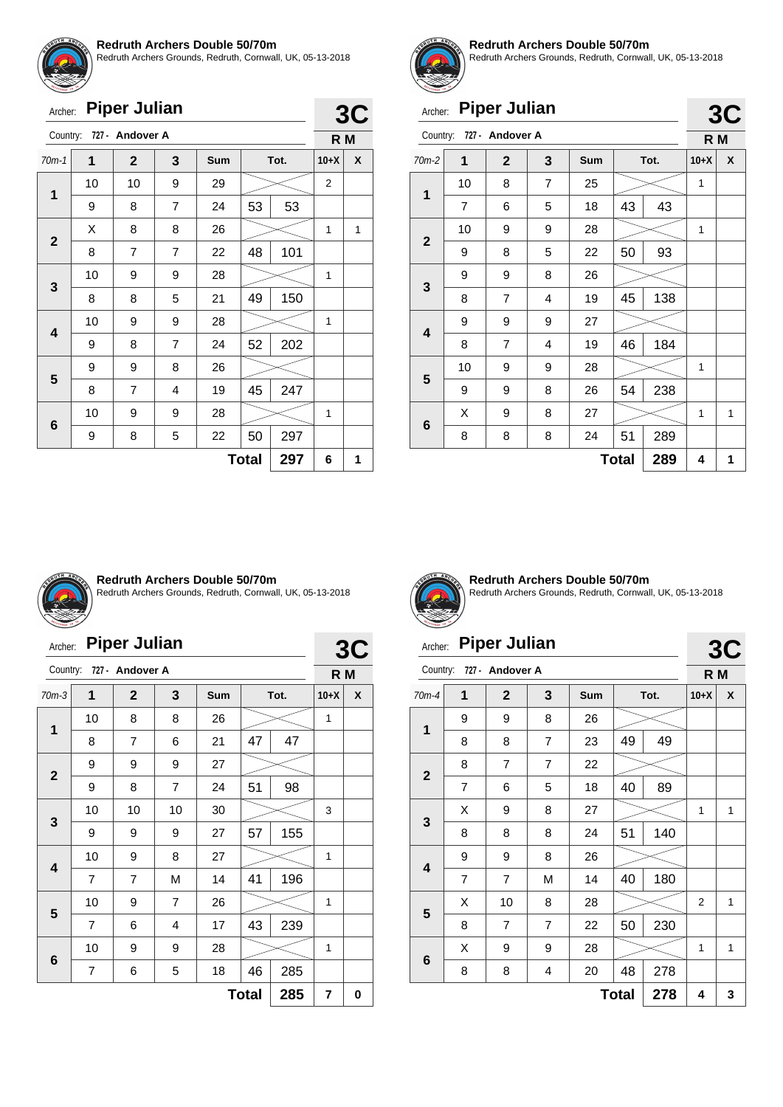

Redruth Archers Grounds, Redruth, Cornwall, UK, 05-13-2018

| Archer:        |                                                                                                                                                                  | <b>Piper Julian</b> |                |    |    |     |                |   |
|----------------|------------------------------------------------------------------------------------------------------------------------------------------------------------------|---------------------|----------------|----|----|-----|----------------|---|
|                |                                                                                                                                                                  |                     |                |    |    |     | R <sub>M</sub> |   |
| $70m-1$        | 727 - Andover A<br>Country:<br>$\overline{2}$<br>3<br>1<br>Sum<br>Tot.<br>9<br>10<br>10<br>29<br>53<br>53<br>$\overline{7}$<br>9<br>8<br>24<br>X<br>8<br>8<br>26 | $10+X$              | X              |    |    |     |                |   |
| 1              |                                                                                                                                                                  |                     |                |    |    |     | $\overline{2}$ |   |
|                |                                                                                                                                                                  |                     |                |    |    |     |                |   |
| $\overline{2}$ |                                                                                                                                                                  |                     |                |    |    |     | 1              | 1 |
|                | 8                                                                                                                                                                | $\overline{7}$      | $\overline{7}$ | 22 | 48 | 101 |                |   |
| 3              | 10                                                                                                                                                               | 9                   | 9              | 28 |    |     | 1              |   |
|                | 8                                                                                                                                                                | 8                   | 5              | 21 | 49 | 150 |                |   |
|                | 10                                                                                                                                                               | 9                   | 9              | 28 |    |     | 1              |   |
| 4              |                                                                                                                                                                  |                     |                |    |    |     |                |   |

 $9 \mid 8 \mid 7 \mid 24 \mid 52 \mid 202$ 

8 7 4 19 45 247

9 | 8 | 5 | 22 | $50$ | 297

10 | 9 | 9 | 28 |  $>$  | 1

**Total 297 6 1**

 $\,<\,$ 

 $9 \mid 9 \mid 8 \mid 26$ 



**3C R M**

#### **Redruth Archers Double 50/70m**

Redruth Archers Grounds, Redruth, Cornwall, UK, 05-13-2018

**3C**

# Archer: **Piper Julian**

| Country:    |                | 727 - Andover A |                |            |              |      | R M    |   |
|-------------|----------------|-----------------|----------------|------------|--------------|------|--------|---|
| $70m-2$     | 1              | $\mathbf{2}$    | 3              | <b>Sum</b> |              | Tot. | $10+X$ | X |
| 1           | 10             | 8               | $\overline{7}$ | 25         |              |      | 1      |   |
|             | $\overline{7}$ | 6               | 5              | 18         | 43<br>43     |      |        |   |
| $\mathbf 2$ | 10             | 9               | 9              | 28         |              |      | 1      |   |
|             | 9              | 8               | 5              | 22         | 50           | 93   |        |   |
|             | 9              | 9               | 8              | 26         |              |      |        |   |
| 3           | 8              | $\overline{7}$  | 4              | 19         | 45           | 138  |        |   |
| 4           | 9              | 9               | 9              | 27         |              |      |        |   |
|             | 8              | 7               | 4              | 19         | 46           | 184  |        |   |
| 5           | 10             | 9               | 9              | 28         |              |      | 1      |   |
|             | 9              | 9               | 8              | 26         | 54           | 238  |        |   |
|             | X              | 9               | 8              | 27         |              |      | 1      | 1 |
| 6           | 8              | 8               | 8              | 24         | 51           | 289  |        |   |
|             |                |                 |                |            | <b>Total</b> | 289  | 4      | 1 |



**5**

**6**

#### **Redruth Archers Double 50/70m**

Redruth Archers Grounds, Redruth, Cornwall, UK, 05-13-2018

| Archer: |  | <b>Piper Julian</b> |
|---------|--|---------------------|
|---------|--|---------------------|

| Archer:      |                | <b>Piper Julian</b> |                |            |              |      | 3C     |                |  |
|--------------|----------------|---------------------|----------------|------------|--------------|------|--------|----------------|--|
| Country:     |                | 727 - Andover A     |                |            |              |      |        | R <sub>M</sub> |  |
| $70m-3$      | 1              | $\mathbf{2}$        | 3              | <b>Sum</b> |              | Tot. | $10+X$ | X              |  |
| 1            | 10             | 8                   | 8              | 26         |              |      | 1      |                |  |
|              | 8              | 7                   | 6              | 21         | 47           | 47   |        |                |  |
|              | 9              | 9                   | 9              | 27         |              |      |        |                |  |
| $\mathbf{2}$ | 9              | 8                   | $\overline{7}$ | 24         | 51           | 98   |        |                |  |
|              | 10             | 10                  | 10             | 30         |              |      | 3      |                |  |
| 3            | 9              | 9                   | 9              | 27         | 57           | 155  |        |                |  |
|              | 10             | 9                   | 8              | 27         |              |      | 1      |                |  |
| 4            | $\overline{7}$ | 7                   | M              | 14         | 41           | 196  |        |                |  |
| 5            | 10             | 9                   | $\overline{7}$ | 26         |              |      | 1      |                |  |
|              | 7              | 6                   | 4              | 17         | 43           | 239  |        |                |  |
|              | 10             | 9                   | 9              | 28         |              |      | 1      |                |  |
| 6            | 7              | 6                   | 5              | 18         | 46           | 285  |        |                |  |
|              |                |                     |                |            | <b>Total</b> | 285  | 7      | 0              |  |



**Redruth Archers Double 50/70m** Redruth Archers Grounds, Redruth, Cornwall, UK, 05-13-2018

# Archer: **Piper Julian**

| Archer:                 |                | 3C              |                |     |              |      |        |     |  |
|-------------------------|----------------|-----------------|----------------|-----|--------------|------|--------|-----|--|
| Country:                |                | 727 - Andover A |                |     |              |      |        | R M |  |
| $70m-4$                 | 1              | $\mathbf{2}$    | 3              | Sum |              | Tot. | $10+X$ | X   |  |
| 1                       | 9              | 9               | 8              | 26  |              |      |        |     |  |
|                         | 8              | 8               | $\overline{7}$ | 23  | 49           | 49   |        |     |  |
| $\overline{2}$          | 8              | $\overline{7}$  | 7              | 22  |              |      |        |     |  |
|                         | $\overline{7}$ | 6               | 5              | 18  | 40           | 89   |        |     |  |
|                         | х              | 9               | 8              | 27  |              |      | 1      | 1   |  |
| 3                       | 8              | 8               | 8              | 24  | 51           | 140  |        |     |  |
|                         | 9              | 9               | 8              | 26  |              |      |        |     |  |
| $\overline{\mathbf{4}}$ | $\overline{7}$ | $\overline{7}$  | M              | 14  | 40           | 180  |        |     |  |
|                         | X              | 10              | 8              | 28  |              |      | 2      | 1   |  |
| 5                       | 8              | $\overline{7}$  | 7              | 22  | 50           | 230  |        |     |  |
| $6\phantom{1}6$         | X              | 9               | 9              | 28  |              |      | 1      | 1   |  |
|                         | 8              | 8               | 4              | 20  | 48           | 278  |        |     |  |
|                         |                |                 |                |     | <b>Total</b> | 278  | 4      | 3   |  |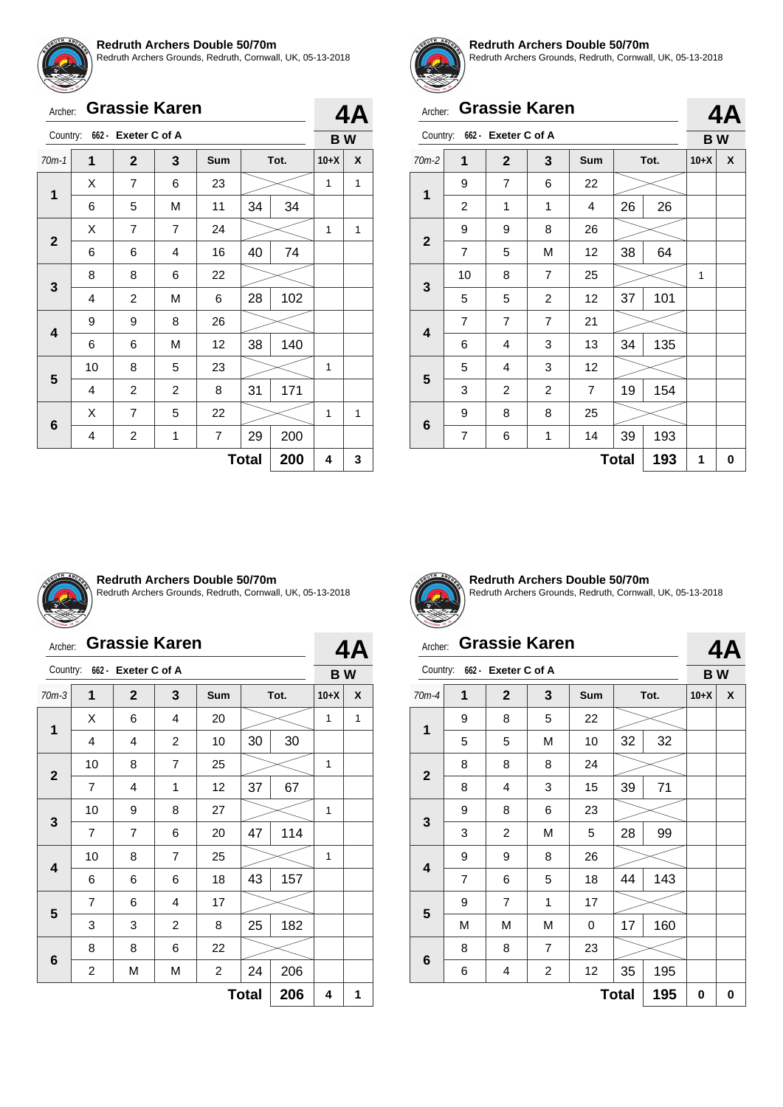

Redruth Archers Grounds, Redruth, Cornwall, UK, 05-13-2018

| Archer:                 |                |                              | <b>Grassie Karen</b> |                |              |      | 4Α        |   |
|-------------------------|----------------|------------------------------|----------------------|----------------|--------------|------|-----------|---|
|                         |                | Country: 662 - Exeter C of A |                      |                |              |      | <b>BW</b> |   |
| $70m-1$                 | 1              | $\mathbf{2}$                 | 3                    | Sum            |              | Tot. | $10+X$    | X |
| 1                       | X              | 7                            | 6                    | 23             |              |      | 1         | 1 |
|                         | 6              | 5                            | M                    | 11             | 34           | 34   |           |   |
| $\overline{2}$          | X              | 7                            | $\overline{7}$       | 24             |              |      | 1         | 1 |
|                         | 6              | 6                            | 4                    | 16             | 40           | 74   |           |   |
| 3                       | 8              | 8                            | 6                    | 22             |              |      |           |   |
|                         | $\overline{4}$ | $\overline{2}$               | M                    | 6              | 28           | 102  |           |   |
| $\overline{\mathbf{4}}$ | 9              | 9                            | 8                    | 26             |              |      |           |   |
|                         | 6              | 6                            | M                    | 12             | 38           | 140  |           |   |
| 5                       | 10             | 8                            | 5                    | 23             |              |      | 1         |   |
|                         | 4              | $\overline{2}$               | $\overline{2}$       | 8              | 31           | 171  |           |   |
| 6                       | X              | $\overline{7}$               | 5                    | 22             |              |      | 1         | 1 |
|                         | $\overline{4}$ | 2                            | 1                    | $\overline{7}$ | 29           | 200  |           |   |
|                         |                |                              |                      |                | <b>Total</b> | 200  | 4         | 3 |



#### **Redruth Archers Double 50/70m**

Redruth Archers Grounds, Redruth, Cornwall, UK, 05-13-2018

| Archer:        |                              |                | <b>Grassie Karen</b> |                |              |      | 4Α     |           |  |
|----------------|------------------------------|----------------|----------------------|----------------|--------------|------|--------|-----------|--|
|                | Country: 662 - Exeter C of A |                |                      |                |              |      |        | <b>BW</b> |  |
| 70m-2          | 1                            | $\mathbf{2}$   | 3                    | Sum            |              | Tot. | $10+X$ | X         |  |
| $\mathbf{1}$   | 9                            | $\overline{7}$ | 6                    | 22             |              |      |        |           |  |
|                | $\overline{2}$               | 1              | 1                    | 4              | 26<br>26     |      |        |           |  |
| $\overline{2}$ | 9                            | 9              | 8                    | 26             |              |      |        |           |  |
|                | $\overline{7}$               | 5              | M                    | 12             | 38           | 64   |        |           |  |
| $\mathbf{3}$   | 10                           | 8              | $\overline{7}$       | 25             |              |      | 1      |           |  |
|                | 5                            | 5              | 2                    | 12             | 37           | 101  |        |           |  |
| 4              | $\overline{7}$               | $\overline{7}$ | $\overline{7}$       | 21             |              |      |        |           |  |
|                | 6                            | 4              | 3                    | 13             | 34           | 135  |        |           |  |
| 5              | 5                            | 4              | 3                    | 12             |              |      |        |           |  |
|                | 3                            | $\overline{c}$ | 2                    | $\overline{7}$ | 19           | 154  |        |           |  |
|                | 9                            | 8              | 8                    | 25             |              |      |        |           |  |
| 6              | 7                            | 6              | 1                    | 14             | 39           | 193  |        |           |  |
|                |                              |                |                      |                | <b>Total</b> | 193  | 1      | 0         |  |



#### **Redruth Archers Double 50/70m**

Redruth Archers Grounds, Redruth, Cornwall, UK, 05-13-2018

|  | Archer: Grassie Karen |  |  |  |
|--|-----------------------|--|--|--|
|--|-----------------------|--|--|--|

| Country:     |                     | 662 - Exeter C of A |                |                         |    |      | <b>BW</b> |   |  |
|--------------|---------------------|---------------------|----------------|-------------------------|----|------|-----------|---|--|
| $70m-3$      | 1                   | $\mathbf{2}$        | 3              | Sum                     |    | Tot. | $10+X$    | X |  |
| 1            | X                   | 6                   | 4              | 20                      |    |      | 1         | 1 |  |
|              | 4                   | 4                   | $\overline{c}$ | 10                      | 30 | 30   |           |   |  |
| $\mathbf{2}$ | 10                  | 8                   | $\overline{7}$ | 25                      |    |      | 1         |   |  |
|              | 7                   | $\overline{4}$      | 1              | 12                      | 37 | 67   |           |   |  |
|              | 10                  | 9                   | 8              | 27                      |    |      | 1         |   |  |
| 3            | $\overline{7}$      | $\overline{7}$      | 6              | 20                      | 47 | 114  |           |   |  |
|              | 10                  | 8                   | $\overline{7}$ | 25                      |    |      | 1         |   |  |
| 4            | 6                   | 6                   | 6              | 18                      | 43 | 157  |           |   |  |
| 5            | $\overline{7}$      | 6                   | 4              | 17                      |    |      |           |   |  |
|              | 3                   | 3                   | 2              | 8                       | 25 | 182  |           |   |  |
|              | 8                   | 8                   | 6              | 22                      |    |      |           |   |  |
| $\bf 6$      | 2                   | М                   | М              | $\overline{\mathbf{c}}$ | 24 | 206  |           |   |  |
|              | 206<br><b>Total</b> |                     |                |                         |    |      |           |   |  |



**1**

**2**

**3**

**4**

**5**

**6**

**4A**

**Redruth Archers Double 50/70m** Redruth Archers Grounds, Redruth, Cornwall, UK, 05-13-2018

### Archer: **Grassie Karen**

# Country: **662 - Exeter C of A 4A B W** 70m-4 **1 2 3 Sum Tot. 10+X X**  $9 \mid 8 \mid 5 \mid 22$ 5 | 5 | M | 10 | 32 | 32 8 8 8 24 8 | 4 | 3 | 15 | 39 | 71 9 8 6 23 3 | 2 | M | 5 | 28 | 99 9 | 9 | 8 | 26 7 | 6 | 5 | 18 | 44 | 143 9 | 7 | 1 | 17

**Total 195 0 0**

M | M | M | 0 | 17 | 160

6 4 2 12 35 195

8 | 8 | 7 | 23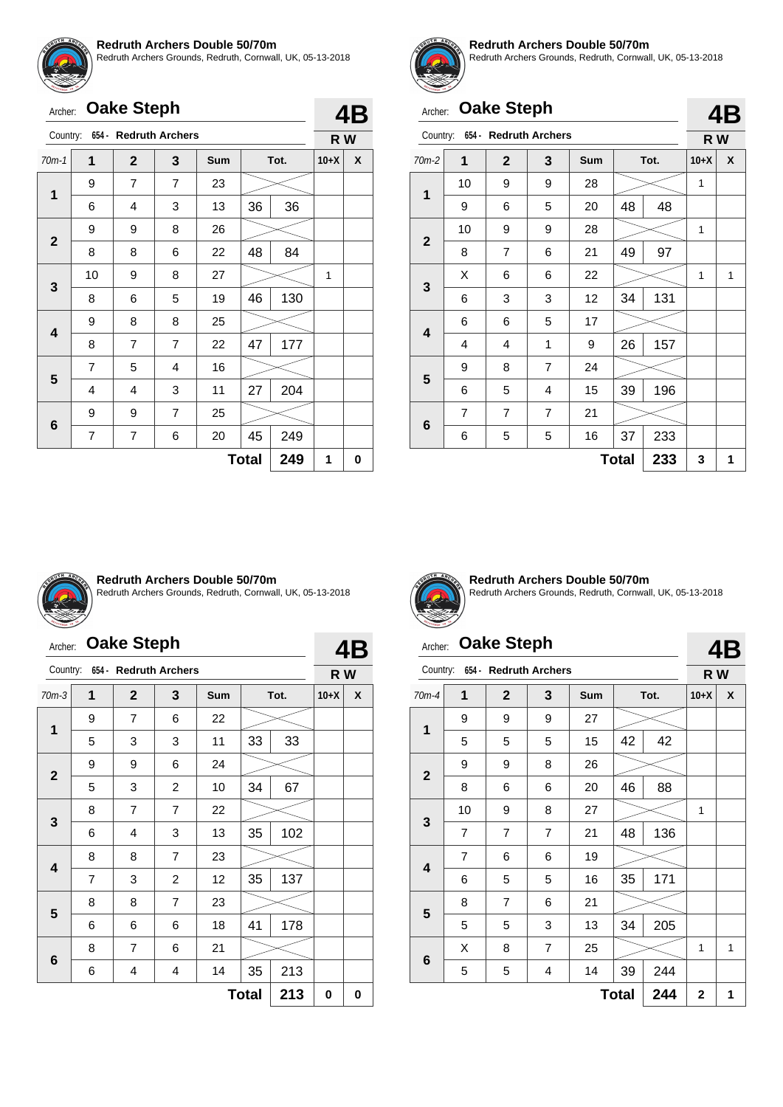

Redruth Archers Grounds, Redruth, Cornwall, UK, 05-13-2018

| Archer:      |                | <b>Oake Steph</b> |                       |     |              |      |        | 4B |
|--------------|----------------|-------------------|-----------------------|-----|--------------|------|--------|----|
| Country:     |                |                   | 654 - Redruth Archers |     |              |      | R W    |    |
| $70m-1$      | 1              | $\overline{2}$    | 3                     | Sum |              | Tot. | $10+X$ | X  |
|              | 9              | 7                 | $\overline{7}$        | 23  |              |      |        |    |
| 1            | 6              | 4                 | 3                     | 13  | 36           | 36   |        |    |
| $\mathbf{2}$ | 9              | 9                 | 8                     | 26  |              |      |        |    |
|              | 8              | 8                 | 6                     | 22  | 48           | 84   |        |    |
| 3            | 10             | 9                 | 8                     | 27  |              |      | 1      |    |
|              | 8              | 6                 | 5                     | 19  | 46           | 130  |        |    |
| 4            | 9              | 8                 | 8                     | 25  |              |      |        |    |
|              | 8              | 7                 | $\overline{7}$        | 22  | 47           | 177  |        |    |
| 5            | $\overline{7}$ | 5                 | 4                     | 16  |              |      |        |    |
|              | 4              | 4                 | 3                     | 11  | 27           | 204  |        |    |
|              | 9              | 9                 | $\overline{7}$        | 25  |              |      |        |    |
| 6            | $\overline{7}$ | 7                 | 6                     | 20  | 45           | 249  |        |    |
|              |                |                   |                       |     | <b>Total</b> | 249  | 1      | 0  |



#### **Redruth Archers Double 50/70m**

Redruth Archers Grounds, Redruth, Cornwall, UK, 05-13-2018

**4B**

# Archer: **Oake Steph**

|             |                |                       |                |            |              |      |        | T 1 2 |
|-------------|----------------|-----------------------|----------------|------------|--------------|------|--------|-------|
| Country:    |                | 654 - Redruth Archers |                |            |              |      | R W    |       |
| $70m-2$     | 1              | $\mathbf{2}$          | 3              | <b>Sum</b> |              | Tot. | $10+X$ | X     |
| 1           | 10             | 9                     | 9              | 28         |              |      | 1      |       |
|             | 9              | 6                     | 5              | 20         | 48           | 48   |        |       |
| $\mathbf 2$ | 10             | 9                     | 9              | 28         |              |      | 1      |       |
|             | 8              | $\overline{7}$        | 6              | 21         | 49           | 97   |        |       |
|             | X              | 6                     | 6              | 22         |              |      | 1      | 1     |
| 3           | 6              | 3                     | 3              | 12         | 34           | 131  |        |       |
| 4           | 6              | 6                     | 5              | 17         |              |      |        |       |
|             | 4              | 4                     | 1              | 9          | 26           | 157  |        |       |
|             | 9              | 8                     | 7              | 24         |              |      |        |       |
| 5           | 6              | 5                     | 4              | 15         | 39           | 196  |        |       |
|             | $\overline{7}$ | 7                     | $\overline{7}$ | 21         |              |      |        |       |
| 6           | 6              | 5                     | 5              | 16         | 37           | 233  |        |       |
|             |                |                       |                |            | <b>Total</b> | 233  | 3      | 1     |



#### **Redruth Archers Double 50/70m**

Redruth Archers Grounds, Redruth, Cornwall, UK, 05-13-2018

# Archer: **Oake Steph**

| Country:     |                     | 654 - Redruth Archers |                |            |    |      | R W    |   |  |
|--------------|---------------------|-----------------------|----------------|------------|----|------|--------|---|--|
| $70m-3$      | 1                   | $\mathbf{2}$          | 3              | <b>Sum</b> |    | Tot. | $10+X$ | X |  |
|              | 9                   | 7                     | 6              | 22         |    |      |        |   |  |
| $\mathbf{1}$ | 5                   | 3                     | 3              | 11         | 33 | 33   |        |   |  |
|              | 9                   | 9                     | 6              | 24         |    |      |        |   |  |
| $\mathbf{2}$ | 5                   | 3                     | $\overline{2}$ | 10         | 34 | 67   |        |   |  |
|              | 8                   | 7                     | 7              | 22         |    |      |        |   |  |
| 3            | 6                   | 4                     | 3              | 13         | 35 | 102  |        |   |  |
| 4            | 8                   | 8                     | $\overline{7}$ | 23         |    |      |        |   |  |
|              | 7                   | 3                     | $\overline{2}$ | 12         | 35 | 137  |        |   |  |
|              | 8                   | 8                     | $\overline{7}$ | 23         |    |      |        |   |  |
| 5            | 6                   | 6                     | 6              | 18         | 41 | 178  |        |   |  |
|              | 8                   | $\overline{7}$        | 6              | 21         |    |      |        |   |  |
| 6            | 6                   | 4                     | 4              | 14         | 35 | 213  |        |   |  |
|              | <b>Total</b><br>213 |                       |                |            |    |      |        |   |  |



**4B**

**Redruth Archers Double 50/70m** Redruth Archers Grounds, Redruth, Cornwall, UK, 05-13-2018

# Archer: **Oake Steph**

#### Country: **654 - Redruth Archers 4B R W** 70m-4 **1 2 3 Sum Tot. 10+X X 1** 9 9 9 27 5 | 5 | 5 | 15 | 42 | 42 **2** 9 8 26 8 6 6 20 46 88 **3** 10 | 9 | 8 | 27 |  $\swarrow$  | 1 7 | 7 | 7 | 21 | 48 | 136 **4** 7 | 6 | 6 | 19 6 | 5 | 5 | 16 | 35 | 171 **5** 8 | 7 | 6 | 21  $5 \mid 5 \mid 3 \mid 13 \mid 34 \mid 205$ **6**  $X \quad 8 \quad 7 \quad 25 \quad \textcolor{blue}{\sim} \quad 1 \quad 1$ 5 5 4 14 39 244 **Total 244 2 1**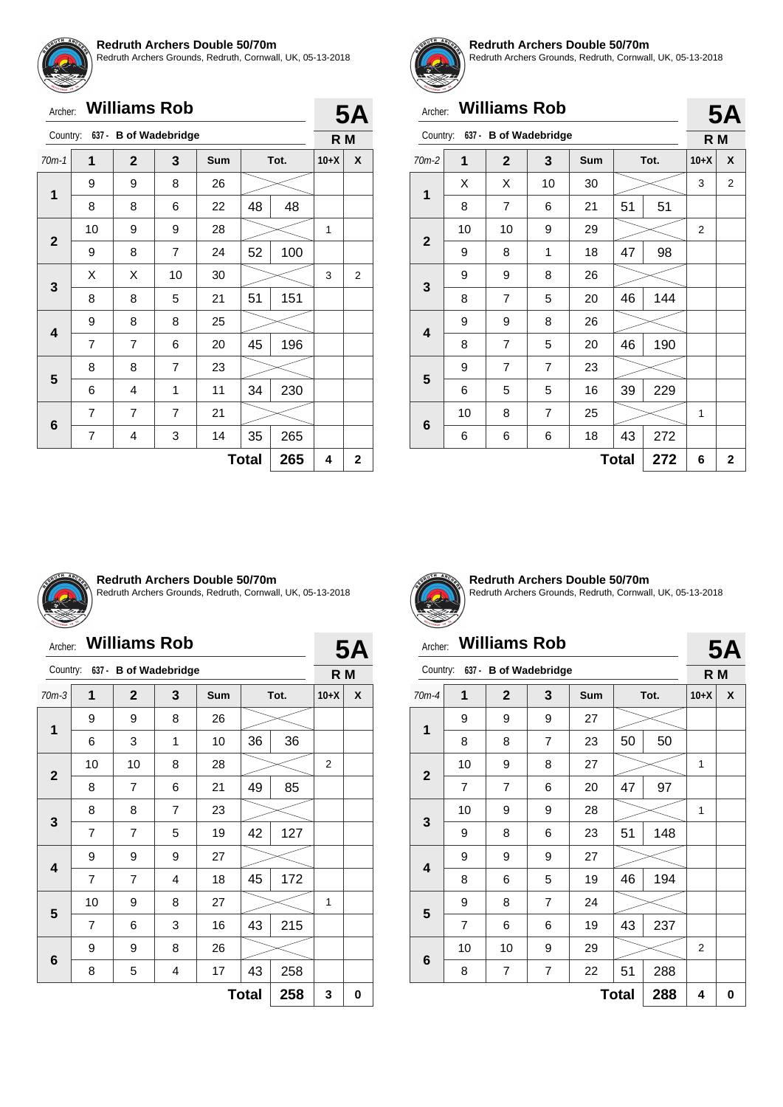

Redruth Archers Grounds, Redruth, Cornwall, UK, 05-13-2018

| Archer: | <b>Williams Rob</b> |
|---------|---------------------|
|---------|---------------------|

| Country:     |                | 637 - B of Wadebridge |                |            |              |     | R M    |              |
|--------------|----------------|-----------------------|----------------|------------|--------------|-----|--------|--------------|
| $70m-1$      | 1              | $\mathbf{2}$          | 3              | <b>Sum</b> | Tot.         |     | $10+X$ | X            |
| 1            | 9              | 9                     | 8              | 26         |              |     |        |              |
|              | 8              | 8                     | 6              | 22         | 48           | 48  |        |              |
|              | 10             | 9                     | 9              | 28         |              |     | 1      |              |
| $\mathbf{2}$ | 9              | 8                     | $\overline{7}$ | 24         | 52           | 100 |        |              |
|              | X              | X                     | 10             | 30         |              |     | 3      | 2            |
| 3            | 8              | 8                     | 5              | 21         | 51           | 151 |        |              |
| 4            | 9              | 8                     | 8              | 25         |              |     |        |              |
|              | 7              | 7                     | 6              | 20         | 45           | 196 |        |              |
| 5            | 8              | 8                     | $\overline{7}$ | 23         |              |     |        |              |
|              | 6              | 4                     | 1              | 11         | 34           | 230 |        |              |
|              | 7              | $\overline{7}$        | $\overline{7}$ | 21         |              |     |        |              |
| 6            | $\overline{7}$ | 4                     | 3              | 14         | 35           | 265 |        |              |
|              |                |                       |                |            | <b>Total</b> | 265 | 4      | $\mathbf{2}$ |



**5A**

#### **Redruth Archers Double 50/70m**

Redruth Archers Grounds, Redruth, Cornwall, UK, 05-13-2018

**5A**

# Archer: **Williams Rob**

|                         |    |                       |                |     |              |      |                | JM             |
|-------------------------|----|-----------------------|----------------|-----|--------------|------|----------------|----------------|
| Country:                |    | 637 - B of Wadebridge |                |     |              |      | R M            |                |
| $70m-2$                 | 1  | $\overline{2}$        | 3              | Sum |              | Tot. | $10+X$         | X              |
| 1                       | X  | X                     | 10             | 30  |              |      | 3              | 2              |
|                         | 8  | $\overline{7}$        | 6              | 21  | 51           | 51   |                |                |
| $\mathbf{2}$            | 10 | 10                    | 9              | 29  |              |      | $\overline{2}$ |                |
|                         | 9  | 8                     | 1              | 18  | 47           | 98   |                |                |
|                         | 9  | 9                     | 8              | 26  |              |      |                |                |
| 3                       | 8  | $\overline{7}$        | 5              | 20  | 46           | 144  |                |                |
| $\overline{\mathbf{4}}$ | 9  | 9                     | 8              | 26  |              |      |                |                |
|                         | 8  | $\overline{7}$        | 5              | 20  | 46           | 190  |                |                |
| 5                       | 9  | $\overline{7}$        | $\overline{7}$ | 23  |              |      |                |                |
|                         | 6  | 5                     | 5              | 16  | 39           | 229  |                |                |
|                         | 10 | 8                     | $\overline{7}$ | 25  |              |      | 1              |                |
| 6                       | 6  | 6                     | 6              | 18  | 43           | 272  |                |                |
|                         |    |                       |                |     | <b>Total</b> | 272  | 6              | $\overline{2}$ |



#### **Redruth Archers Double 50/70m**

Redruth Archers Grounds, Redruth, Cornwall, UK, 05-13-2018

#### Archer: **Williams Rob**

|              | <b>Williams Rob</b><br>Archer: |                       |   |     |    |      |                  |   |  |  |
|--------------|--------------------------------|-----------------------|---|-----|----|------|------------------|---|--|--|
| Country:     |                                | 637 - B of Wadebridge |   |     |    |      | <b>5A</b><br>R M |   |  |  |
| $70m-3$      | 1                              | $\overline{2}$        | 3 | Sum |    | Tot. | $10+X$           | X |  |  |
| 1            | 9                              | 9                     | 8 | 26  |    |      |                  |   |  |  |
|              | 6                              | 3                     | 1 | 10  | 36 | 36   |                  |   |  |  |
|              | 10                             | 10                    | 8 | 28  |    |      | 2                |   |  |  |
| $\mathbf{2}$ | 8                              | $\overline{7}$        | 6 | 21  | 49 | 85   |                  |   |  |  |
|              | 8                              | 8                     | 7 | 23  |    |      |                  |   |  |  |
| 3            | $\overline{7}$                 | $\overline{7}$        | 5 | 19  | 42 | 127  |                  |   |  |  |
|              | 9                              | 9                     | 9 | 27  |    |      |                  |   |  |  |
| 4            | 7                              | $\overline{7}$        | 4 | 18  | 45 | 172  |                  |   |  |  |
| 5            | 10                             | 9                     | 8 | 27  |    |      | 1                |   |  |  |
|              | $\overline{7}$                 | 6                     | 3 | 16  | 43 | 215  |                  |   |  |  |
|              | 9                              | 9                     | 8 | 26  |    |      |                  |   |  |  |
| 6            | 8                              | 5                     | 4 | 17  | 43 | 258  |                  |   |  |  |
|              | 258<br><b>Total</b>            |                       |   |     |    |      |                  |   |  |  |



**Redruth Archers Double 50/70m** Redruth Archers Grounds, Redruth, Cornwall, UK, 05-13-2018

# Archer: **Williams Rob**

#### Country: **637 - B of Wadebridge 5A R M** 70m-4 **1 2 3 Sum Tot. 10+X X 1** 9 9 9 27 8 | 8 | 7 | 23 | 50 | 50 **2** 10 9 8 27 1 7 | 7 | 6 | 20 | 47 | 97 **3** 10 | 9 | 9 | 28 |  $\swarrow$  | 1 9 | 8 | 6 | 23 | 51 | 148 **4** 9 9 9 27 8 | 6 | 5 | 19 | 46 | 194 **5** 9 | 8 | 7 | 24 7 6 6 19 43 237 **6** 10 | 10 | 9 | 29 |  $\gg$  | 2 8 | 7 | 7 | 22 | 51 | 288  $Total | 288 | 4 | 0$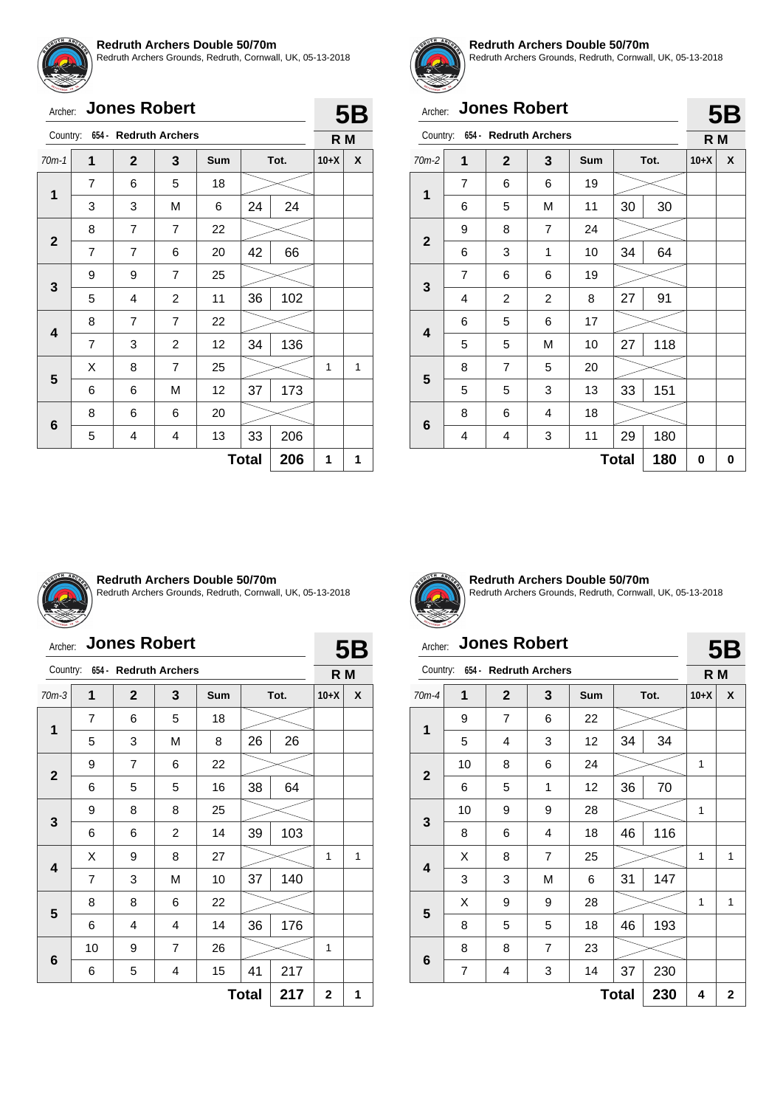

Redruth Archers Grounds, Redruth, Cornwall, UK, 05-13-2018

|  | Archer: Jones Robert |
|--|----------------------|

| Country:    |                | 654 - Redruth Archers |                |     |              |      | R M    |   |
|-------------|----------------|-----------------------|----------------|-----|--------------|------|--------|---|
| $70m-1$     | $\overline{1}$ | $\overline{2}$        | 3              | Sum |              | Tot. | $10+X$ | X |
| 1           | 7              | 6                     | 5              | 18  |              |      |        |   |
|             | 3              | 3                     | M              | 6   | 24           | 24   |        |   |
| $\mathbf 2$ | 8              | 7                     | $\overline{7}$ | 22  |              |      |        |   |
|             | $\overline{7}$ | $\overline{7}$        | 6              | 20  | 42           | 66   |        |   |
| 3           | 9              | 9                     | 7              | 25  |              |      |        |   |
|             | 5              | $\overline{4}$        | $\overline{c}$ | 11  | 36           | 102  |        |   |
|             | 8              | 7                     | $\overline{7}$ | 22  |              |      |        |   |
| 4           | $\overline{7}$ | 3                     | $\overline{2}$ | 12  | 34           | 136  |        |   |
| 5           | X              | 8                     | $\overline{7}$ | 25  |              |      | 1      | 1 |
|             | 6              | 6                     | M              | 12  | 37           | 173  |        |   |
|             | 8              | 6                     | 6              | 20  |              |      |        |   |
| 6           | 5              | 4                     | 4              | 13  | 33           | 206  |        |   |
|             |                |                       |                |     | <b>Total</b> | 206  | 1      | 1 |



**5B**

#### **Redruth Archers Double 50/70m**

Redruth Archers Grounds, Redruth, Cornwall, UK, 05-13-2018

# Archer: **Jones Robert**

|              |                |                       |                |     |              |      |        | ◡◡ |
|--------------|----------------|-----------------------|----------------|-----|--------------|------|--------|----|
| Country:     |                | 654 - Redruth Archers |                |     |              |      | R M    |    |
| $70m-2$      | 1              | $\mathbf{2}$          | 3              | Sum |              | Tot. | $10+X$ | X  |
| 1            | 7              | 6                     | 6              | 19  |              |      |        |    |
|              | 6              | 5                     | М              | 11  | 30           | 30   |        |    |
| $\mathbf{2}$ | 9              | 8                     | $\overline{7}$ | 24  |              |      |        |    |
|              | 6              | 3                     | 1              | 10  | 34           | 64   |        |    |
|              | $\overline{7}$ | 6                     | 6              | 19  |              |      |        |    |
| 3            | 4              | $\overline{c}$        | $\overline{c}$ | 8   | 27           | 91   |        |    |
| 4            | 6              | 5                     | 6              | 17  |              |      |        |    |
|              | 5              | 5                     | М              | 10  | 27           | 118  |        |    |
|              | 8              | $\overline{7}$        | 5              | 20  |              |      |        |    |
| 5            | 5              | 5                     | 3              | 13  | 33           | 151  |        |    |
|              | 8              | 6                     | 4              | 18  |              |      |        |    |
| 6            | 4              | 4                     | 3              | 11  | 29           | 180  |        |    |
|              |                |                       |                |     | <b>Total</b> | 180  | 0      | 0  |



#### **Redruth Archers Double 50/70m**

Redruth Archers Grounds, Redruth, Cornwall, UK, 05-13-2018

### Archer: **Jones Robert**

| <b>Jones Robert</b><br>Archer: |                |              |                |            |     | 5B   |              |   |
|--------------------------------|----------------|--------------|----------------|------------|-----|------|--------------|---|
| Country: 654 - Redruth Archers |                |              |                |            | R M |      |              |   |
| $70m-3$                        | 1              | $\mathbf{2}$ | 3              | <b>Sum</b> |     | Tot. | $10+X$       | X |
| $\mathbf{1}$                   | 7              | 6            | 5              | 18         |     |      |              |   |
|                                | 5              | 3            | M              | 8          | 26  | 26   |              |   |
|                                | 9              | 7            | 6              | 22         |     |      |              |   |
| $\mathbf{2}$                   | 6              | 5            | 5              | 16         | 38  | 64   |              |   |
|                                | 9              | 8            | 8              | 25         |     |      |              |   |
| 3                              | 6              | 6            | $\overline{2}$ | 14         | 39  | 103  |              |   |
|                                | X              | 9            | 8              | 27         |     |      | 1            | 1 |
| 4                              | $\overline{7}$ | 3            | M              | 10         | 37  | 140  |              |   |
|                                | 8              | 8            | 6              | 22         |     |      |              |   |
| 5                              | 6              | 4            | 4              | 14         | 36  | 176  |              |   |
|                                | 10             | 9            | $\overline{7}$ | 26         |     |      | 1            |   |
| 6                              | 6              | 5            | 4              | 15         | 41  | 217  |              |   |
|                                | <b>Total</b>   |              |                |            |     |      | $\mathbf{2}$ | 1 |



**Redruth Archers Double 50/70m** Redruth Archers Grounds, Redruth, Cornwall, UK, 05-13-2018

# Archer: **Jones Robert**

**5B**

| Country:<br>654 - Redruth Archers |                     |                |                |     |      | R M |              |             |
|-----------------------------------|---------------------|----------------|----------------|-----|------|-----|--------------|-------------|
| $70m-4$                           | 1                   | $\mathbf{2}$   | 3              | Sum | Tot. |     | $10+X$       | X           |
| 1                                 | 9                   | $\overline{7}$ | 6              | 22  |      |     |              |             |
|                                   | 5                   | 4              | 3              | 12  | 34   | 34  |              |             |
| $\mathbf{2}$                      | 10                  | 8              | 6              | 24  |      |     | 1            |             |
|                                   | 6                   | 5              | 1              | 12  | 36   | 70  |              |             |
| 3                                 | 10                  | 9              | 9              | 28  |      |     | $\mathbf{1}$ |             |
|                                   | 8                   | 6              | 4              | 18  | 46   | 116 |              |             |
| $\overline{\mathbf{4}}$           | X                   | 8              | $\overline{7}$ | 25  |      |     | 1            | 1           |
|                                   | 3                   | 3              | M              | 6   | 31   | 147 |              |             |
| 5                                 | X                   | 9              | 9              | 28  |      |     | 1            | 1           |
|                                   | 8                   | 5              | 5              | 18  | 46   | 193 |              |             |
|                                   | 8                   | 8              | $\overline{7}$ | 23  |      |     |              |             |
| $\bf 6$                           | 7                   | 4              | 3              | 14  | 37   | 230 |              |             |
|                                   | 230<br><b>Total</b> |                |                |     |      |     |              | $\mathbf 2$ |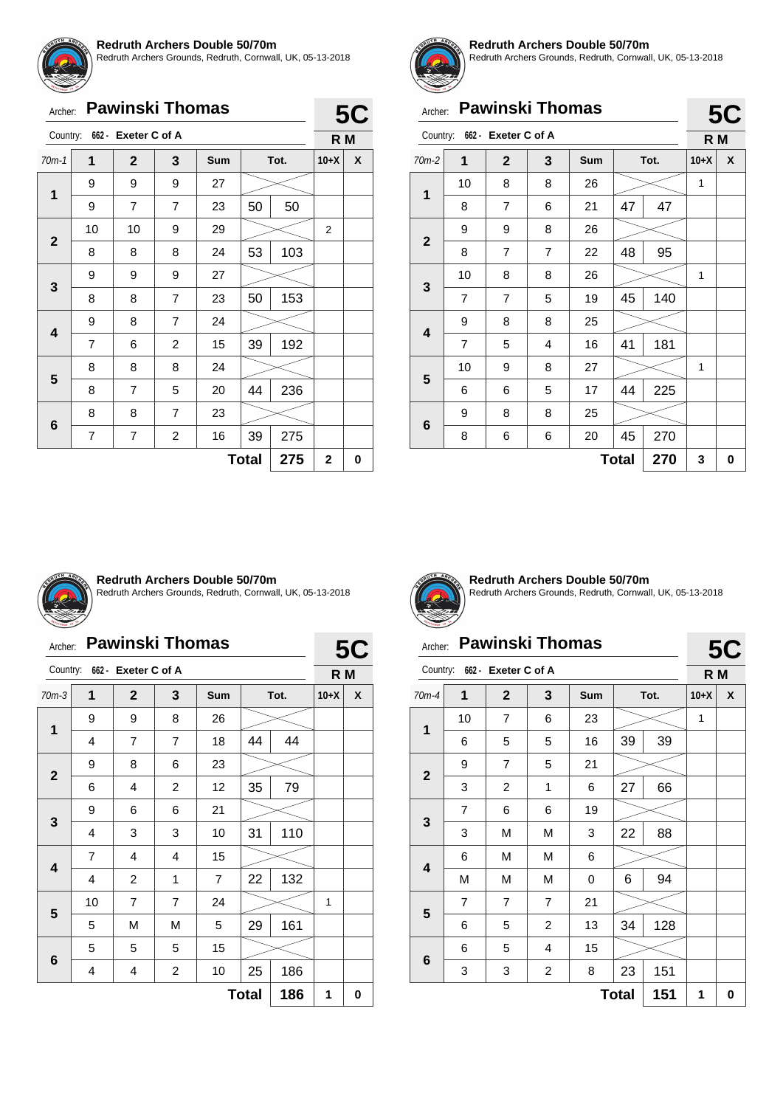

Redruth Archers Grounds, Redruth, Cornwall, UK, 05-13-2018

# Archer: **Pawinski Thomas**

| Archer:                      |                | <b>Pawinski Thomas</b> |                |     |              |     |             | <b>5C</b> |  |
|------------------------------|----------------|------------------------|----------------|-----|--------------|-----|-------------|-----------|--|
| Country: 662 - Exeter C of A |                |                        |                |     | R M          |     |             |           |  |
| $70m-1$                      | 1              | $\mathbf{2}$           | 3              | Sum | Tot.         |     | $10+X$      | X         |  |
|                              | 9              | 9                      | 9              | 27  |              |     |             |           |  |
| 1                            | 9              | 7                      | $\overline{7}$ | 23  | 50           | 50  |             |           |  |
|                              | 10             | 10                     | 9              | 29  |              |     | 2           |           |  |
| $\mathbf{2}$                 | 8              | 8                      | 8              | 24  | 53           | 103 |             |           |  |
|                              | 9              | 9                      | 9              | 27  |              |     |             |           |  |
| 3                            | 8              | 8                      | 7              | 23  | 50           | 153 |             |           |  |
|                              | 9              | 8                      | $\overline{7}$ | 24  |              |     |             |           |  |
| 4                            | $\overline{7}$ | 6                      | $\overline{c}$ | 15  | 39           | 192 |             |           |  |
|                              | 8              | 8                      | 8              | 24  |              |     |             |           |  |
| 5                            | 8              | $\overline{7}$         | 5              | 20  | 44           | 236 |             |           |  |
|                              | 8              | 8                      | $\overline{7}$ | 23  |              |     |             |           |  |
| 6                            | 7              | 7                      | $\overline{c}$ | 16  | 39           | 275 |             |           |  |
|                              |                |                        |                |     | <b>Total</b> | 275 | $\mathbf 2$ | 0         |  |



#### **Redruth Archers Double 50/70m**

Redruth Archers Grounds, Redruth, Cornwall, UK, 05-13-2018

|                                 | <b>Pawinski Thomas</b><br>Archer: |                |                |     |              |      | <b>5C</b> |   |
|---------------------------------|-----------------------------------|----------------|----------------|-----|--------------|------|-----------|---|
| 662 - Exeter C of A<br>Country: |                                   |                |                |     |              | R M  |           |   |
| $70m-2$                         | 1                                 | $\mathbf{2}$   | 3              | Sum |              | Tot. | $10+X$    | X |
| 1                               | 10                                | 8              | 8              | 26  |              |      | 1         |   |
|                                 | 8                                 | 7              | 6              | 21  | 47           | 47   |           |   |
| $\overline{2}$                  | 9                                 | 9              | 8              | 26  |              |      |           |   |
|                                 | 8                                 | $\overline{7}$ | $\overline{7}$ | 22  | 48           | 95   |           |   |
| 3                               | 10                                | 8              | 8              | 26  |              |      | 1         |   |
|                                 | $\overline{7}$                    | 7              | 5              | 19  | 45           | 140  |           |   |
| 4                               | 9                                 | 8              | 8              | 25  |              |      |           |   |
|                                 | $\overline{7}$                    | 5              | 4              | 16  | 41           | 181  |           |   |
|                                 | 10                                | 9              | 8              | 27  |              |      | 1         |   |
| 5                               | 6                                 | 6              | 5              | 17  | 44           | 225  |           |   |
|                                 | 9                                 | 8              | 8              | 25  |              |      |           |   |
| 6                               | 8                                 | 6              | 6              | 20  | 45           | 270  |           |   |
|                                 |                                   |                |                |     | <b>Total</b> | 270  | 3         | 0 |



#### **Redruth Archers Double 50/70m**

Redruth Archers Grounds, Redruth, Cornwall, UK, 05-13-2018

### Archer: **Pawinski Thomas**

| Country:<br>662 - Exeter C of A |                |                |                         |                |              | R M  |        |   |
|---------------------------------|----------------|----------------|-------------------------|----------------|--------------|------|--------|---|
| $70m-3$                         | 1              | $\mathbf{2}$   | 3                       | Sum            |              | Tot. | $10+X$ | X |
|                                 | 9              | 9              | 8                       | 26             |              |      |        |   |
| 1                               | 4              | $\overline{7}$ | $\overline{7}$          | 18             | 44           | 44   |        |   |
|                                 | 9              | 8              | 6                       | 23             |              |      |        |   |
| $\mathbf{2}$                    | 6              | 4              | 2                       | 12             | 35           | 79   |        |   |
|                                 | 9              | 6              | 6                       | 21             |              |      |        |   |
| 3                               | 4              | 3              | 3                       | 10             | 31           | 110  |        |   |
|                                 | $\overline{7}$ | 4              | 4                       | 15             |              |      |        |   |
| 4                               | 4              | $\overline{c}$ | 1                       | $\overline{7}$ | 22           | 132  |        |   |
|                                 | 10             | 7              | 7                       | 24             |              |      | 1      |   |
| 5                               | 5              | M              | M                       | 5              | 29           | 161  |        |   |
|                                 | 5              | 5              | 5                       | 15             |              |      |        |   |
| 6                               | 4              | 4              | $\overline{\mathbf{c}}$ | 10             | 25           | 186  |        |   |
|                                 |                |                |                         |                | <b>Total</b> | 186  | 1      | 0 |



**5C**

**Redruth Archers Double 50/70m** Redruth Archers Grounds, Redruth, Cornwall, UK, 05-13-2018

**5C**

### Archer: **Pawinski Thomas**

| 662 - Exeter C of A<br>Country: |                |                |                         |     |    |      |        |   |
|---------------------------------|----------------|----------------|-------------------------|-----|----|------|--------|---|
|                                 |                |                |                         |     |    |      | R M    |   |
| $70m-4$                         | 1              | $\mathbf{2}$   | 3                       | Sum |    | Tot. | $10+X$ | X |
| 1                               | 10             | $\overline{7}$ | 6                       | 23  |    |      | 1      |   |
|                                 | 6              | 5              | 5                       | 16  | 39 | 39   |        |   |
| $\boldsymbol{2}$                | 9              | $\overline{7}$ | 5                       | 21  |    |      |        |   |
|                                 | 3              | $\overline{c}$ | 1                       | 6   | 27 | 66   |        |   |
| 3                               | $\overline{7}$ | 6              | 6                       | 19  |    |      |        |   |
|                                 | 3              | М              | М                       | 3   | 22 | 88   |        |   |
| $\overline{\mathbf{4}}$         | 6              | M              | M                       | 6   |    |      |        |   |
|                                 | M              | M              | М                       | 0   | 6  | 94   |        |   |
| 5                               | $\overline{7}$ | $\overline{7}$ | $\overline{7}$          | 21  |    |      |        |   |
|                                 | 6              | 5              | 2                       | 13  | 34 | 128  |        |   |
| $\bf 6$                         | 6              | 5              | 4                       | 15  |    |      |        |   |
|                                 | 3              | 3              | $\overline{\mathbf{c}}$ | 8   | 23 | 151  |        |   |
| 151<br><b>Total</b>             |                |                |                         |     |    |      | 1      | 0 |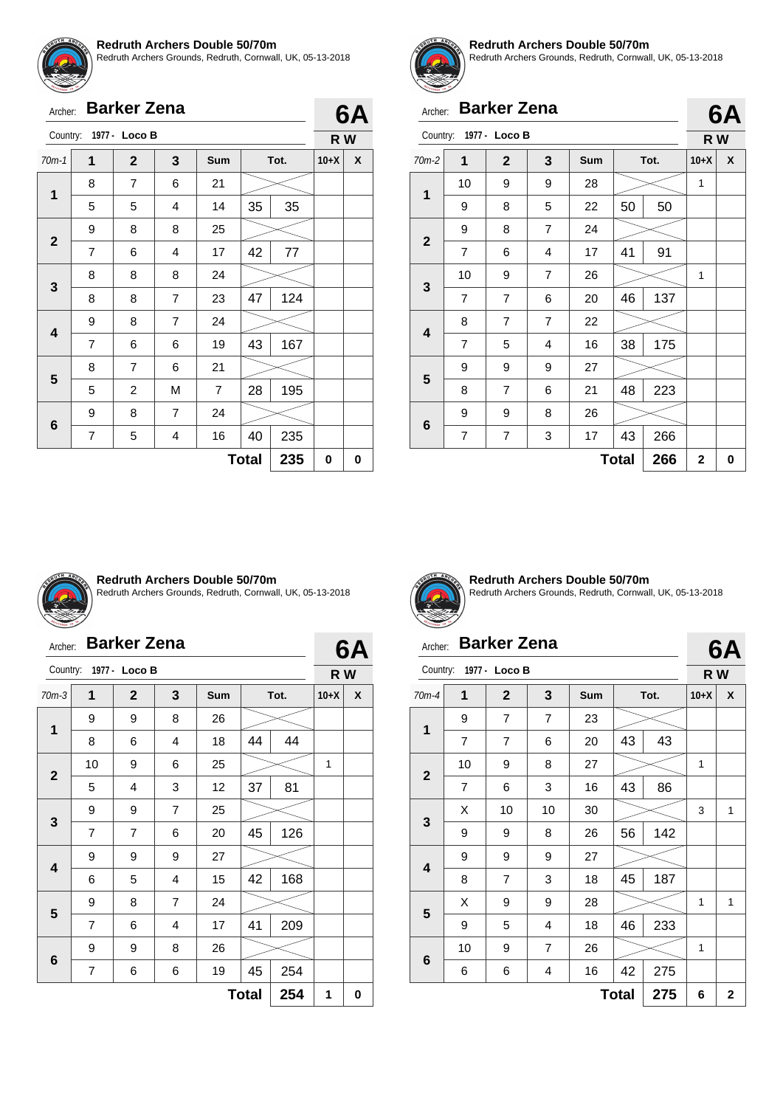

**2**

**3**

**4**

**5**

**6**

#### **Redruth Archers Double 50/70m**

Redruth Archers Grounds, Redruth, Cornwall, UK, 05-13-2018

|         |   | Archer: Barker Zena    |    |     |    |      |        | 6A |
|---------|---|------------------------|----|-----|----|------|--------|----|
|         |   | Country: 1977 - Loco B |    |     |    |      | R W    |    |
| $70m-1$ |   | $\mathbf{2}$           | -3 | Sum |    | Tot. | $10+X$ | X  |
|         | 8 |                        | 6  | 21  |    |      |        |    |
| 1       | 5 | 5                      |    | 14  | 35 | 35   |        |    |
|         | 9 | 8                      | 8  | 25  |    |      |        |    |

8 8 8 24

9 | 8 | 7 | 24

8 7 6 21

9 | 8 | 7 | 24

7 | 6 | 4 | 17 | 42 | 77

8 | 8 | 7 | 23 |47 | 124

 $7 \mid 6 \mid 6 \mid 19 \mid 43 \mid 167$ 

5 | 2 | M | 7 |28 | 195

7 | 5 | 4 | 16 |40 | 235



**6A R W**

#### **Redruth Archers Double 50/70m**

Redruth Archers Grounds, Redruth, Cornwall, UK, 05-13-2018

**6A**

**6A**

# Archer: **Barker Zena**

|             |                |                |                |            |              |     |              | <i>,,</i> , |
|-------------|----------------|----------------|----------------|------------|--------------|-----|--------------|-------------|
| Country:    |                | 1977 - Loco B  |                |            |              |     | R W          |             |
| $70m-2$     | 1              | $\overline{2}$ | 3              | <b>Sum</b> | Tot.         |     | $10+X$       | X           |
| 1           | 10             | 9              | 9              | 28         |              |     | 1            |             |
|             | 9              | 8              | 5              | 22         | 50           | 50  |              |             |
| $\mathbf 2$ | 9              | 8              | $\overline{7}$ | 24         |              |     |              |             |
|             | 7              | 6              | 4              | 17         | 41           | 91  |              |             |
| 3           | 10             | 9              | 7              | 26         |              |     | 1            |             |
|             | 7              | $\overline{7}$ | 6              | 20         | 46           | 137 |              |             |
|             | 8              | $\overline{7}$ | $\overline{7}$ | 22         |              |     |              |             |
| 4           | 7              | 5              | 4              | 16         | 38           | 175 |              |             |
| 5           | 9              | 9              | 9              | 27         |              |     |              |             |
|             | 8              | 7              | 6              | 21         | 48           | 223 |              |             |
|             | 9              | 9              | 8              | 26         |              |     |              |             |
| 6           | $\overline{7}$ | $\overline{7}$ | 3              | 17         | 43           | 266 |              |             |
|             |                |                |                |            | <b>Total</b> | 266 | $\mathbf{2}$ | 0           |



#### **Redruth Archers Double 50/70m**

Redruth Archers Grounds, Redruth, Cornwall, UK, 05-13-2018

| Archer: | <b>Barker Zena</b> |  |
|---------|--------------------|--|
|---------|--------------------|--|

| 6A |  |
|----|--|
|----|--|

 $Total | 235 | 0 | 0$ 

| Country:                |                     | 1977 - Loco B  |                |     |    |      | R W    |   |
|-------------------------|---------------------|----------------|----------------|-----|----|------|--------|---|
| $70m-3$                 | 1                   | $\mathbf{2}$   | 3              | Sum |    | Tot. | $10+X$ | X |
| 1                       | 9                   | 9              | 8              | 26  |    |      |        |   |
|                         | 8                   | 6              | 4              | 18  | 44 | 44   |        |   |
| $\mathbf{2}$            | 10                  | 9              | 6              | 25  |    |      | 1      |   |
|                         | 5                   | $\overline{4}$ | 3              | 12  | 37 | 81   |        |   |
|                         | 9                   | 9              | 7              | 25  |    |      |        |   |
| 3                       | 7                   | $\overline{7}$ | 6              | 20  | 45 | 126  |        |   |
| $\overline{\mathbf{4}}$ | 9                   | 9              | 9              | 27  |    |      |        |   |
|                         | 6                   | 5              | 4              | 15  | 42 | 168  |        |   |
| 5                       | 9                   | 8              | $\overline{7}$ | 24  |    |      |        |   |
|                         | $\overline{7}$      | 6              | 4              | 17  | 41 | 209  |        |   |
|                         | 9                   | 9              | 8              | 26  |    |      |        |   |
| 6                       | 7                   | 6              | 6              | 19  | 45 | 254  |        |   |
|                         | <b>Total</b><br>254 |                |                |     |    |      |        | 0 |



**Redruth Archers Double 50/70m** Redruth Archers Grounds, Redruth, Cornwall, UK, 05-13-2018

# Archer: **Barker Zena**

|                         | 1977 - Loco B<br>Country: |                |    |     |      |     |        | R W |  |
|-------------------------|---------------------------|----------------|----|-----|------|-----|--------|-----|--|
| $70m-4$                 | 1                         | $\mathbf{2}$   | 3  | Sum | Tot. |     | $10+X$ | X   |  |
| 1                       | 9                         | $\overline{7}$ | 7  | 23  |      |     |        |     |  |
|                         | $\overline{7}$            | $\overline{7}$ | 6  | 20  | 43   | 43  |        |     |  |
|                         | 10                        | 9              | 8  | 27  |      |     | 1      |     |  |
| $\boldsymbol{2}$        | 7                         | 6              | 3  | 16  | 43   | 86  |        |     |  |
| $\mathbf{3}$            | X                         | 10             | 10 | 30  |      |     | 3      | 1   |  |
|                         | 9                         | 9              | 8  | 26  | 56   | 142 |        |     |  |
| $\overline{\mathbf{4}}$ | 9                         | 9              | 9  | 27  |      |     |        |     |  |
|                         | 8                         | 7              | 3  | 18  | 45   | 187 |        |     |  |
| 5                       | X                         | 9              | 9  | 28  |      |     | 1      | 1   |  |
|                         | 9                         | 5              | 4  | 18  | 46   | 233 |        |     |  |
|                         | 10                        | 9              | 7  | 26  |      |     | 1      |     |  |
| $\bf 6$                 | 6                         | 6              | 4  | 16  | 42   | 275 |        |     |  |
|                         | 6                         | $\overline{2}$ |    |     |      |     |        |     |  |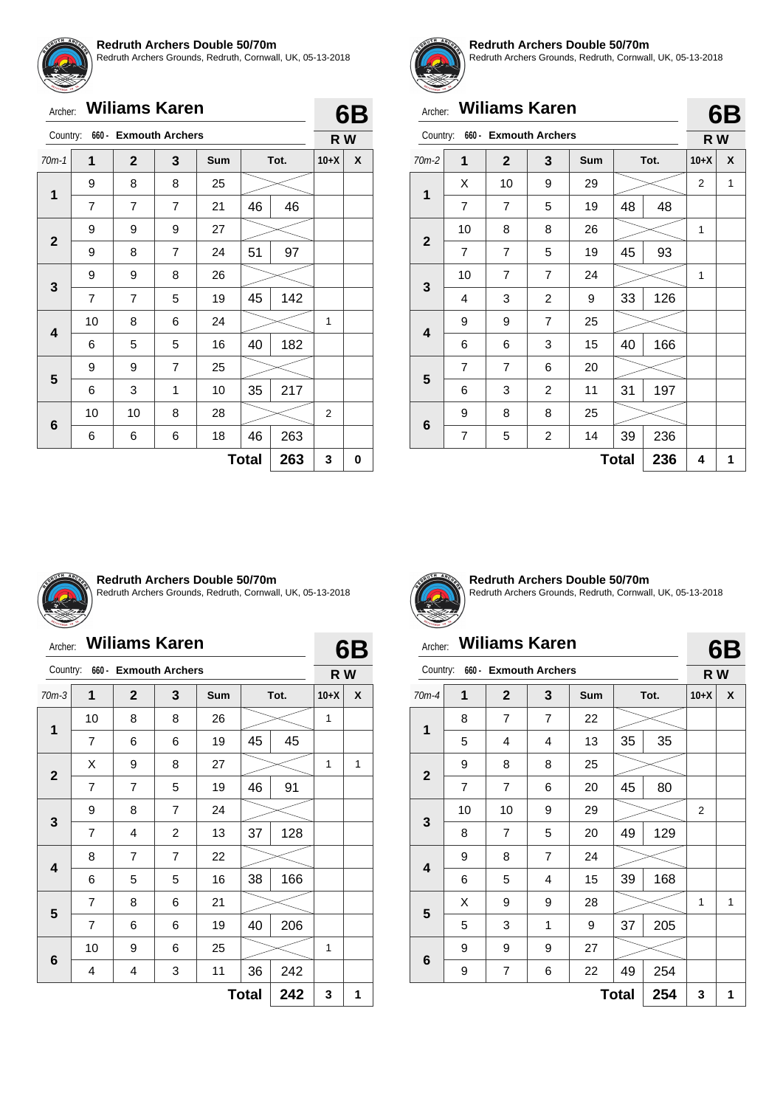

Redruth Archers Grounds, Redruth, Cornwall, UK, 05-13-2018

| Archer: | <b>Wiliams Karen</b> |  |
|---------|----------------------|--|

| Country:     |                     | 660 - Exmouth Archers |   |     |      |     | R W    |   |  |
|--------------|---------------------|-----------------------|---|-----|------|-----|--------|---|--|
| $70m-1$      | 1                   | $\overline{2}$        | 3 | Sum | Tot. |     | $10+X$ | X |  |
| 1            | 9                   | 8                     | 8 | 25  |      |     |        |   |  |
|              | $\overline{7}$      | $\overline{7}$        | 7 | 21  | 46   | 46  |        |   |  |
| $\mathbf{2}$ | 9                   | 9                     | 9 | 27  |      |     |        |   |  |
|              | 9                   | 8                     | 7 | 24  | 51   | 97  |        |   |  |
| 3            | 9                   | 9                     | 8 | 26  |      |     |        |   |  |
|              | 7                   | 7                     | 5 | 19  | 45   | 142 |        |   |  |
| 4            | 10                  | 8                     | 6 | 24  |      |     | 1      |   |  |
|              | 6                   | 5                     | 5 | 16  | 40   | 182 |        |   |  |
| 5            | 9                   | 9                     | 7 | 25  |      |     |        |   |  |
|              | 6                   | 3                     | 1 | 10  | 35   | 217 |        |   |  |
|              | 10                  | 10                    | 8 | 28  |      |     | 2      |   |  |
| 6            | 6                   | 6                     | 6 | 18  | 46   | 263 |        |   |  |
|              | 263<br><b>Total</b> |                       |   |     |      |     |        |   |  |



**6B**

#### **Redruth Archers Double 50/70m**

Redruth Archers Grounds, Redruth, Cornwall, UK, 05-13-2018

# Archer: **Wiliams Karen**

| Country:     |                | 660 - Exmouth Archers |                |     |              |      | R W            |   |
|--------------|----------------|-----------------------|----------------|-----|--------------|------|----------------|---|
| $70m-2$      | 1              | $\mathbf{2}$          | 3              | Sum |              | Tot. | $10+X$         | X |
|              | X              | 10                    | 9              | 29  |              |      | $\overline{2}$ | 1 |
| 1            | 7              | $\overline{7}$        | 5              | 19  | 48           | 48   |                |   |
|              | 10             | 8                     | 8              | 26  |              |      | 1              |   |
| $\mathbf{2}$ | $\overline{7}$ | 7                     | 5              | 19  | 45           | 93   |                |   |
|              | 10             | $\overline{7}$        | $\overline{7}$ | 24  |              |      | 1              |   |
| 3            | 4              | 3                     | 2              | 9   | 33           | 126  |                |   |
|              | 9              | 9                     | 7              | 25  |              |      |                |   |
| 4            | 6              | 6                     | 3              | 15  | 40           | 166  |                |   |
|              | 7              | 7                     | 6              | 20  |              |      |                |   |
| 5            | 6              | 3                     | $\overline{c}$ | 11  | 31           | 197  |                |   |
|              | 9              | 8                     | 8              | 25  |              |      |                |   |
| 6            | 7              | 5                     | $\overline{c}$ | 14  | 39           | 236  |                |   |
|              |                |                       |                |     | <b>Total</b> | 236  | 4              | 1 |



#### **Redruth Archers Double 50/70m**

Redruth Archers Grounds, Redruth, Cornwall, UK, 05-13-2018

### Archer: **Wiliams Karen**

|              | <b>Wiliams Karen</b><br>Archer: |                        |                |            |    |      |        | 6B |  |
|--------------|---------------------------------|------------------------|----------------|------------|----|------|--------|----|--|
| Country:     | 660 -                           | <b>Exmouth Archers</b> |                |            |    |      | R W    |    |  |
| $70m-3$      | 1                               | $\mathbf{2}$           | 3              | <b>Sum</b> |    | Tot. | $10+X$ | X  |  |
| 1            | 10                              | 8                      | 8              | 26         |    |      | 1      |    |  |
|              | $\overline{7}$                  | 6                      | 6              | 19         | 45 | 45   |        |    |  |
|              | X                               | 9                      | 8              | 27         |    |      | 1      | 1  |  |
| $\mathbf{2}$ | 7                               | $\overline{7}$         | 5              | 19         | 46 | 91   |        |    |  |
|              | 9                               | 8                      | 7              | 24         |    |      |        |    |  |
| 3            | 7                               | 4                      | $\overline{2}$ | 13         | 37 | 128  |        |    |  |
|              | 8                               | $\overline{7}$         | $\overline{7}$ | 22         |    |      |        |    |  |
| 4            | 6                               | 5                      | 5              | 16         | 38 | 166  |        |    |  |
|              | 7                               | 8                      | 6              | 21         |    |      |        |    |  |
| 5            | 7                               | 6                      | 6              | 19         | 40 | 206  |        |    |  |
|              | 10                              | 9                      | 6              | 25         |    |      | 1      |    |  |
| 6            | 4                               | 4                      | 3              | 11         | 36 | 242  |        |    |  |
|              | 242<br><b>Total</b>             |                        |                |            |    |      |        |    |  |



**Redruth Archers Double 50/70m** Redruth Archers Grounds, Redruth, Cornwall, UK, 05-13-2018

# Archer: **Wiliams Karen**

**6B**

| Country:                |                | 660 - Exmouth Archers |                |     |              |      | R W            |   |
|-------------------------|----------------|-----------------------|----------------|-----|--------------|------|----------------|---|
| $70m-4$                 | 1              | $\mathbf{2}$          | 3              | Sum |              | Tot. | $10+X$         | X |
| 1                       | 8              | $\overline{7}$        | 7              | 22  |              |      |                |   |
|                         | 5              | 4                     | 4              | 13  | 35           | 35   |                |   |
|                         | 9              | 8                     | 8              | 25  |              |      |                |   |
| $\mathbf{2}$            | $\overline{7}$ | 7                     | 6              | 20  | 45           | 80   |                |   |
| $\mathbf{3}$            | 10             | 10                    | 9              | 29  |              |      | $\overline{2}$ |   |
|                         | 8              | $\overline{7}$        | 5              | 20  | 49           | 129  |                |   |
|                         | 9              | 8                     | $\overline{7}$ | 24  |              |      |                |   |
| $\overline{\mathbf{4}}$ | 6              | 5                     | 4              | 15  | 39           | 168  |                |   |
| 5                       | X              | 9                     | 9              | 28  |              |      | 1              | 1 |
|                         | 5              | 3                     | 1              | 9   | 37           | 205  |                |   |
|                         | 9              | 9                     | 9              | 27  |              |      |                |   |
| $6\phantom{1}6$         | 9              | $\overline{7}$        | 6              | 22  | 49           | 254  |                |   |
|                         |                |                       |                |     | <b>Total</b> | 254  | 3              | 1 |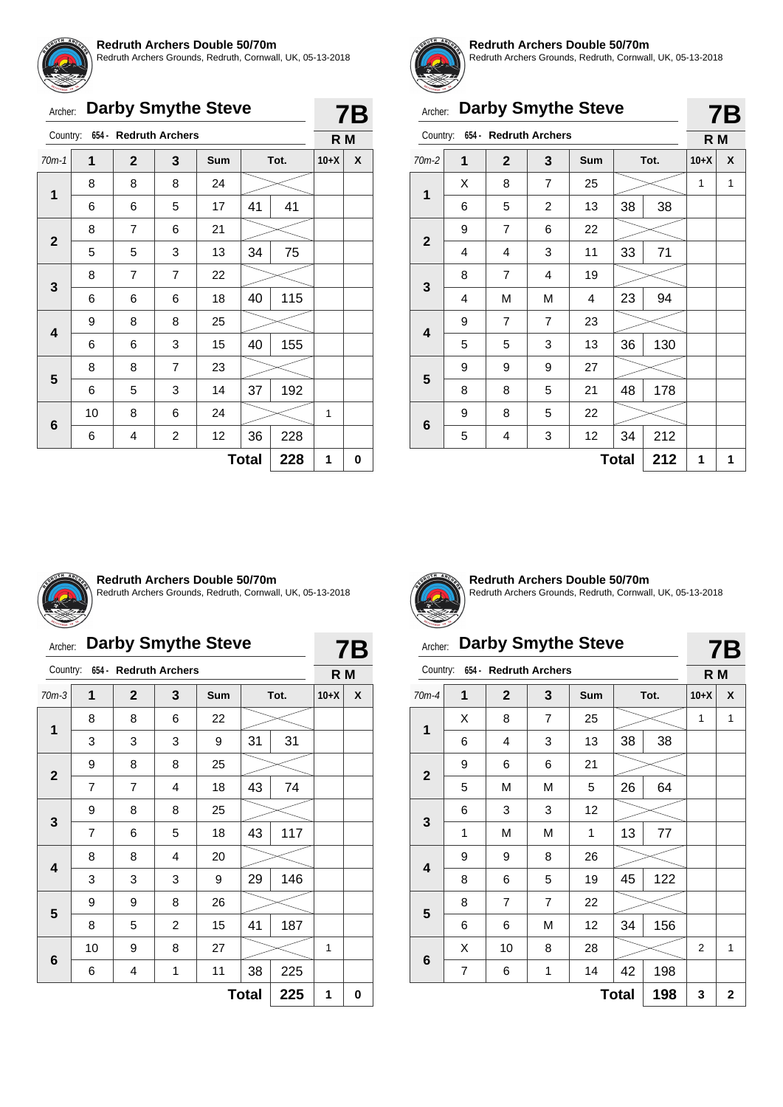

Redruth Archers Grounds, Redruth, Cornwall, UK, 05-13-2018

|  |  | Archer: Darby Smythe Steve |  |
|--|--|----------------------------|--|
|--|--|----------------------------|--|

| Country:    |    | 654 - Redruth Archers |                         |     |              |     | R M    |          |
|-------------|----|-----------------------|-------------------------|-----|--------------|-----|--------|----------|
| $70m-1$     | 1  | $\mathbf{2}$          | 3                       | Sum | Tot.         |     | $10+X$ | <b>X</b> |
| 1           | 8  | 8                     | 8                       | 24  |              |     |        |          |
|             | 6  | 6                     | 5                       | 17  | 41           | 41  |        |          |
| $\mathbf 2$ | 8  | 7                     | 6                       | 21  |              |     |        |          |
|             | 5  | 5                     | 3                       | 13  | 34           | 75  |        |          |
| 3           | 8  | 7                     | 7                       | 22  |              |     |        |          |
|             | 6  | 6                     | 6                       | 18  | 40           | 115 |        |          |
| 4           | 9  | 8                     | 8                       | 25  |              |     |        |          |
|             | 6  | 6                     | 3                       | 15  | 40           | 155 |        |          |
|             | 8  | 8                     | 7                       | 23  |              |     |        |          |
| 5           | 6  | 5                     | 3                       | 14  | 37           | 192 |        |          |
|             | 10 | 8                     | 6                       | 24  |              |     | 1      |          |
| 6           | 6  | 4                     | $\overline{\mathbf{c}}$ | 12  | 36           | 228 |        |          |
|             |    |                       |                         |     | <b>Total</b> | 228 | 1      | 0        |



**7B**

#### **Redruth Archers Double 50/70m**

Redruth Archers Grounds, Redruth, Cornwall, UK, 05-13-2018

| Archer:      |                     |                                |                | <b>Darby Smythe Steve</b> |    |      |        | 7Β |  |  |
|--------------|---------------------|--------------------------------|----------------|---------------------------|----|------|--------|----|--|--|
|              |                     | Country: 654 - Redruth Archers |                |                           |    |      | R M    |    |  |  |
| $70m-2$      | 1                   | $\mathbf{2}$                   | 3              | Sum                       |    | Tot. | $10+X$ | X  |  |  |
|              | X                   | 8                              | 7              | 25                        |    |      | 1      | 1  |  |  |
| 1            | 6                   | 5                              | 2              | 13                        | 38 | 38   |        |    |  |  |
| $\mathbf{2}$ | 9                   | $\overline{7}$                 | 6              | 22                        |    |      |        |    |  |  |
|              | 4                   | 4                              | 3              | 11                        | 33 | 71   |        |    |  |  |
|              | 8                   | 7                              | 4              | 19                        |    |      |        |    |  |  |
| 3            | 4                   | М                              | М              | 4                         | 23 | 94   |        |    |  |  |
| 4            | 9                   | $\overline{7}$                 | $\overline{7}$ | 23                        |    |      |        |    |  |  |
|              | 5                   | 5                              | 3              | 13                        | 36 | 130  |        |    |  |  |
|              | 9                   | 9                              | 9              | 27                        |    |      |        |    |  |  |
| 5            | 8                   | 8                              | 5              | 21                        | 48 | 178  |        |    |  |  |
|              | 9                   | 8                              | 5              | 22                        |    |      |        |    |  |  |
| 6            | 5                   | 4                              | 3              | 12                        | 34 | 212  |        |    |  |  |
|              | 212<br><b>Total</b> |                                |                |                           |    |      |        |    |  |  |



#### **Redruth Archers Double 50/70m**

Redruth Archers Grounds, Redruth, Cornwall, UK, 05-13-2018

# Archer: **Darby Smythe Steve**

| Country:                 |    |              | 654 - Redruth Archers |     |      |     | R M    |   |  |
|--------------------------|----|--------------|-----------------------|-----|------|-----|--------|---|--|
| $70m-3$                  | 1  | $\mathbf{2}$ | 3                     | Sum | Tot. |     | $10+X$ | X |  |
| $\mathbf{1}$             | 8  | 8            | 6                     | 22  |      |     |        |   |  |
|                          | 3  | 3            | 3                     | 9   | 31   | 31  |        |   |  |
| $\mathbf{2}$             | 9  | 8            | 8                     | 25  |      |     |        |   |  |
|                          | 7  | 7            | 4                     | 18  | 43   | 74  |        |   |  |
|                          | 9  | 8            | 8                     | 25  |      |     |        |   |  |
| 3                        | 7  | 6            | 5                     | 18  | 43   | 117 |        |   |  |
| $\overline{\mathbf{4}}$  | 8  | 8            | 4                     | 20  |      |     |        |   |  |
|                          | 3  | 3            | 3                     | 9   | 29   | 146 |        |   |  |
|                          | 9  | 9            | 8                     | 26  |      |     |        |   |  |
| 5                        | 8  | 5            | $\overline{2}$        | 15  | 41   | 187 |        |   |  |
|                          | 10 | 9            | 8                     | 27  |      |     | 1      |   |  |
| 6                        | 6  | 4            | 1                     | 11  | 38   | 225 |        |   |  |
| 225<br><b>Total</b><br>1 |    |              |                       |     |      |     |        |   |  |



**7B**

**Redruth Archers Double 50/70m** Redruth Archers Grounds, Redruth, Cornwall, UK, 05-13-2018

**7B**

# Archer: **Darby Smythe Steve** Country: **654 - Redruth Archers**

| Country:<br>634 - Rearuth Archers |                                           |              |                         |     |              |      | R M    |              |
|-----------------------------------|-------------------------------------------|--------------|-------------------------|-----|--------------|------|--------|--------------|
| 70m-4                             | 1                                         | $\mathbf{2}$ | 3                       | Sum |              | Tot. | $10+X$ | X            |
| $\mathbf 1$                       | Χ                                         | 8            | $\overline{7}$          | 25  |              |      | 1      | 1            |
|                                   | 6                                         | 4            | 3                       | 13  | 38           | 38   |        |              |
|                                   | 9                                         | 6            | 6                       | 21  |              |      |        |              |
| $\mathbf{2}$                      | 5                                         | M            | M                       | 5   | 26           | 64   |        |              |
|                                   | 6                                         | 3            | 3                       | 12  |              |      |        |              |
| $\mathbf{3}$                      | 1                                         | M            | M                       | 1   | 13           | 77   |        |              |
|                                   | 9                                         | 9            | 8                       | 26  |              |      |        |              |
| $\overline{\mathbf{4}}$           | 8                                         | 6            | 5                       | 19  | 45           | 122  |        |              |
|                                   | 8                                         | 7            | $\overline{\mathbf{7}}$ | 22  |              |      |        |              |
| $\overline{\mathbf{5}}$           | 6                                         | 6            | M                       | 12  | 34           | 156  |        |              |
|                                   | X                                         | 10           | 8                       | 28  |              |      | 2      | 1            |
|                                   | 6<br>$\overline{7}$<br>42<br>6<br>1<br>14 |              | 198                     |     |              |      |        |              |
|                                   |                                           |              |                         |     | <b>Total</b> | 198  | 3      | $\mathbf{2}$ |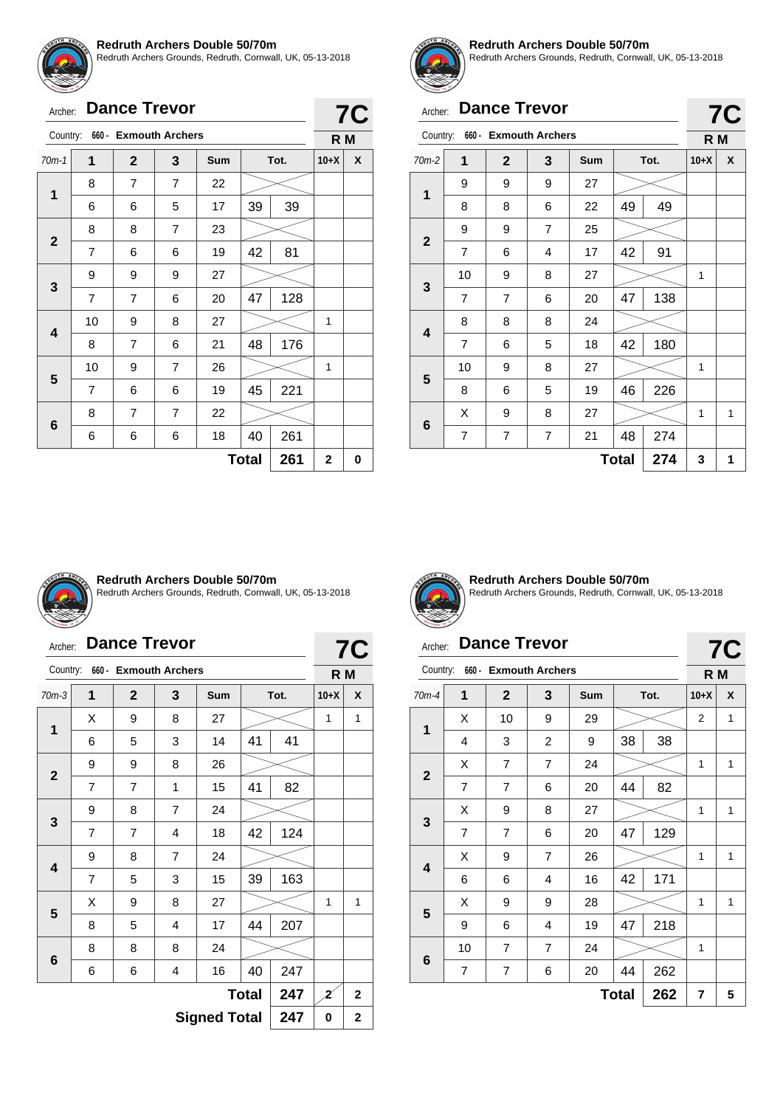

Redruth Archers Grounds, Redruth, Cornwall, UK, 05-13-2018

# Archer: **Dance Trevor**

|             | 660 - Exmouth Archers<br>Country: |                |                |            |          |      |        |   |
|-------------|-----------------------------------|----------------|----------------|------------|----------|------|--------|---|
| $70m-1$     | 1                                 | $\overline{2}$ | 3              | <b>Sum</b> |          | Tot. | $10+X$ | X |
|             | 8                                 | 7              | $\overline{7}$ | 22         |          |      |        |   |
| 1           | 6                                 | 6              | 5              | 17         | 39       | 39   |        |   |
|             | 8                                 | 8              | $\overline{7}$ | 23         |          |      |        |   |
| $\mathbf 2$ | $\overline{7}$                    | 6              | 6              | 19         | 81<br>42 |      |        |   |
|             | 9                                 | 9              | 9              | 27         |          |      |        |   |
| 3           | $\overline{7}$                    | 7              | 6              | 20         | 47       | 128  |        |   |
| 4           | 10                                | 9              | 8              | 27         |          |      | 1      |   |
|             | 8                                 | 7              | 6              | 21         | 48       | 176  |        |   |
| 5           | 10                                | 9              | $\overline{7}$ | 26         |          |      | 1      |   |
|             | 7                                 | 6              | 6              | 19         | 45       | 221  |        |   |
|             | 7<br>8                            |                | $\overline{7}$ | 22         |          |      |        |   |
|             | 6<br>6<br>6<br>18<br>6            |                |                |            | 40       | 261  |        |   |
|             | $\mathbf 2$                       | 0              |                |            |          |      |        |   |



**7C**

#### **Redruth Archers Double 50/70m**

Redruth Archers Grounds, Redruth, Cornwall, UK, 05-13-2018

**7C**

**7C**

# Archer: **Dance Trevor**

| Country:     |                     | 660 - Exmouth Archers |                |     |    |      | R M    |   |
|--------------|---------------------|-----------------------|----------------|-----|----|------|--------|---|
| $70m-2$      | 1                   | $\mathbf 2$           | 3              | Sum |    | Tot. | $10+X$ | X |
| 1            | 9                   | 9                     | 9              | 27  |    |      |        |   |
|              | 8                   | 8                     | 6              | 22  | 49 | 49   |        |   |
| $\mathbf{2}$ | 9                   | 9                     | $\overline{7}$ | 25  |    |      |        |   |
|              | 7                   | 6                     | 4              | 17  | 42 | 91   |        |   |
| 3            | 10                  | 9                     | 8              | 27  |    |      | 1      |   |
|              | $\overline{7}$      | $\overline{7}$        | 6              | 20  | 47 | 138  |        |   |
|              | 8                   | 8                     | 8              | 24  |    |      |        |   |
| 4            | $\overline{7}$      | 6                     | 5              | 18  | 42 | 180  |        |   |
|              | 10                  | 9                     | 8              | 27  |    |      | 1      |   |
| 5            | 8                   | 6                     | 5              | 19  | 46 | 226  |        |   |
|              | X                   | 9                     | 8              | 27  |    |      | 1      | 1 |
| 6            | 7                   | 7                     | 7              | 21  | 48 | 274  |        |   |
|              | 274<br><b>Total</b> |                       |                |     |    |      |        |   |



#### **Redruth Archers Double 50/70m**

Redruth Archers Grounds, Redruth, Cornwall, UK, 05-13-2018

# Archer: **Dance Trevor**

|                                                      | <b>Dance Trevor</b><br>Archer:    |                |                |     |    |      |        |   |
|------------------------------------------------------|-----------------------------------|----------------|----------------|-----|----|------|--------|---|
|                                                      | Country:<br>660 - Exmouth Archers |                |                |     |    |      |        |   |
| $70m-3$                                              | 1                                 | $\mathbf{2}$   | 3              | Sum |    | Tot. | $10+X$ | X |
| 1                                                    | X                                 | 9              | 8              | 27  |    |      | 1      | 1 |
|                                                      | 6                                 | 5              | 3              | 14  | 41 | 41   |        |   |
|                                                      | 9<br>9<br>8<br>26                 |                |                |     |    |      |        |   |
| $\mathbf{2}$<br>$\overline{7}$<br>41<br>7<br>15<br>1 |                                   |                |                |     |    | 82   |        |   |
| $\overline{7}$<br>9<br>8<br>24<br>3                  |                                   |                |                |     |    |      |        |   |
|                                                      | 7                                 | $\overline{7}$ | 4              | 18  | 42 | 124  |        |   |
| 4                                                    | 9                                 | 8              | $\overline{7}$ | 24  |    |      |        |   |
|                                                      | 7                                 | 5              | 3              | 15  | 39 | 163  |        |   |
| 5                                                    | Χ                                 | 9              | 8              | 27  |    |      | 1      | 1 |
|                                                      | 8                                 | 5              | 4              | 17  | 44 | 207  |        |   |
| 6                                                    | 8                                 | 8              | 8              | 24  |    |      |        |   |
|                                                      | 247<br>16<br>40<br>6<br>6<br>4    |                |                |     |    |      |        |   |
|                                                      | 247<br><b>Total</b>               |                |                |     |    |      |        |   |
|                                                      | <b>Signed Total</b><br>247        |                |                |     |    |      |        |   |



**Redruth Archers Double 50/70m** Redruth Archers Grounds, Redruth, Cornwall, UK, 05-13-2018

# Archer: **Dance Trevor**

| Country:                                           |                                                   | 660 - Exmouth Archers |                |     |    |      | R M            |   |  |
|----------------------------------------------------|---------------------------------------------------|-----------------------|----------------|-----|----|------|----------------|---|--|
| $70m-4$                                            | 1                                                 | $\mathbf{2}$          | 3              | Sum |    | Tot. | $10+X$         | X |  |
|                                                    | X                                                 | 10                    | 9              | 29  |    |      | $\overline{2}$ | 1 |  |
| 1                                                  | 4                                                 | 3                     | $\overline{c}$ | 9   | 38 | 38   |                |   |  |
| 7<br>$\overline{7}$<br>X<br>24<br>$\boldsymbol{2}$ |                                                   |                       |                |     |    |      | 1              | 1 |  |
|                                                    | $\overline{7}$                                    | 7                     | 6              | 20  | 44 | 82   |                |   |  |
|                                                    | X                                                 | 9                     | 8              | 27  |    |      | 1              | 1 |  |
| 3                                                  | $\overline{7}$                                    | $\overline{7}$        | 6              | 20  | 47 | 129  |                |   |  |
|                                                    | Χ                                                 | 9                     | 7              | 26  |    |      | 1              | 1 |  |
| 4                                                  | 6                                                 | 6                     | 4              | 16  | 42 | 171  |                |   |  |
|                                                    | X                                                 | 9                     | 9              | 28  |    |      | 1              | 1 |  |
| 5                                                  | 9                                                 | 6                     | 4              | 19  | 47 | 218  |                |   |  |
|                                                    | 10                                                | $\overline{7}$        | $\overline{7}$ | 24  |    |      | 1              |   |  |
|                                                    | $6\phantom{1}6$<br>262<br>7<br>44<br>7<br>6<br>20 |                       |                |     |    |      |                |   |  |
|                                                    | 262<br><b>Total</b>                               |                       |                |     |    |      |                |   |  |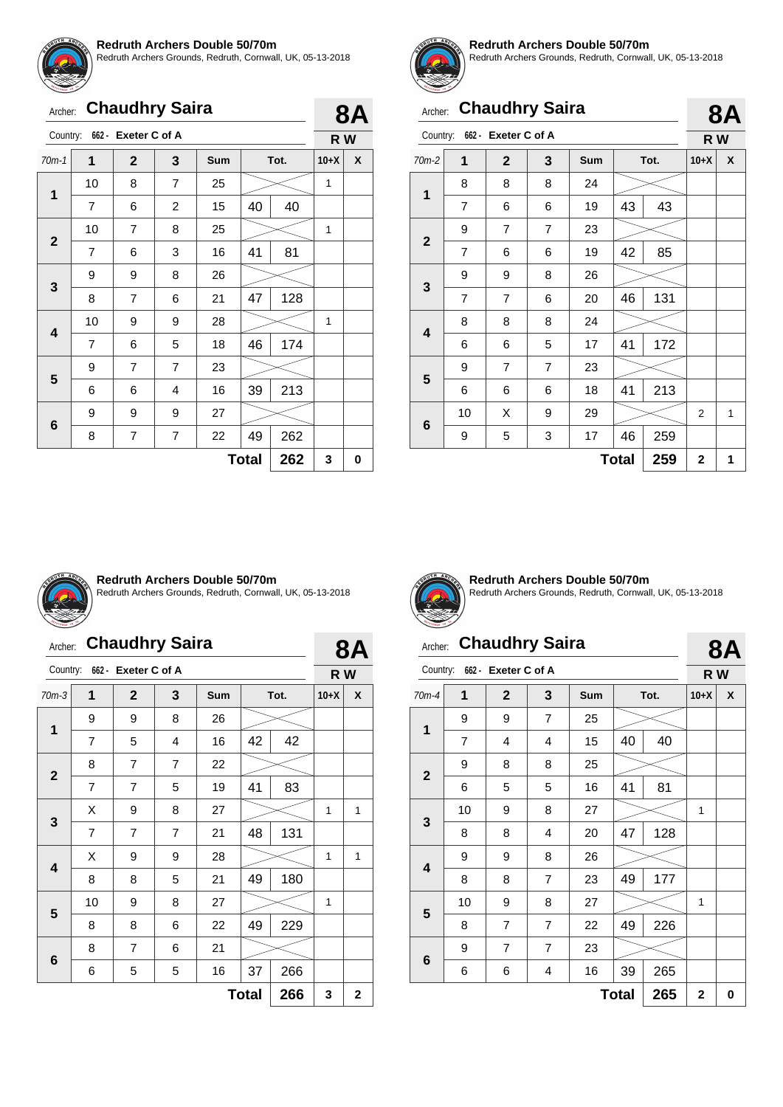

Redruth Archers Grounds, Redruth, Cornwall, UK, 05-13-2018

| Archer: Chaudhry Saira |  |
|------------------------|--|
|                        |  |

|                                                  | Country:<br>662 - Exeter C of A                |                |                |     |    |      |        |   |
|--------------------------------------------------|------------------------------------------------|----------------|----------------|-----|----|------|--------|---|
| $70m-1$                                          | 1                                              | $\overline{2}$ | 3              | Sum |    | Tot. | $10+X$ | X |
|                                                  | 10                                             | 8              | $\overline{7}$ | 25  |    |      | 1      |   |
| 1                                                | 7                                              | 6              | $\overline{2}$ | 15  | 40 | 40   |        |   |
|                                                  | $\overline{7}$<br>10<br>8<br>25<br>$\mathbf 2$ |                |                |     |    | 1    |        |   |
|                                                  | 7                                              | 6              | 3              | 16  | 41 | 81   |        |   |
| 3                                                | 9                                              | 9              | 8              | 26  |    |      |        |   |
|                                                  | 8                                              | 7              | 6              | 21  | 47 | 128  |        |   |
|                                                  | 10                                             | 9              | 9              | 28  |    |      | 1      |   |
| 4                                                | 7                                              | 6              | 5              | 18  | 46 | 174  |        |   |
|                                                  | 9                                              | $\overline{7}$ | 7              | 23  |    |      |        |   |
| 5                                                | 6                                              | 6              | 4              | 16  | 39 | 213  |        |   |
|                                                  | 9                                              | 9              | 9              | 27  |    |      |        |   |
| 6<br>$\overline{7}$<br>7<br>22<br>49<br>262<br>8 |                                                |                |                |     |    |      |        |   |
|                                                  | 3                                              | 0              |                |     |    |      |        |   |



**8A**

#### **Redruth Archers Double 50/70m**

Redruth Archers Grounds, Redruth, Cornwall, UK, 05-13-2018

|                | <b>Chaudhry Saira</b><br>Archer:      |                |                |    |    |     |   |   |
|----------------|---------------------------------------|----------------|----------------|----|----|-----|---|---|
|                | Country: 662 - Exeter C of A          |                |                |    |    |     |   |   |
| $70m-2$        | 1<br>$\mathbf{2}$<br>3<br>Sum<br>Tot. |                |                |    |    |     |   | X |
| 1              | 8                                     | 8              | 8              | 24 |    |     |   |   |
|                | 7                                     | 6              | 6              | 19 | 43 | 43  |   |   |
| $\overline{2}$ | 9                                     | $\overline{7}$ | 7              | 23 |    |     |   |   |
|                | $\overline{7}$                        | 6              | 6              | 19 | 42 | 85  |   |   |
| 3              | 9                                     | 9              | 8              | 26 |    |     |   |   |
|                | $\overline{7}$                        | $\overline{7}$ | 6              | 20 | 46 | 131 |   |   |
|                | 8                                     | 8              | 8              | 24 |    |     |   |   |
| 4              | 6                                     | 6              | 5              | 17 | 41 | 172 |   |   |
|                | 9                                     | $\overline{7}$ | $\overline{7}$ | 23 |    |     |   |   |
| 5              | 6                                     | 6              | 6              | 18 | 41 | 213 |   |   |
|                | 10                                    | X              | 9              | 29 |    |     | 2 | 1 |
|                | 6<br>259<br>3<br>17<br>46<br>9<br>5   |                |                |    |    |     |   |   |
|                | 259<br><b>Total</b>                   |                |                |    |    |     |   | 1 |



#### **Redruth Archers Double 50/70m**

Redruth Archers Grounds, Redruth, Cornwall, UK, 05-13-2018

# Archer: **Chaudhry Saira**

|                                             | <b>Chaudhry Saira</b><br>Archer:    |                              |                |     |    |      |        |           |  |
|---------------------------------------------|-------------------------------------|------------------------------|----------------|-----|----|------|--------|-----------|--|
|                                             |                                     | Country: 662 - Exeter C of A |                |     |    |      | R W    | <b>8A</b> |  |
| $70m-3$                                     | 1                                   | $\mathbf{2}$                 | 3              | Sum |    | Tot. | $10+X$ | X         |  |
| $\mathbf{1}$                                | 9                                   | 9                            | 8              | 26  |    |      |        |           |  |
|                                             | 7                                   | 5                            | 4              | 16  | 42 | 42   |        |           |  |
| $\overline{7}$<br>$\overline{7}$<br>8<br>22 |                                     |                              |                |     |    |      |        |           |  |
| $\mathbf{2}$                                | 7                                   | 7                            | 5              | 19  | 41 | 83   |        |           |  |
|                                             | х                                   | 9                            | 8              | 27  |    |      | 1      | 1         |  |
| 3                                           | 7                                   | $\overline{7}$               | $\overline{7}$ | 21  | 48 | 131  |        |           |  |
|                                             | X                                   | 9                            | 9              | 28  |    |      | 1      | 1         |  |
| 4                                           | 8                                   | 8                            | 5              | 21  | 49 | 180  |        |           |  |
| 5                                           | 10                                  | 9                            | 8              | 27  |    |      | 1      |           |  |
|                                             | 8                                   | 8                            | 6              | 22  | 49 | 229  |        |           |  |
|                                             | 8                                   | 7                            | 6              | 21  |    |      |        |           |  |
|                                             | 6<br>37<br>266<br>5<br>5<br>16<br>6 |                              |                |     |    |      |        |           |  |
|                                             | 266<br><b>Total</b>                 |                              |                |     |    |      |        |           |  |

![](_page_16_Picture_14.jpeg)

**Redruth Archers Double 50/70m** Redruth Archers Grounds, Redruth, Cornwall, UK, 05-13-2018

# Archer: **Chaudhry Saira**

# **8A**

|                         | 662 - Exeter C of A<br>Country: |                |                |            |    |      |        |   |
|-------------------------|---------------------------------|----------------|----------------|------------|----|------|--------|---|
| $70m-4$                 | 1                               | $\mathbf{2}$   | 3              | <b>Sum</b> |    | Tot. | $10+X$ | X |
| $\mathbf{1}$            | 9                               | 9              | 7              | 25         |    |      |        |   |
|                         | $\overline{7}$                  | 4              | 4              | 15         | 40 | 40   |        |   |
|                         | 9                               | 8              | 8              | 25         |    |      |        |   |
| $\mathbf{2}$            | 6                               | 5              | 5              | 16         | 41 | 81   |        |   |
|                         | 10                              | 9              | 8              | 27         |    |      | 1      |   |
| $\mathbf{3}$            | 8                               | 8              | 4              | 20         | 47 | 128  |        |   |
|                         | 9                               | 9              | 8              | 26         |    |      |        |   |
| $\overline{\mathbf{4}}$ | 8                               | 8              | $\overline{7}$ | 23         | 49 | 177  |        |   |
|                         | 10                              | 9              | 8              | 27         |    |      | 1      |   |
| 5                       | 8                               | $\overline{7}$ | 7              | 22         | 49 | 226  |        |   |
|                         | 9                               | $\overline{7}$ | $\overline{7}$ | 23         |    |      |        |   |
| 6                       | 6                               | 6              | 4              | 16         | 39 | 265  |        |   |
|                         | $\mathbf 2$                     | 0              |                |            |    |      |        |   |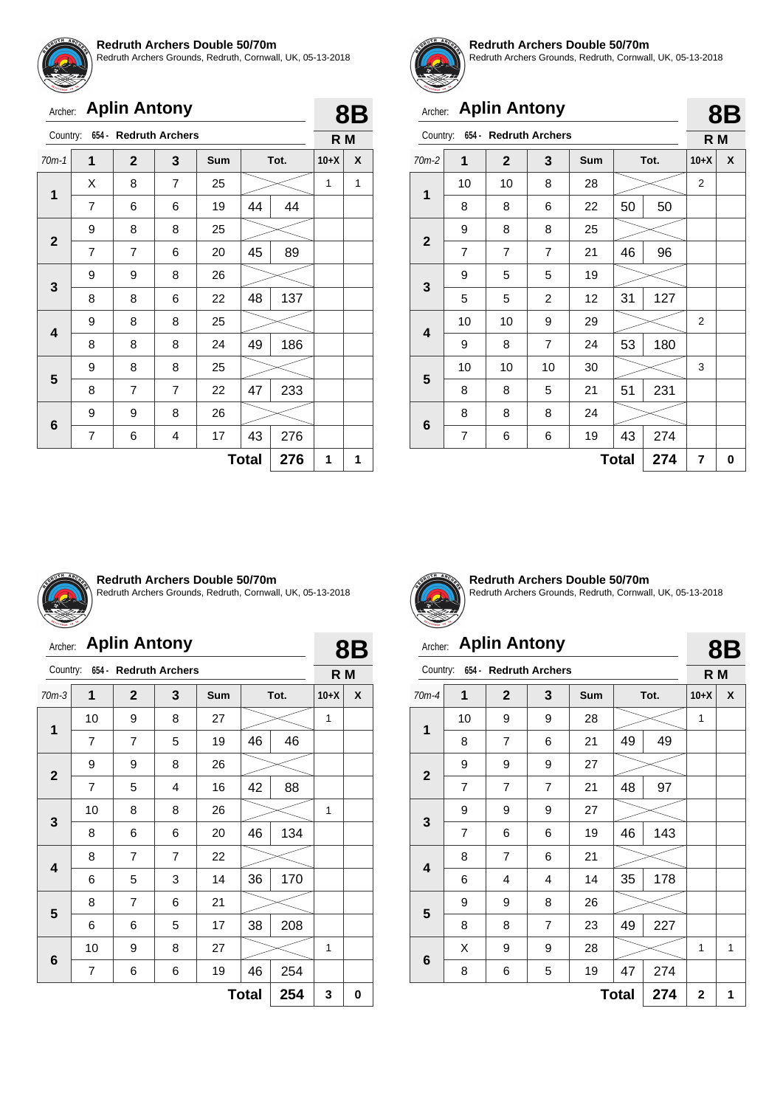![](_page_17_Picture_0.jpeg)

Redruth Archers Grounds, Redruth, Cornwall, UK, 05-13-2018

### Archer: **Aplin Antony**

|              | <b>Aplin Antony</b><br>Archer: |              |                                |            |    |      |        |   |  |  |
|--------------|--------------------------------|--------------|--------------------------------|------------|----|------|--------|---|--|--|
|              |                                |              | Country: 654 - Redruth Archers |            |    |      | R M    |   |  |  |
| $70m-1$      | 1                              | $\mathbf{2}$ | 3                              | <b>Sum</b> |    | Tot. | $10+X$ | X |  |  |
|              | X                              | 8            | $\overline{7}$                 | 25         |    |      | 1      | 1 |  |  |
| 1            | 7                              | 6            | 6                              | 19         | 44 | 44   |        |   |  |  |
| $\mathbf{2}$ | 9                              | 8            | 8                              | 25         |    |      |        |   |  |  |
|              | $\overline{7}$                 | 7            | 6                              | 20         | 45 | 89   |        |   |  |  |
|              | 9                              | 9            | 8                              | 26         |    |      |        |   |  |  |
| 3            | 8                              | 8            | 6                              | 22         | 48 | 137  |        |   |  |  |
|              | 9                              | 8            | 8                              | 25         |    |      |        |   |  |  |
| 4            | 8                              | 8            | 8                              | 24         | 49 | 186  |        |   |  |  |
|              | 9                              | 8            | 8                              | 25         |    |      |        |   |  |  |
| 5            | 8                              | 7            | $\overline{7}$                 | 22         | 47 | 233  |        |   |  |  |
|              | 9                              | 9            | 8                              | 26         |    |      |        |   |  |  |
| 6            | 43<br>276<br>7<br>17<br>4<br>6 |              |                                |            |    |      |        |   |  |  |
|              | 276<br><b>Total</b>            |              |                                |            |    |      |        |   |  |  |

![](_page_17_Picture_5.jpeg)

#### **Redruth Archers Double 50/70m**

Redruth Archers Grounds, Redruth, Cornwall, UK, 05-13-2018

# Archer: **Aplin Antony**

| Country:         |                     | 654 - Redruth Archers |                |     |    |      | R M            |   |  |
|------------------|---------------------|-----------------------|----------------|-----|----|------|----------------|---|--|
| $70m-2$          | $\mathbf{1}$        | $\overline{2}$        | 3              | Sum |    | Tot. | $10+X$         | X |  |
| 1                | 10                  | 10                    | 8              | 28  |    |      | $\overline{2}$ |   |  |
|                  | 8                   | 8                     | 6              | 22  | 50 | 50   |                |   |  |
| $\mathbf{2}$     | 9                   | 8                     | 8              | 25  |    |      |                |   |  |
|                  | $\overline{7}$      | $\overline{7}$        | $\overline{7}$ | 21  | 46 | 96   |                |   |  |
|                  | 9                   | 5                     | 5              | 19  |    |      |                |   |  |
| $\mathbf{3}$     | 5                   | 5                     | $\overline{c}$ | 12  | 31 | 127  |                |   |  |
|                  | 10                  | 10                    | 9              | 29  |    |      | $\overline{2}$ |   |  |
| 4                | 9                   | 8                     | $\overline{7}$ | 24  | 53 | 180  |                |   |  |
|                  | 10                  | 10                    | 10             | 30  |    |      | 3              |   |  |
| 5                | 8                   | 8                     | 5              | 21  | 51 | 231  |                |   |  |
|                  | 8                   | 8                     | 8              | 24  |    |      |                |   |  |
| 6<br>7<br>6<br>6 |                     |                       |                | 19  | 43 | 274  |                |   |  |
|                  | 274<br><b>Total</b> |                       |                |     |    |      |                |   |  |

![](_page_17_Picture_10.jpeg)

#### **Redruth Archers Double 50/70m**

Redruth Archers Grounds, Redruth, Cornwall, UK, 05-13-2018

# Archer: **Aplin Antony**

| Archer:      |    | <b>Aplin Antony</b>            |                |     |              |      |        | <b>8B</b> |
|--------------|----|--------------------------------|----------------|-----|--------------|------|--------|-----------|
|              |    | Country: 654 - Redruth Archers |                |     |              |      | R M    |           |
| $70m-3$      | 1  | $\overline{2}$                 | 3              | Sum |              | Tot. | $10+X$ | X         |
|              | 10 | 9                              | 8              | 27  |              |      | 1      |           |
| 1            | 7  | $\overline{7}$                 | 5              | 19  | 46           | 46   |        |           |
|              | 9  | 9                              | 8              | 26  |              |      |        |           |
| $\mathbf{2}$ | 7  | 5                              | 4              | 16  | 42           | 88   |        |           |
|              | 10 | 8                              | 8              | 26  |              |      | 1      |           |
| 3            | 8  | 6                              | 6              | 20  | 46           | 134  |        |           |
|              | 8  | $\overline{7}$                 | $\overline{7}$ | 22  |              |      |        |           |
| 4            | 6  | 5                              | 3              | 14  | 36           | 170  |        |           |
|              | 8  | $\overline{7}$                 | 6              | 21  |              |      |        |           |
| 5            | 6  | 6                              | 5              | 17  | 38           | 208  |        |           |
|              | 10 | 9                              | 8              | 27  |              |      | 1      |           |
| 6            | 7  | 6                              | 6              | 19  | 46           | 254  |        |           |
|              |    |                                |                |     | <b>Total</b> | 254  | 3      | 0         |

![](_page_17_Picture_15.jpeg)

**Redruth Archers Double 50/70m** Redruth Archers Grounds, Redruth, Cornwall, UK, 05-13-2018

# Archer: **Aplin Antony**

|--|

**8B**

| Country:                |    | 654 - Redruth Archers |   |     |              |      | R M         |   |
|-------------------------|----|-----------------------|---|-----|--------------|------|-------------|---|
| $70m-4$                 | 1  | $\mathbf{2}$          | 3 | Sum |              | Tot. | $10+X$      | X |
| $\mathbf{1}$            | 10 | 9                     | 9 | 28  |              |      | 1           |   |
|                         | 8  | $\overline{7}$        | 6 | 21  | 49           | 49   |             |   |
| $\mathbf{2}$            | 9  | 9                     | 9 | 27  |              |      |             |   |
|                         | 7  | $\overline{7}$        | 7 | 21  | 48           | 97   |             |   |
| 3                       | 9  | 9                     | 9 | 27  |              |      |             |   |
|                         | 7  | 6                     | 6 | 19  | 46           | 143  |             |   |
| $\overline{\mathbf{4}}$ | 8  | $\overline{7}$        | 6 | 21  |              |      |             |   |
|                         | 6  | 4                     | 4 | 14  | 35           | 178  |             |   |
| 5                       | 9  | 9                     | 8 | 26  |              |      |             |   |
|                         | 8  | 8                     | 7 | 23  | 49           | 227  |             |   |
|                         | Χ  | 9                     | 9 | 28  |              |      | 1           | 1 |
| $6\phantom{1}$          | 8  | 6                     | 5 | 19  | 47           | 274  |             |   |
|                         |    |                       |   |     | <b>Total</b> | 274  | $\mathbf 2$ | 1 |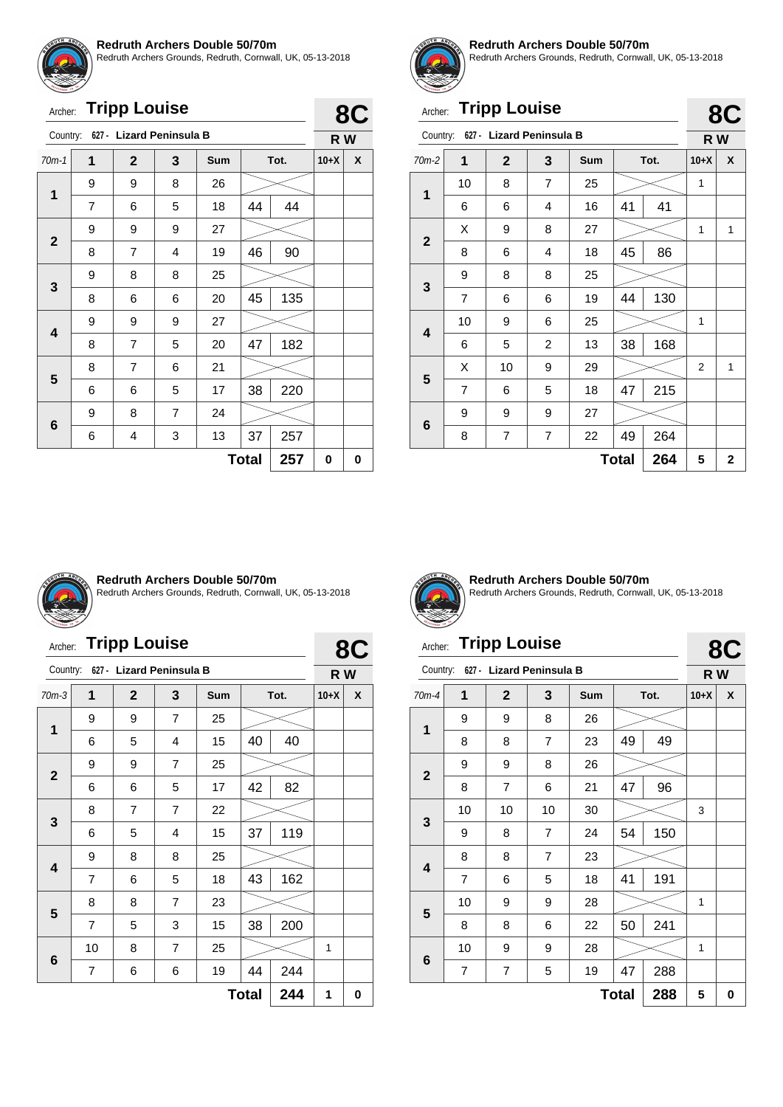![](_page_18_Picture_0.jpeg)

Redruth Archers Grounds, Redruth, Cornwall, UK, 05-13-2018

| Archer: Tripp Louise |  |
|----------------------|--|
|----------------------|--|

| Archer:      |   | <b>Tripp Louise</b>               |   |     |              |      | 8C     |   |  |
|--------------|---|-----------------------------------|---|-----|--------------|------|--------|---|--|
|              |   | Country: 627 - Lizard Peninsula B |   |     |              |      | R W    |   |  |
| $70m-1$      | 1 | $\overline{2}$                    | 3 | Sum |              | Tot. | $10+X$ | X |  |
| $\mathbf{1}$ | 9 | 9                                 | 8 | 26  |              |      |        |   |  |
|              | 7 | 6                                 | 5 | 18  | 44           | 44   |        |   |  |
|              | 9 | 9                                 | 9 | 27  |              |      |        |   |  |
| $\mathbf{2}$ | 8 | 7                                 | 4 | 19  | 46           | 90   |        |   |  |
|              | 9 | 8                                 | 8 | 25  |              |      |        |   |  |
| 3            | 8 | 6                                 | 6 | 20  | 45           | 135  |        |   |  |
|              | 9 | 9                                 | 9 | 27  |              |      |        |   |  |
| 4            | 8 | $\overline{7}$                    | 5 | 20  | 47           | 182  |        |   |  |
|              | 8 | 7                                 | 6 | 21  |              |      |        |   |  |
| 5            | 6 | 6                                 | 5 | 17  | 38           | 220  |        |   |  |
|              | 9 | 8                                 | 7 | 24  |              |      |        |   |  |
| 6            | 6 | 4                                 | 3 | 13  | 37           | 257  |        |   |  |
|              |   |                                   |   |     | <b>Total</b> | 257  | 0      | 0 |  |

![](_page_18_Picture_5.jpeg)

#### **Redruth Archers Double 50/70m**

Redruth Archers Grounds, Redruth, Cornwall, UK, 05-13-2018

 $\mathbf{R}$ 

 $\mathbf{R}$ 

# Archer: **Tripp Louise**

|              |                |                          |                |     |              |      |                | --                      |
|--------------|----------------|--------------------------|----------------|-----|--------------|------|----------------|-------------------------|
| Country:     |                | 627 - Lizard Peninsula B |                |     |              |      | R W            |                         |
| $70m-2$      | 1              | $\mathbf{2}$             | 3              | Sum |              | Tot. | $10+X$         | X                       |
| 1            | 10             | 8                        | $\overline{7}$ | 25  |              |      | 1              |                         |
|              | 6              | 6                        | 4              | 16  | 41           | 41   |                |                         |
| $\mathbf{2}$ | х              | 9                        | 8              | 27  |              |      | 1              | 1                       |
|              | 8              | 6                        | 4              | 18  | 45           | 86   |                |                         |
|              | 9              | 8                        | 8              | 25  |              |      |                |                         |
| $\mathbf{3}$ | $\overline{7}$ | 6                        | 6              | 19  | 44           | 130  |                |                         |
|              | 10             | 9                        | 6              | 25  |              |      | 1              |                         |
| 4            | 6              | 5                        | $\overline{c}$ | 13  | 38           | 168  |                |                         |
|              | X              | 10                       | 9              | 29  |              |      | $\overline{2}$ | 1                       |
| 5            | $\overline{7}$ | 6                        | 5              | 18  | 47           | 215  |                |                         |
|              | 9              | 9                        | 9              | 27  |              |      |                |                         |
| 6            | 8              | 7                        | 7              | 22  | 49           | 264  |                |                         |
|              |                |                          |                |     | <b>Total</b> | 264  | 5              | $\overline{\mathbf{2}}$ |

![](_page_18_Picture_10.jpeg)

#### **Redruth Archers Double 50/70m**

Redruth Archers Grounds, Redruth, Cornwall, UK, 05-13-2018

# Archer: **Tripp Louise**

| Archer:      |                | <b>Tripp Louise</b>      |                |     |              |      | 8C     |   |
|--------------|----------------|--------------------------|----------------|-----|--------------|------|--------|---|
| Country:     |                | 627 - Lizard Peninsula B |                |     |              |      | R W    |   |
| $70m-3$      | 1              | $\mathbf{2}$             | 3              | Sum |              | Tot. | $10+X$ | X |
| 1            | 9              | 9                        | $\overline{7}$ | 25  |              |      |        |   |
|              | 6              | 5                        | 4              | 15  | 40           | 40   |        |   |
| $\mathbf{2}$ | 9              | 9                        | $\overline{7}$ | 25  |              |      |        |   |
|              | 6              | 6                        | 5              | 17  | 42           | 82   |        |   |
|              | 8              | $\overline{7}$           | 7              | 22  |              |      |        |   |
| 3            | 6              | 5                        | 4              | 15  | 37           | 119  |        |   |
|              | 9              | 8                        | 8              | 25  |              |      |        |   |
| 4            | 7              | 6                        | 5              | 18  | 43           | 162  |        |   |
| 5            | 8              | 8                        | $\overline{7}$ | 23  |              |      |        |   |
|              | $\overline{7}$ | 5                        | 3              | 15  | 38           | 200  |        |   |
|              | 10             | 8                        | $\overline{7}$ | 25  |              |      | 1      |   |
| 6            | $\overline{7}$ | 6                        | 6              | 19  | 44           | 244  |        |   |
|              |                |                          |                |     | <b>Total</b> | 244  | 1      | 0 |

![](_page_18_Picture_15.jpeg)

**Redruth Archers Double 50/70m** Redruth Archers Grounds, Redruth, Cornwall, UK, 05-13-2018

# Archer: **Tripp Louise**

| Country:     |                     |                | 627 - Lizard Peninsula B |     |    |      | R W    |   |  |  |
|--------------|---------------------|----------------|--------------------------|-----|----|------|--------|---|--|--|
| $70m-4$      | 1                   | $\mathbf 2$    | 3                        | Sum |    | Tot. | $10+X$ | X |  |  |
| $\mathbf{1}$ | 9                   | 9              | 8                        | 26  |    |      |        |   |  |  |
|              | 8                   | 8              | $\overline{7}$           | 23  | 49 | 49   |        |   |  |  |
|              | 9                   | 9              | 8                        | 26  |    |      |        |   |  |  |
| $\mathbf{2}$ | 8                   | $\overline{7}$ | 6                        | 21  | 47 | 96   |        |   |  |  |
|              | 10                  | 10             | 10                       | 30  |    |      | 3      |   |  |  |
| $\mathbf{3}$ | 9                   | 8              | $\overline{7}$           | 24  | 54 | 150  |        |   |  |  |
|              | 8                   | 8              | $\overline{7}$           | 23  |    |      |        |   |  |  |
| 4            | $\overline{7}$      | 6              | 5                        | 18  | 41 | 191  |        |   |  |  |
|              | 10                  | 9              | 9                        | 28  |    |      | 1      |   |  |  |
| 5            | 8                   | 8              | 6                        | 22  | 50 | 241  |        |   |  |  |
|              | 10                  | 9              | 9                        | 28  |    |      | 1      |   |  |  |
| 6            | 7                   | 7              | 5                        | 19  | 47 | 288  |        |   |  |  |
|              | 288<br><b>Total</b> |                |                          |     |    |      |        |   |  |  |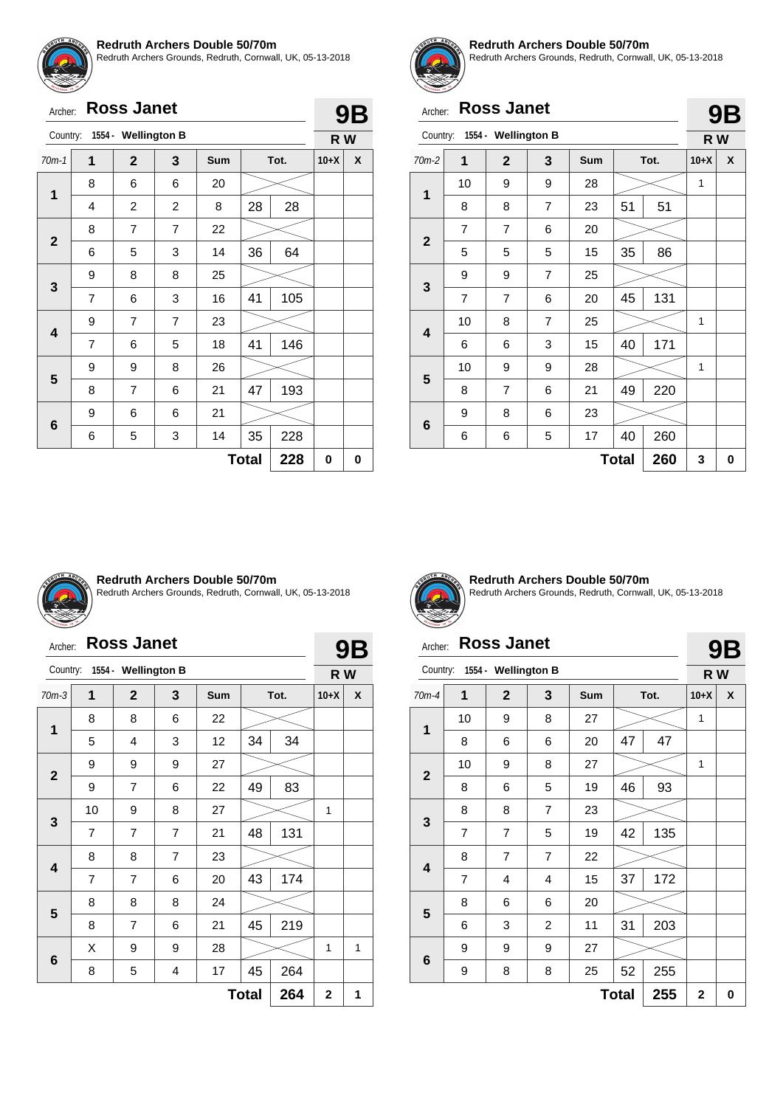![](_page_19_Picture_0.jpeg)

Redruth Archers Grounds, Redruth, Cornwall, UK, 05-13-2018

| Archer:                 |                | <b>Ross Janet</b>   |                |     |              |      |        | <b>9B</b> |  |
|-------------------------|----------------|---------------------|----------------|-----|--------------|------|--------|-----------|--|
| Country:                |                | 1554 - Wellington B |                |     |              |      |        | R W       |  |
| $70m-1$                 | 1              | $\mathbf{2}$        | 3              | Sum |              | Tot. | $10+X$ | X         |  |
| 1                       | 8              | 6                   | 6              | 20  |              |      |        |           |  |
|                         | 4              | $\overline{c}$      | $\overline{2}$ | 8   | 28           | 28   |        |           |  |
| $\overline{2}$          | 8              | $\overline{7}$      | $\overline{7}$ | 22  |              |      |        |           |  |
|                         | 6              | 5                   | 3              | 14  | 36           | 64   |        |           |  |
|                         | 9              | 8                   | 8              | 25  |              |      |        |           |  |
| 3                       | $\overline{7}$ | 6                   | 3              | 16  | 41           | 105  |        |           |  |
| $\overline{\mathbf{4}}$ | 9              | $\overline{7}$      | $\overline{7}$ | 23  |              |      |        |           |  |
|                         | $\overline{7}$ | 6                   | 5              | 18  | 41           | 146  |        |           |  |
|                         | 9              | 9                   | 8              | 26  |              |      |        |           |  |
| 5                       | 8              | $\overline{7}$      | 6              | 21  | 47           | 193  |        |           |  |
|                         | 9              | 6                   | 6              | 21  |              |      |        |           |  |
| 6                       | 6              | 5                   | 3              | 14  | 35           | 228  |        |           |  |
|                         |                |                     |                |     | <b>Total</b> | 228  | 0      | 0         |  |

![](_page_19_Picture_4.jpeg)

#### **Redruth Archers Double 50/70m**

Redruth Archers Grounds, Redruth, Cornwall, UK, 05-13-2018

**9B**

**9B**

### Archer: **Ross Janet**

|              |                |                     |                |            |              |      |        | ◡┕ |
|--------------|----------------|---------------------|----------------|------------|--------------|------|--------|----|
| Country:     |                | 1554 - Wellington B |                |            |              |      | R W    |    |
| $70m-2$      | 1              | $\overline{2}$      | 3              | <b>Sum</b> |              | Tot. | $10+X$ | X  |
| 1            | 10             | 9                   | 9              | 28         |              |      | 1      |    |
|              | 8              | 8                   | $\overline{7}$ | 23         | 51           | 51   |        |    |
| $\mathbf{2}$ | $\overline{7}$ | $\overline{7}$      | 6              | 20         |              |      |        |    |
|              | 5              | 5                   | 5              | 15         | 35           | 86   |        |    |
|              | 9              | 9                   | $\overline{7}$ | 25         |              |      |        |    |
| 3            | $\overline{7}$ | $\overline{7}$      | 6              | 20         | 45           | 131  |        |    |
| 4            | 10             | 8                   | $\overline{7}$ | 25         |              |      | 1      |    |
|              | 6              | 6                   | 3              | 15         | 40           | 171  |        |    |
| 5            | 10             | 9                   | 9              | 28         |              |      | 1      |    |
|              | 8              | $\overline{7}$      | 6              | 21         | 49           | 220  |        |    |
|              | 9              | 8                   | 6              | 23         |              |      |        |    |
| 6            | 6              | 6                   | 5              | 17         | 40           | 260  |        |    |
|              |                |                     |                |            | <b>Total</b> | 260  | 3      | 0  |

![](_page_19_Picture_9.jpeg)

#### **Redruth Archers Double 50/70m**

Redruth Archers Grounds, Redruth, Cornwall, UK, 05-13-2018

### Archer: **Ross Janet**

| Archer:      |                | <b>Ross Janet</b>   |                |            |              |      |                | <b>9B</b> |  |
|--------------|----------------|---------------------|----------------|------------|--------------|------|----------------|-----------|--|
| Country:     |                | 1554 - Wellington B |                |            |              |      | R W            |           |  |
| $70m-3$      | 1              | $\mathbf{2}$        | 3              | <b>Sum</b> |              | Tot. | $10+X$         | X         |  |
| 1            | 8              | 8                   | 6              | 22         |              |      |                |           |  |
|              | 5              | 4                   | 3              | 12         | 34           | 34   |                |           |  |
|              | 9              | 9                   | 9              | 27         |              |      |                |           |  |
| $\mathbf{2}$ | 9              | $\overline{7}$      | 6              | 22         | 49           | 83   |                |           |  |
|              | 10             | 9                   | 8              | 27         |              |      | 1              |           |  |
| 3            | $\overline{7}$ | $\overline{7}$      | $\overline{7}$ | 21         | 48           | 131  |                |           |  |
|              | 8              | 8                   | $\overline{7}$ | 23         |              |      |                |           |  |
| 4            | 7              | $\overline{7}$      | 6              | 20         | 43           | 174  |                |           |  |
|              | 8              | 8                   | 8              | 24         |              |      |                |           |  |
| 5            | 8              | $\overline{7}$      | 6              | 21         | 45           | 219  |                |           |  |
|              | X              | 9                   | 9              | 28         |              |      | 1              | 1         |  |
| 6            | 8              | 5                   | 4              | 17         | 45           | 264  |                |           |  |
|              |                |                     |                |            | <b>Total</b> | 264  | $\overline{2}$ | 1         |  |

![](_page_19_Picture_14.jpeg)

**Redruth Archers Double 50/70m** Redruth Archers Grounds, Redruth, Cornwall, UK, 05-13-2018

### Archer: **Ross Janet**

| Country:                |                | 1554 - Wellington B |                |     |              |      | R W          |   |
|-------------------------|----------------|---------------------|----------------|-----|--------------|------|--------------|---|
| $70m-4$                 | 1              | $\mathbf 2$         | 3              | Sum |              | Tot. | $10+X$       | X |
|                         | 10             | 9                   | 8              | 27  |              |      | 1            |   |
| 1                       | 8              | 6                   | 6              | 20  | 47           | 47   |              |   |
|                         | 10             | 9                   | 8              | 27  |              |      | 1            |   |
| $\mathbf{2}$            | 8              | 6                   | 5              | 19  | 46           | 93   |              |   |
|                         | 8              | 8                   | $\overline{7}$ | 23  |              |      |              |   |
| $\mathbf{3}$            | $\overline{7}$ | $\overline{7}$      | 5              | 19  | 42           | 135  |              |   |
| $\overline{\mathbf{4}}$ | 8              | $\overline{7}$      | $\overline{7}$ | 22  |              |      |              |   |
|                         | $\overline{7}$ | 4                   | 4              | 15  | 37           | 172  |              |   |
| 5                       | 8              | 6                   | 6              | 20  |              |      |              |   |
|                         | 6              | 3                   | $\overline{c}$ | 11  | 31           | 203  |              |   |
| 6                       | 9              | 9                   | 9              | 27  |              |      |              |   |
|                         | 9              | 8                   | 8              | 25  | 52           | 255  |              |   |
|                         |                |                     |                |     | <b>Total</b> | 255  | $\mathbf{2}$ | 0 |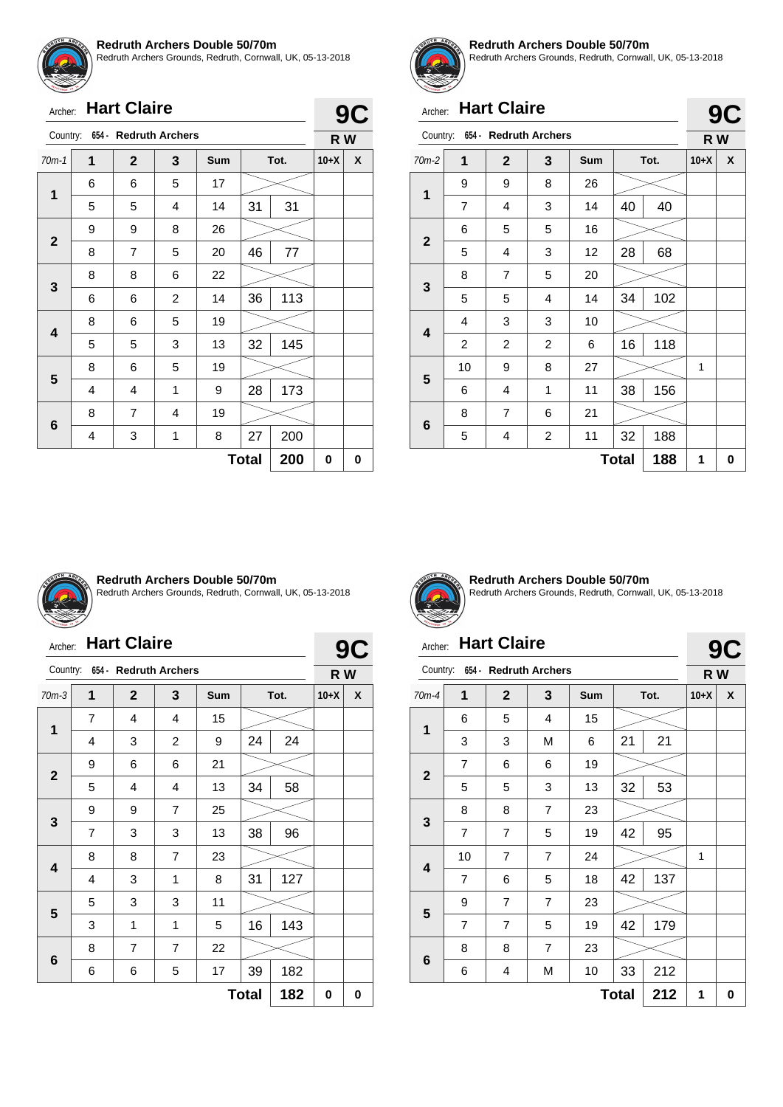![](_page_20_Picture_0.jpeg)

Redruth Archers Grounds, Redruth, Cornwall, UK, 05-13-2018

| Archer: | <b>Hart Claire</b> |
|---------|--------------------|

| <b>Hart Claire</b><br>Archer:  |   |                |                |     |              |      |        | 9<br>C |
|--------------------------------|---|----------------|----------------|-----|--------------|------|--------|--------|
| Country: 654 - Redruth Archers |   |                |                |     |              |      |        | R W    |
| $70m-1$                        | 1 | $\mathbf{2}$   | 3              | Sum |              | Tot. | $10+X$ | X      |
| $\mathbf{1}$                   | 6 | 6              | 5              | 17  |              |      |        |        |
|                                | 5 | 5              | 4              | 14  | 31           | 31   |        |        |
|                                | 9 | 9              | 8              | 26  |              |      |        |        |
| $\mathbf{2}$                   | 8 | 7              | 5              | 20  | 46           | 77   |        |        |
|                                | 8 | 8              | 6              | 22  |              |      |        |        |
| 3                              | 6 | 6              | $\overline{c}$ | 14  | 36           | 113  |        |        |
|                                | 8 | 6              | 5              | 19  |              |      |        |        |
| 4                              | 5 | 5              | 3              | 13  | 32           | 145  |        |        |
|                                | 8 | 6              | 5              | 19  |              |      |        |        |
| 5                              | 4 | 4              | 1              | 9   | 28           | 173  |        |        |
|                                | 8 | $\overline{7}$ | 4              | 19  |              |      |        |        |
| 6                              | 4 | 3              | 1              | 8   | 27           | 200  |        |        |
|                                |   |                |                |     | <b>Total</b> | 200  | 0      | 0      |

![](_page_20_Picture_5.jpeg)

#### **Redruth Archers Double 50/70m**

Redruth Archers Grounds, Redruth, Cornwall, UK, 05-13-2018

**9C**

**9C**

# Archer: **Hart Claire**

| Country:<br>654 - Redruth Archers |                |                |                         |            |              |      |        | R W |  |
|-----------------------------------|----------------|----------------|-------------------------|------------|--------------|------|--------|-----|--|
| $70m-2$                           | 1              | $\mathbf{2}$   | 3                       | <b>Sum</b> |              | Tot. | $10+X$ | X   |  |
| 1                                 | 9              | 9              | 8                       | 26         |              |      |        |     |  |
|                                   | 7              | 4              | 3                       | 14         | 40           | 40   |        |     |  |
| $\mathbf{2}$                      | 6              | 5              | 5                       | 16         |              |      |        |     |  |
|                                   | 5              | 4              | 3                       | 12         | 28           | 68   |        |     |  |
| 3                                 | 8              | $\overline{7}$ | 5                       | 20         |              |      |        |     |  |
|                                   | 5              | 5              | 4                       | 14         | 34           | 102  |        |     |  |
| 4                                 | 4              | 3              | 3                       | 10         |              |      |        |     |  |
|                                   | $\overline{c}$ | 2              | $\overline{2}$          | 6          | 16           | 118  |        |     |  |
| 5                                 | 10             | 9              | 8                       | 27         |              |      | 1      |     |  |
|                                   | 6              | 4              | 1                       | 11         | 38           | 156  |        |     |  |
|                                   | 8              | 7              | 6                       | 21         |              |      |        |     |  |
| 6                                 | 5              | 4              | $\overline{\mathbf{c}}$ | 11         | 32           | 188  |        |     |  |
|                                   |                |                |                         |            | <b>Total</b> | 188  | 1      | 0   |  |

![](_page_20_Picture_10.jpeg)

#### **Redruth Archers Double 50/70m**

Redruth Archers Grounds, Redruth, Cornwall, UK, 05-13-2018

# Archer: **Hart Claire**

|                                   | <b>Hart Claire</b><br>Archer: |                |                |            |              |     |        | <b>9C</b> |  |
|-----------------------------------|-------------------------------|----------------|----------------|------------|--------------|-----|--------|-----------|--|
| Country:<br>654 - Redruth Archers |                               |                |                |            |              |     |        | R W       |  |
| $70m-3$                           | 1                             | $\mathbf{2}$   | 3              | <b>Sum</b> | Tot.         |     | $10+X$ | X         |  |
| 1                                 | $\overline{7}$                | 4              | 4              | 15         |              |     |        |           |  |
|                                   | 4                             | 3              | $\overline{2}$ | 9          | 24           | 24  |        |           |  |
| $\mathbf{2}$                      | 9                             | 6              | 6              | 21         |              |     |        |           |  |
|                                   | 5                             | 4              | $\overline{4}$ | 13         | 34           | 58  |        |           |  |
| 3                                 | 9                             | 9              | $\overline{7}$ | 25         |              |     |        |           |  |
|                                   | $\overline{7}$                | 3              | 3              | 13         | 38           | 96  |        |           |  |
|                                   | 8                             | 8              | $\overline{7}$ | 23         |              |     |        |           |  |
| 4                                 | 4                             | 3              | 1              | 8          | 31           | 127 |        |           |  |
| 5                                 | 5                             | 3              | 3              | 11         |              |     |        |           |  |
|                                   | 3                             | 1              | 1              | 5          | 16           | 143 |        |           |  |
|                                   | 8                             | $\overline{7}$ | $\overline{7}$ | 22         |              |     |        |           |  |
| 6                                 | 6                             | 6              | 5              | 17         | 39           | 182 |        |           |  |
|                                   |                               |                |                |            | <b>Total</b> | 182 | 0      | 0         |  |

![](_page_20_Picture_15.jpeg)

**Redruth Archers Double 50/70m** Redruth Archers Grounds, Redruth, Cornwall, UK, 05-13-2018

# Archer: **Hart Claire**

| 654 -<br><b>Redruth Archers</b><br>Country: |                |                |                |            |              |      |        | R W |
|---------------------------------------------|----------------|----------------|----------------|------------|--------------|------|--------|-----|
| $70m-4$                                     | 1              | $\mathbf{2}$   | 3              | <b>Sum</b> |              | Tot. | $10+X$ | X   |
| 1                                           | 6              | 5              | 4              | 15         |              |      |        |     |
|                                             | 3              | 3              | M              | 6          | 21           | 21   |        |     |
| $\mathbf{2}$                                | $\overline{7}$ | 6              | 6              | 19         |              |      |        |     |
|                                             | 5              | 5              | 3              | 13         | 32           | 53   |        |     |
|                                             | 8              | 8              | 7              | 23         |              |      |        |     |
| 3                                           | $\overline{7}$ | $\overline{7}$ | 5              | 19         | 42           | 95   |        |     |
|                                             | 10             | $\overline{7}$ | $\overline{7}$ | 24         |              |      | 1      |     |
| 4                                           | $\overline{7}$ | 6              | 5              | 18         | 42           | 137  |        |     |
|                                             | 9              | 7              | $\overline{7}$ | 23         |              |      |        |     |
| 5                                           | $\overline{7}$ | $\overline{7}$ | 5              | 19         | 42           | 179  |        |     |
|                                             | 8              | 8              | 7              | 23         |              |      |        |     |
| 6                                           | 6              | 4              | M              | 10         | 33           | 212  |        |     |
|                                             |                |                |                |            | <b>Total</b> | 212  | 1      | 0   |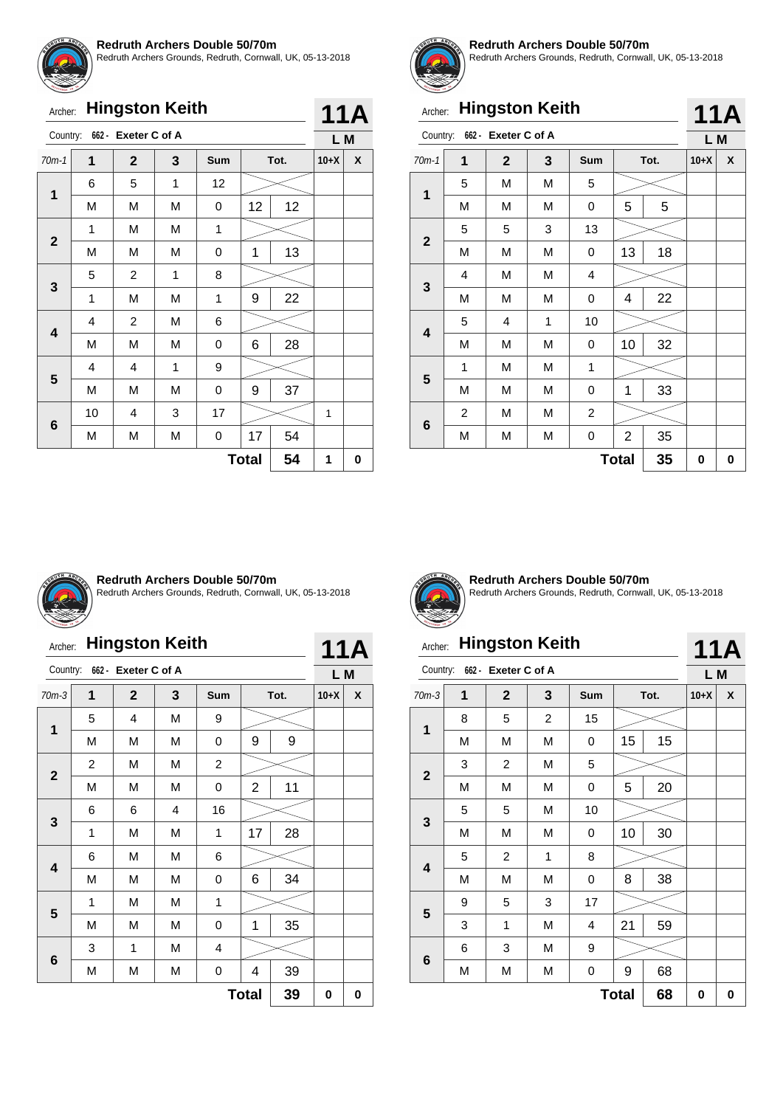![](_page_21_Picture_0.jpeg)

Redruth Archers Grounds, Redruth, Cornwall, UK, 05-13-2018

|                         | <b>Hingston Keith</b><br>Archer: |                     |   |     |              |      |     |   |  |
|-------------------------|----------------------------------|---------------------|---|-----|--------------|------|-----|---|--|
| Country:                |                                  | 662 - Exeter C of A |   |     |              |      | L M |   |  |
| $70m-1$                 | 1                                | $\mathbf{2}$        | 3 | Sum |              | Tot. |     | X |  |
| 1                       | 6                                | 5                   | 1 | 12  |              |      |     |   |  |
|                         | M                                | M                   | M | 0   | 12           | 12   |     |   |  |
| $\overline{2}$          | 1                                | M                   | M | 1   |              |      |     |   |  |
|                         | M                                | M                   | M | 0   | 1            | 13   |     |   |  |
|                         | 5                                | 2                   | 1 | 8   |              |      |     |   |  |
| 3                       | 1                                | M                   | M | 1   | 9            | 22   |     |   |  |
| $\overline{\mathbf{4}}$ | 4                                | 2                   | M | 6   |              |      |     |   |  |
|                         | M                                | M                   | M | 0   | 6            | 28   |     |   |  |
|                         | 4                                | 4                   | 1 | 9   |              |      |     |   |  |
| 5                       | M                                | M                   | М | 0   | 9            | 37   |     |   |  |
|                         | 10                               | 4                   | 3 | 17  |              |      | 1   |   |  |
| 6                       | М                                | M                   | M | 0   | 17           | 54   |     |   |  |
|                         |                                  |                     |   |     | <b>Total</b> | 54   | 1   | 0 |  |
|                         |                                  |                     |   |     |              |      |     |   |  |

![](_page_21_Picture_4.jpeg)

#### **Redruth Archers Double 50/70m**

Redruth Archers Grounds, Redruth, Cornwall, UK, 05-13-2018

| <b>Hingston Keith</b><br>Archer: |                              |              |   |                |              |      | <b>11A</b> |     |
|----------------------------------|------------------------------|--------------|---|----------------|--------------|------|------------|-----|
|                                  | Country: 662 - Exeter C of A |              |   |                |              |      |            | L M |
| $70m-1$                          | 1                            | $\mathbf{2}$ | 3 | Sum            |              | Tot. | $10+X$     | X   |
| 1                                | 5                            | M            | М | 5              |              |      |            |     |
|                                  | М                            | M            | M | 0              | 5            | 5    |            |     |
|                                  | 5                            | 5            | 3 | 13             |              |      |            |     |
| $\mathbf{2}$                     | M                            | M            | М | 0              | 13           | 18   |            |     |
|                                  | 4                            | M            | M | 4              |              |      |            |     |
| 3                                | M                            | M            | M | 0              | 4            | 22   |            |     |
| 4                                | 5                            | 4            | 1 | 10             |              |      |            |     |
|                                  | М                            | M            | М | 0              | 10           | 32   |            |     |
|                                  | 1                            | M            | M | 1              |              |      |            |     |
| 5                                | M                            | M            | M | 0              | 1            | 33   |            |     |
|                                  | $\overline{2}$               | M            | М | $\overline{c}$ |              |      |            |     |
| 6                                | M                            | М            | М | 0              | 2            | 35   |            |     |
|                                  |                              |              |   |                | <b>Total</b> | 35   | 0          | 0   |

![](_page_21_Picture_8.jpeg)

#### **Redruth Archers Double 50/70m**

Redruth Archers Grounds, Redruth, Cornwall, UK, 05-13-2018

# Archer: **Hingston Keith**

| <b>Hingston Keith</b><br>Archer: |   |                |   |                |                |      |        | <b>11A</b> |  |
|----------------------------------|---|----------------|---|----------------|----------------|------|--------|------------|--|
| Country:<br>662 - Exeter C of A  |   |                |   |                |                |      |        | L M        |  |
| $70m-3$                          | 1 | $\mathbf{2}$   | 3 | Sum            |                | Tot. | $10+X$ | X          |  |
| 1                                | 5 | $\overline{4}$ | M | 9              |                |      |        |            |  |
|                                  | M | M              | M | 0              | 9              | 9    |        |            |  |
|                                  | 2 | M              | M | $\overline{c}$ |                |      |        |            |  |
| $\mathbf{2}$                     | M | M              | M | 0              | $\overline{2}$ | 11   |        |            |  |
|                                  | 6 | 6              | 4 | 16             |                |      |        |            |  |
| 3                                | 1 | M              | M | 1              | 17             | 28   |        |            |  |
|                                  | 6 | M              | M | 6              |                |      |        |            |  |
| $\overline{\mathbf{4}}$          | M | M              | M | 0              | 6              | 34   |        |            |  |
|                                  | 1 | M              | M | 1              |                |      |        |            |  |
| 5                                | M | M              | M | 0              | 1              | 35   |        |            |  |
|                                  | 3 | 1              | M | 4              |                |      |        |            |  |
| 6                                | M | М              | М | 0              | 4              | 39   |        |            |  |
|                                  |   |                |   |                | <b>Total</b>   | 39   | 0      | 0          |  |

![](_page_21_Picture_13.jpeg)

**Redruth Archers Double 50/70m** Redruth Archers Grounds, Redruth, Cornwall, UK, 05-13-2018

**11A**

# Archer: **Hingston Keith**

|                         | 662 - Exeter C of A<br>Country: |                |   |     |              |      |        |   |
|-------------------------|---------------------------------|----------------|---|-----|--------------|------|--------|---|
| $70m-3$                 | 1                               | $\mathbf{2}$   | 3 | Sum |              | Tot. | $10+X$ | X |
| $\mathbf{1}$            | 8                               | 5              | 2 | 15  |              |      |        |   |
|                         | M                               | М              | M | 0   | 15           | 15   |        |   |
|                         | 3                               | $\overline{c}$ | M | 5   |              |      |        |   |
| $\mathbf{2}$            | M                               | М              | M | 0   | 5            | 20   |        |   |
|                         | 5                               | 5              | M | 10  |              |      |        |   |
| $\mathbf{3}$            | M                               | М              | M | 0   | 10           | 30   |        |   |
|                         | 5                               | $\overline{c}$ | 1 | 8   |              |      |        |   |
| $\overline{\mathbf{4}}$ | M                               | М              | M | 0   | 8            | 38   |        |   |
| 5                       | 9                               | 5              | 3 | 17  |              |      |        |   |
|                         | 3                               | 1              | M | 4   | 21           | 59   |        |   |
|                         | 6                               | 3              | M | 9   |              |      |        |   |
| $\bf 6$                 | М                               | Μ              | M | 0   | 9            | 68   |        |   |
|                         |                                 |                |   |     | <b>Total</b> | 68   | 0      | 0 |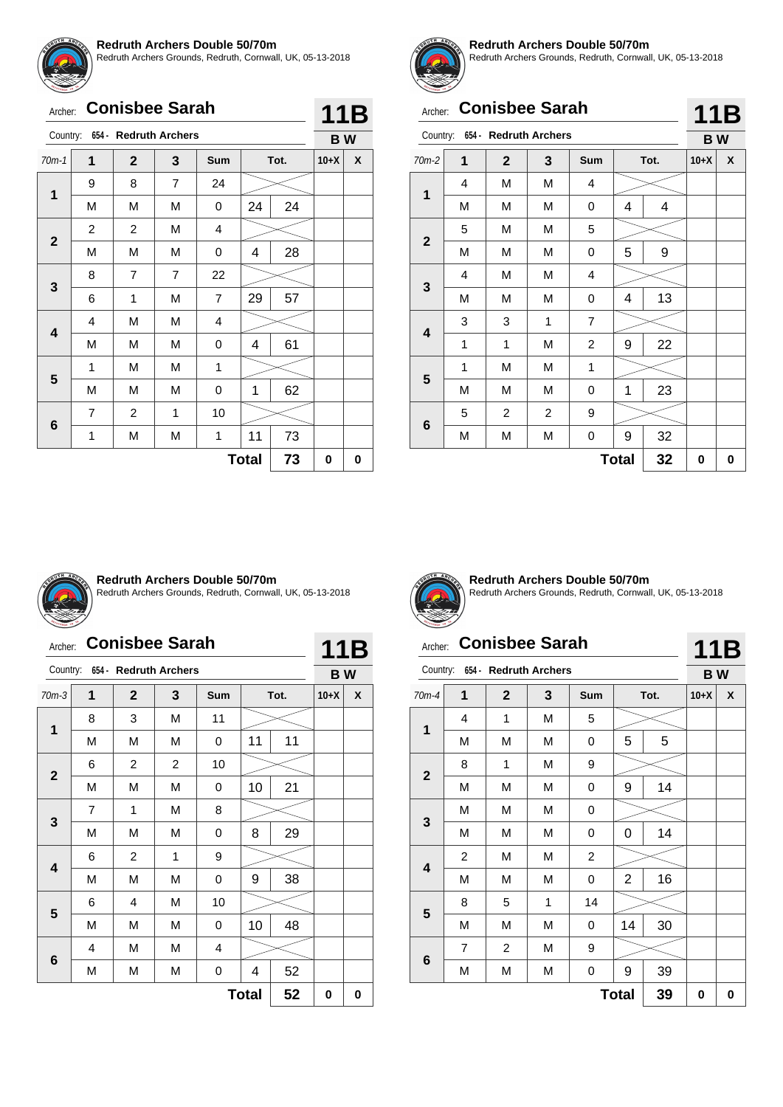![](_page_22_Picture_0.jpeg)

Redruth Archers Grounds, Redruth, Cornwall, UK, 05-13-2018

|              | <b>Conisbee Sarah</b><br>Archer: |                |                |                |              |      |        |   |
|--------------|----------------------------------|----------------|----------------|----------------|--------------|------|--------|---|
|              | Country: 654 - Redruth Archers   |                |                |                |              |      |        |   |
| $70m-1$      | 1                                | $\mathbf{2}$   | 3              | Sum            |              | Tot. | $10+X$ | X |
|              | 9                                | 8              | $\overline{7}$ | 24             |              |      |        |   |
| $\mathbf{1}$ | М                                | М              | M              | 0              | 24           | 24   |        |   |
|              | 2                                | 2              | M              | 4              |              |      |        |   |
| $\mathbf{2}$ | M                                | M              | M              | 0              | 4            | 28   |        |   |
|              | 8                                | $\overline{7}$ | $\overline{7}$ | 22             |              |      |        |   |
| 3            | 6                                | 1              | M              | $\overline{7}$ | 29           | 57   |        |   |
|              | 4                                | M              | M              | 4              |              |      |        |   |
| 4            | M                                | M              | М              | 0              | 4            | 61   |        |   |
|              | 1                                | М              | M              | 1              |              |      |        |   |
| 5            | М                                | М              | M              | 0              | 1            | 62   |        |   |
|              | 7                                | 2              | 1              | 10             |              |      |        |   |
| 6            | 1                                | М              | М              | 1              | 11           | 73   |        |   |
|              |                                  |                |                |                | <b>Total</b> | 73   | 0      | 0 |

![](_page_22_Picture_4.jpeg)

#### **Redruth Archers Double 50/70m**

Redruth Archers Grounds, Redruth, Cornwall, UK, 05-13-2018

|                | <b>Conisbee Sarah</b><br>Archer:  |                |   |            |              |      |        |                  |
|----------------|-----------------------------------|----------------|---|------------|--------------|------|--------|------------------|
|                | 654 - Redruth Archers<br>Country: |                |   |            |              |      |        | 11B<br><b>BW</b> |
| $70m-2$        | 1                                 | $\overline{2}$ | 3 | <b>Sum</b> |              | Tot. | $10+X$ | X                |
|                | 4                                 | M              | M | 4          |              |      |        |                  |
| 1              | M                                 | M              | M | 0          | 4            | 4    |        |                  |
| $\overline{2}$ | 5                                 | M              | М | 5          |              |      |        |                  |
|                | M                                 | M              | M | 0          | 5            | 9    |        |                  |
| 3              | 4                                 | M              | М | 4          |              |      |        |                  |
|                | M                                 | M              | М | 0          | 4            | 13   |        |                  |
| 4              | 3                                 | 3              | 1 | 7          |              |      |        |                  |
|                | 1                                 | 1              | М | 2          | 9            | 22   |        |                  |
| 5              | 1                                 | M              | M | 1          |              |      |        |                  |
|                | M                                 | M              | M | 0          | 1            | 23   |        |                  |
|                | 5                                 | 2              | 2 | 9          |              |      |        |                  |
| 6              | M                                 | M              | М | 0          | 9            | 32   |        |                  |
|                |                                   |                |   |            | <b>Total</b> | 32   | 0      | 0                |

![](_page_22_Picture_8.jpeg)

#### **Redruth Archers Double 50/70m**

Redruth Archers Grounds, Redruth, Cornwall, UK, 05-13-2018

|  | Archer: Conisbee Sarah |  |
|--|------------------------|--|
|--|------------------------|--|

| 4 | $\vert$ 1 | . .<br>L |
|---|-----------|----------|
|   |           |          |

|                    | Country:<br>654 - Redruth Archers |                |              |     |    |      |        |   |  |
|--------------------|-----------------------------------|----------------|--------------|-----|----|------|--------|---|--|
| $70m-3$            | 1                                 | $\overline{2}$ | $\mathbf{3}$ | Sum |    | Tot. | $10+X$ | X |  |
| 1                  | 8                                 | 3              | М            | 11  |    |      |        |   |  |
|                    | M                                 | M              | М            | 0   | 11 | 11   |        |   |  |
|                    | 6                                 | $\overline{c}$ | 2            | 10  |    |      |        |   |  |
| $\mathbf{2}$       | M                                 | M              | М            | 0   | 10 | 21   |        |   |  |
|                    | 7                                 | 1              | M            | 8   |    |      |        |   |  |
| 3                  | M                                 | M              | М            | 0   | 8  | 29   |        |   |  |
|                    | 6                                 | $\overline{c}$ | 1            | 9   |    |      |        |   |  |
| 4                  | M                                 | M              | М            | 0   | 9  | 38   |        |   |  |
|                    | 6                                 | 4              | М            | 10  |    |      |        |   |  |
| 5                  | М                                 | M              | М            | 0   | 10 | 48   |        |   |  |
|                    | 4                                 | М              | М            | 4   |    |      |        |   |  |
| $6\phantom{1}6$    | Μ                                 | М              | M            | 0   | 4  | 52   |        |   |  |
| 52<br><b>Total</b> |                                   |                |              |     |    |      |        | 0 |  |

![](_page_22_Picture_14.jpeg)

**Redruth Archers Double 50/70m** Redruth Archers Grounds, Redruth, Cornwall, UK, 05-13-2018

# Archer: **Conisbee Sarah**

|                         | 654 - Redruth Archers<br>Country: |              |   |                |              |      |        |   |  |
|-------------------------|-----------------------------------|--------------|---|----------------|--------------|------|--------|---|--|
| $70m-4$                 | 1                                 | $\mathbf{2}$ | 3 | Sum            |              | Tot. | $10+X$ | X |  |
|                         | 4                                 | 1            | M | 5              |              |      |        |   |  |
| $\mathbf 1$             | M                                 | M            | M | 0              | 5            | 5    |        |   |  |
|                         | 8                                 | 1            | M | 9              |              |      |        |   |  |
| $\mathbf{2}$            | M                                 | М            | M | 0              | 9            | 14   |        |   |  |
|                         | М                                 | M            | M | 0              |              |      |        |   |  |
| $\mathbf{3}$            | М                                 | М            | M | 0              | 0            | 14   |        |   |  |
|                         | $\overline{c}$                    | M            | M | $\overline{c}$ |              |      |        |   |  |
| $\overline{\mathbf{4}}$ | Μ                                 | M            | M | 0              | 2            | 16   |        |   |  |
|                         | 8                                 | 5            | 1 | 14             |              |      |        |   |  |
| 5                       | М                                 | М            | M | 0              | 14           | 30   |        |   |  |
|                         | 7                                 | 2            | M | 9              |              |      |        |   |  |
| $6\phantom{1}$          | M                                 | M            | M | $\mathsf 0$    | 9            | 39   |        |   |  |
|                         |                                   |              |   |                | <b>Total</b> | 39   | 0      | 0 |  |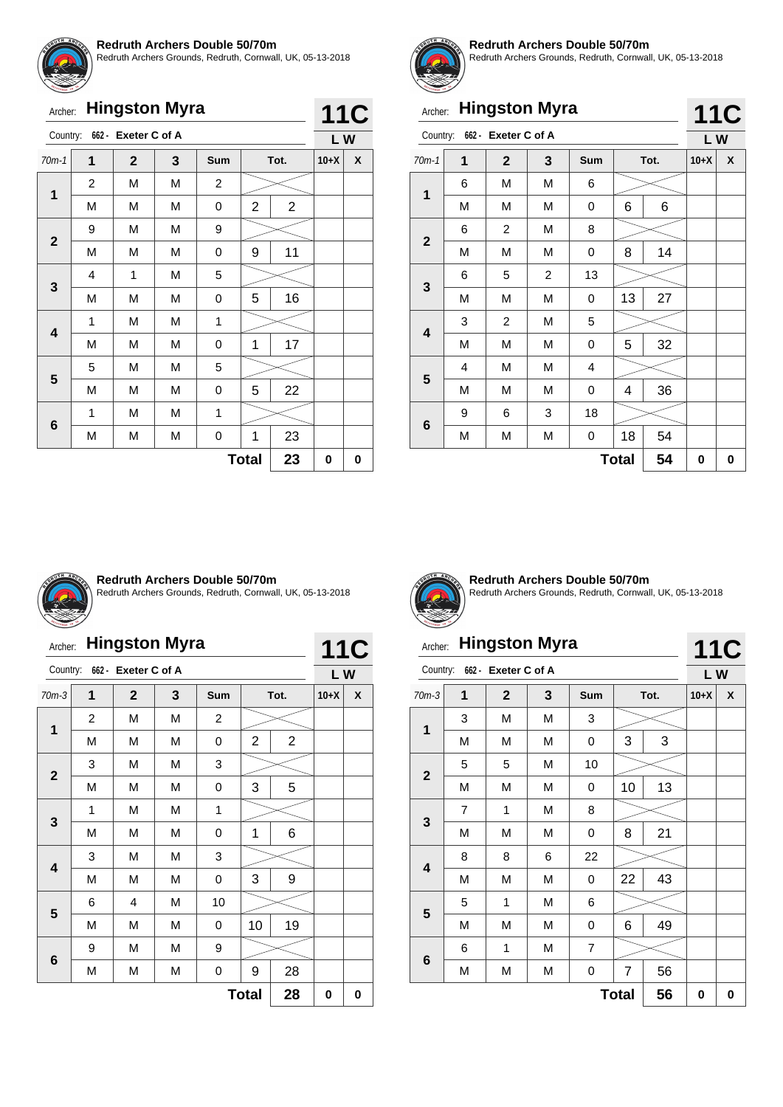![](_page_23_Picture_0.jpeg)

Redruth Archers Grounds, Redruth, Cornwall, UK, 05-13-2018

|                 | <b>Hingston Myra</b><br>Archer: |                     |   |            |              |                |        |    |  |  |  |
|-----------------|---------------------------------|---------------------|---|------------|--------------|----------------|--------|----|--|--|--|
| Country:        |                                 | 662 - Exeter C of A |   |            |              |                |        | LW |  |  |  |
| $70m-1$         | 1                               | $\mathbf{2}$        | 3 | <b>Sum</b> |              | Tot.           | $10+X$ | X  |  |  |  |
| $\mathbf 1$     | $\overline{2}$                  | M                   | M | 2          |              |                |        |    |  |  |  |
|                 | M                               | M                   | M | 0          | 2            | $\overline{2}$ |        |    |  |  |  |
|                 | 9                               | М                   | М | 9          |              |                |        |    |  |  |  |
| $\overline{2}$  | M                               | M                   | M | 0          | 9            | 11             |        |    |  |  |  |
|                 | 4                               | 1                   | M | 5          |              |                |        |    |  |  |  |
| 3               | M                               | M                   | М | 0          | 5            | 16             |        |    |  |  |  |
|                 | 1                               | M                   | М | 1          |              |                |        |    |  |  |  |
| 4               | M                               | M                   | M | 0          | 1            | 17             |        |    |  |  |  |
|                 | 5                               | M                   | M | 5          |              |                |        |    |  |  |  |
| 5               | M                               | M                   | М | 0          | 5            | 22             |        |    |  |  |  |
|                 | 1                               | M                   | M | 1          |              |                |        |    |  |  |  |
| $6\phantom{1}6$ | M                               | М                   | M | 0          | 1            | 23             |        |    |  |  |  |
|                 |                                 |                     |   |            | <b>Total</b> | 23             | 0      | 0  |  |  |  |

![](_page_23_Picture_4.jpeg)

#### **Redruth Archers Double 50/70m**

Redruth Archers Grounds, Redruth, Cornwall, UK, 05-13-2018

**11C**

**11C**

# Archer: **Hingston Myra**

|                         | ш | ▝▝                  |                         |     |    |      |        |   |
|-------------------------|---|---------------------|-------------------------|-----|----|------|--------|---|
| Country:                |   | 662 - Exeter C of A |                         |     |    |      | LW     |   |
| $70m-1$                 | 1 | $\overline{2}$      | 3                       | Sum |    | Tot. | $10+X$ | X |
| 1                       | 6 | M                   | M                       | 6   |    |      |        |   |
|                         | M | M                   | M                       | 0   | 6  | 6    |        |   |
| $\overline{\mathbf{2}}$ | 6 | 2                   | М                       | 8   |    |      |        |   |
|                         | M | M                   | M                       | 0   | 8  | 14   |        |   |
|                         | 6 | 5                   | $\overline{\mathbf{c}}$ | 13  |    |      |        |   |
| 3                       | М | М                   | M                       | 0   | 13 | 27   |        |   |
| $\overline{\mathbf{4}}$ | 3 | 2                   | М                       | 5   |    |      |        |   |
|                         | M | М                   | M                       | 0   | 5  | 32   |        |   |
| 5                       | 4 | M                   | М                       | 4   |    |      |        |   |
|                         | M | М                   | M                       | 0   | 4  | 36   |        |   |
|                         | 9 | 6                   | 3                       | 18  |    |      |        |   |
| $6\phantom{a}$          | M | М                   | M                       | 0   | 18 | 54   |        |   |
|                         | 0 | 0                   |                         |     |    |      |        |   |

![](_page_23_Picture_9.jpeg)

#### **Redruth Archers Double 50/70m**

Redruth Archers Grounds, Redruth, Cornwall, UK, 05-13-2018

# Archer: **Hingston Myra**

|              | <b>Hingston Myra</b><br>Archer:         |                     |   |                |                |                |                  |   |  |  |
|--------------|-----------------------------------------|---------------------|---|----------------|----------------|----------------|------------------|---|--|--|
| Country:     |                                         | 662 - Exeter C of A |   |                |                |                | <b>11C</b><br>LW |   |  |  |
| $70m-3$      | 1<br>$\overline{2}$<br>3<br>Tot.<br>Sum |                     |   | $10+X$         | X              |                |                  |   |  |  |
| 1            | 2                                       | M                   | M | $\overline{c}$ |                |                |                  |   |  |  |
|              | M                                       | M                   | M | 0              | $\overline{2}$ | $\overline{2}$ |                  |   |  |  |
| $\mathbf{2}$ | 3                                       | M                   | M | 3              |                |                |                  |   |  |  |
|              | M                                       | M                   | M | 0              | 3              | 5              |                  |   |  |  |
|              | 1                                       | M                   | M | 1              |                |                |                  |   |  |  |
| 3            | M                                       | M                   | M | 0              | 1              | 6              |                  |   |  |  |
|              | 3                                       | M                   | M | 3              |                |                |                  |   |  |  |
| 4            | M                                       | M                   | M | 0              | 3              | 9              |                  |   |  |  |
|              | 6                                       | $\overline{4}$      | M | 10             |                |                |                  |   |  |  |
| 5            | M                                       | M                   | M | 0              | 10             | 19             |                  |   |  |  |
|              | 9                                       | M                   | M | 9              |                |                |                  |   |  |  |
| 6            | M                                       | M                   | M | 0              | 9              | 28             |                  |   |  |  |
|              |                                         |                     |   |                | <b>Total</b>   | 28             | 0                | 0 |  |  |

![](_page_23_Picture_14.jpeg)

**Redruth Archers Double 50/70m** Redruth Archers Grounds, Redruth, Cornwall, UK, 05-13-2018

# Archer: **Hingston Myra**

|                         | Country:<br>662 - Exeter C of A |              |   |                |                |      |        |   |  |  |
|-------------------------|---------------------------------|--------------|---|----------------|----------------|------|--------|---|--|--|
| $70m-3$                 | 1                               | $\mathbf{2}$ | 3 | Sum            |                | Tot. | $10+X$ | X |  |  |
| 1                       | 3                               | M            | М | 3              |                |      |        |   |  |  |
|                         | M                               | M            | М | 0              | 3              | 3    |        |   |  |  |
| $\mathbf{2}$            | 5                               | 5            | М | 10             |                |      |        |   |  |  |
|                         | М                               | M            | М | 0              | 10             | 13   |        |   |  |  |
| 3                       | 7                               | 1            | M | 8              |                |      |        |   |  |  |
|                         | М                               | M            | М | 0              | 8              | 21   |        |   |  |  |
| $\overline{\mathbf{4}}$ | 8                               | 8            | 6 | 22             |                |      |        |   |  |  |
|                         | М                               | M            | М | 0              | 22             | 43   |        |   |  |  |
|                         | 5                               | 1            | M | 6              |                |      |        |   |  |  |
| 5                       | М                               | M            | M | 0              | 6              | 49   |        |   |  |  |
|                         | 6                               | 1            | М | $\overline{7}$ |                |      |        |   |  |  |
| 6                       | М                               | M            | M | 0              | $\overline{7}$ | 56   |        |   |  |  |
|                         | 0                               | 0            |   |                |                |      |        |   |  |  |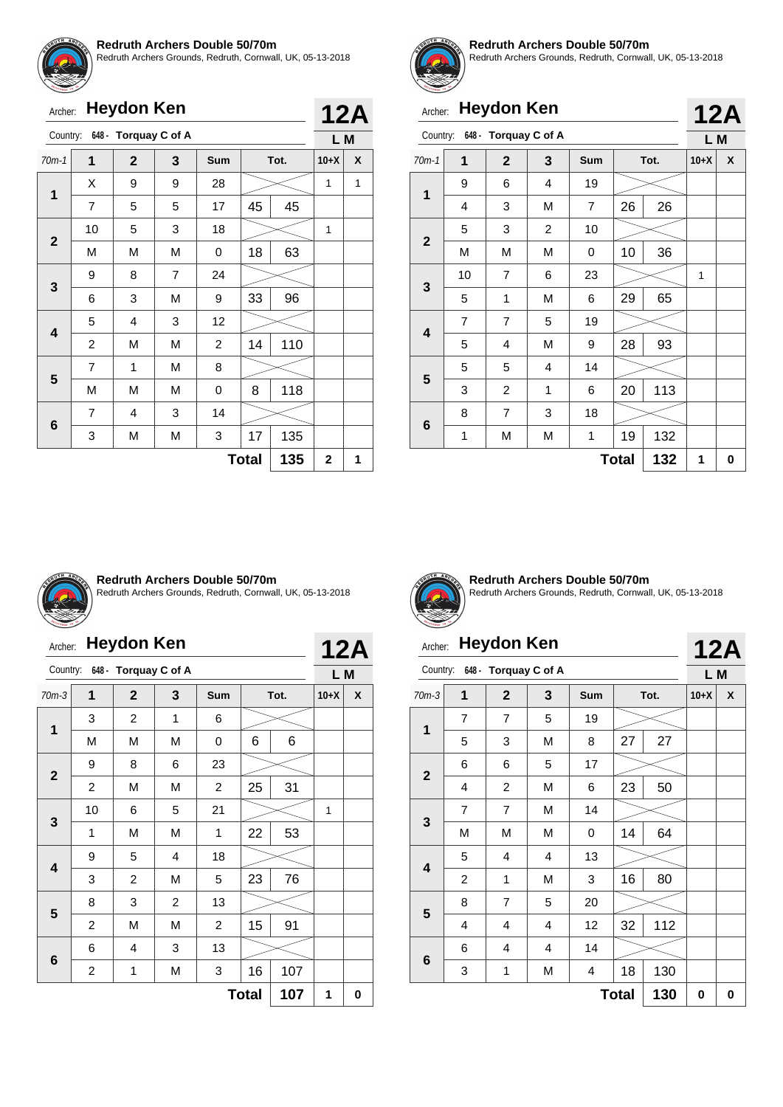![](_page_24_Picture_0.jpeg)

Redruth Archers Grounds, Redruth, Cornwall, UK, 05-13-2018

|                         | <b>Heydon Ken</b><br>Archer: |                               |                |                |              |      |             |            |
|-------------------------|------------------------------|-------------------------------|----------------|----------------|--------------|------|-------------|------------|
|                         |                              | Country: 648 - Torquay C of A |                |                |              |      | L M         | <b>12A</b> |
| $70m-1$                 | 1                            | $\overline{2}$                | 3              | Sum            |              | Tot. | $10+X$      | X          |
|                         | X                            | 9                             | 9              | 28             |              |      | 1           | 1          |
| 1                       | $\overline{7}$               | 5                             | 5              | 17             | 45           | 45   |             |            |
|                         | 10                           | 5                             | 3              | 18             |              |      | 1           |            |
| $\overline{2}$          | M                            | M                             | M              | 0              | 18           | 63   |             |            |
| 3                       | 9                            | 8                             | $\overline{7}$ | 24             |              |      |             |            |
|                         | 6                            | 3                             | M              | 9              | 33           | 96   |             |            |
| $\overline{\mathbf{4}}$ | 5                            | 4                             | 3              | 12             |              |      |             |            |
|                         | 2                            | M                             | M              | $\overline{c}$ | 14           | 110  |             |            |
|                         | $\overline{7}$               | 1                             | M              | 8              |              |      |             |            |
| 5                       | M                            | M                             | M              | 0              | 8            | 118  |             |            |
|                         | 7                            | 4                             | 3              | 14             |              |      |             |            |
| 6                       | 3                            | М                             | M              | 3              | 17           | 135  |             |            |
|                         |                              |                               |                |                | <b>Total</b> | 135  | $\mathbf 2$ | 1          |

![](_page_24_Picture_4.jpeg)

#### **Redruth Archers Double 50/70m**

Redruth Archers Grounds, Redruth, Cornwall, UK, 05-13-2018

**12A**

**12A**

# Archer: **Heydon Ken**

|                |                | $\mathbf{L}$         |   |     |              |      |        |   |
|----------------|----------------|----------------------|---|-----|--------------|------|--------|---|
| Country:       |                | 648 - Torquay C of A |   |     |              |      | L M    |   |
| $70m-1$        | 1              | $\mathbf{2}$         | 3 | Sum |              | Tot. | $10+X$ | X |
| $\mathbf{1}$   | 9              | 6                    | 4 | 19  |              |      |        |   |
|                | 4              | 3                    | М | 7   | 26           | 26   |        |   |
| $\mathbf{2}$   | 5              | 3                    | 2 | 10  |              |      |        |   |
|                | М              | M                    | M | 0   | 10           | 36   |        |   |
| 3              | 10             | $\overline{7}$       | 6 | 23  |              |      | 1      |   |
|                | 5              | 1                    | М | 6   | 29           | 65   |        |   |
| 4              | $\overline{7}$ | $\overline{7}$       | 5 | 19  |              |      |        |   |
|                | 5              | 4                    | М | 9   | 28           | 93   |        |   |
| 5              | 5              | 5                    | 4 | 14  |              |      |        |   |
|                | 3              | $\overline{c}$       | 1 | 6   | 20           | 113  |        |   |
|                | 8              | 7                    | 3 | 18  |              |      |        |   |
| $6\phantom{1}$ | 1              | М                    | М | 1   | 19           | 132  |        |   |
|                |                |                      |   |     | <b>Total</b> | 132  | 1      | 0 |

![](_page_24_Picture_9.jpeg)

#### **Redruth Archers Double 50/70m**

Redruth Archers Grounds, Redruth, Cornwall, UK, 05-13-2018

|              | <b>Heydon Ken</b><br>Archer:  |                |                |                |              |      |        |   |  |  |
|--------------|-------------------------------|----------------|----------------|----------------|--------------|------|--------|---|--|--|
|              | Country: 648 - Torquay C of A |                |                |                |              |      |        |   |  |  |
| $70m-3$      | 1                             | $\mathbf{2}$   | 3              | Sum            |              | Tot. | $10+X$ | X |  |  |
|              | 3                             | $\overline{2}$ | 1              | 6              |              |      |        |   |  |  |
| 1            | M                             | M              | M              | 0              | 6            | 6    |        |   |  |  |
|              | 9                             | 8              | 6              | 23             |              |      |        |   |  |  |
| $\mathbf{2}$ | $\overline{2}$                | M              | M              | 2              | 25           | 31   |        |   |  |  |
|              | 10                            | 6              | 5              | 21             |              |      | 1      |   |  |  |
| 3            | 1                             | M              | M              | 1              | 22           | 53   |        |   |  |  |
|              | 9                             | 5              | 4              | 18             |              |      |        |   |  |  |
| 4            | 3                             | 2              | M              | 5              | 23           | 76   |        |   |  |  |
| 5            | 8                             | 3              | $\overline{c}$ | 13             |              |      |        |   |  |  |
|              | $\overline{c}$                | M              | M              | $\overline{c}$ | 15           | 91   |        |   |  |  |
|              | 6                             | 4              | 3              | 13             |              |      |        |   |  |  |
| 6            | 2                             | 1              | М              | 3              | 16           | 107  |        |   |  |  |
|              |                               |                |                |                | <b>Total</b> | 107  | 1      | 0 |  |  |

![](_page_24_Picture_13.jpeg)

**Redruth Archers Double 50/70m** Redruth Archers Grounds, Redruth, Cornwall, UK, 05-13-2018

# Archer: **Heydon Ken**

#### Country: **648 - Torquay C of A L M** 70m-3 **1 2 3 Sum Tot. 10+X X**  $7 \mid 7 \mid 5 \mid 19$ **1** 5 | 3 | M | 8 | 27 | 27 6 | 6 | 5 | 17 **2** 4 | 2 | M | 6 | 23 | 50  $7 \mid 7 \mid M \mid 14$ **3** M | M | M | 0 | 14 | 64  $\overline{\phantom{a}}$ 5 4 4 13 **4** 2 | 1 | M | 3 | 16 | 80 8 | 7 | 5 | 20 **5** 4 | 4 | 4 | 12 | 32 | 112 6 4 4 14 **6** 3 | 1 | M | 4 | 18 | 130  $Total | 130 | 0 | 0$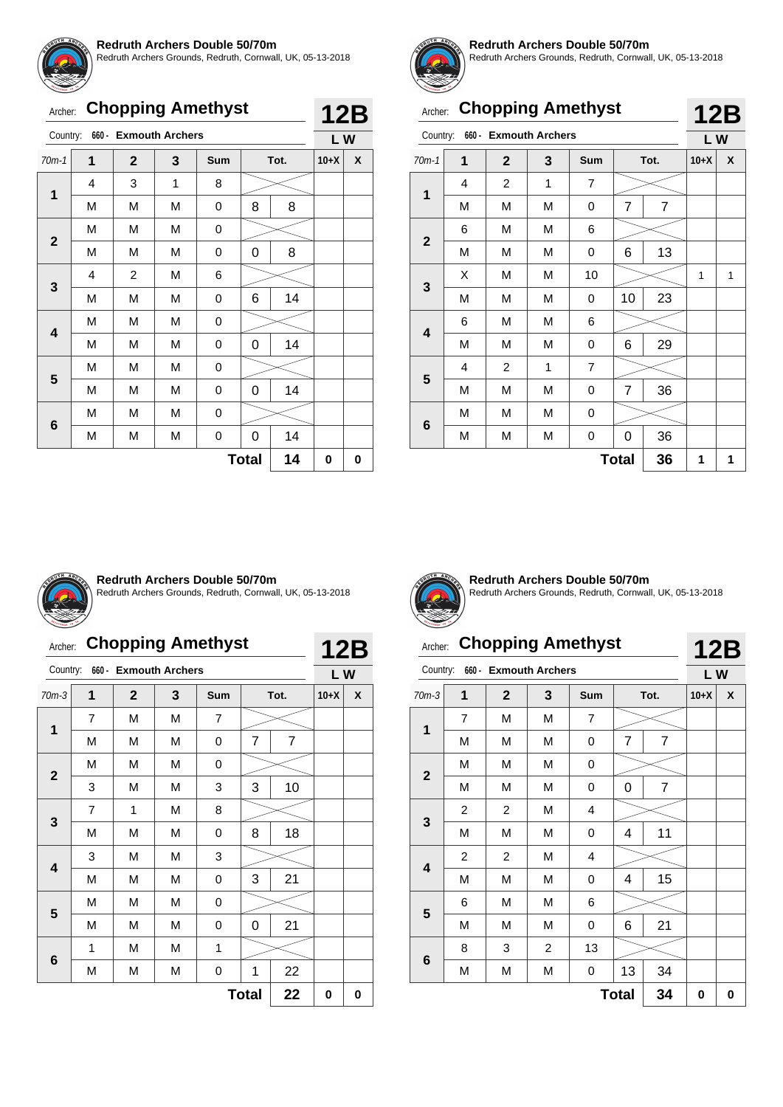![](_page_25_Picture_0.jpeg)

Redruth Archers Grounds, Redruth, Cornwall, UK, 05-13-2018

|  |  | Archer: Chopping Amethyst |
|--|--|---------------------------|
|--|--|---------------------------|

| Country:    |                | 660 - Exmouth Archers |   |            |              |      | LW     |   |
|-------------|----------------|-----------------------|---|------------|--------------|------|--------|---|
| $70m-1$     | $\overline{1}$ | $\mathbf{2}$          | 3 | <b>Sum</b> |              | Tot. | $10+X$ | X |
|             | 4              | 3                     | 1 | 8          |              |      |        |   |
| 1           | M              | M                     | M | 0          | 8            | 8    |        |   |
|             | M              | М                     | M | 0          |              |      |        |   |
| $\mathbf 2$ | M              | М                     | M | 0          | 0            | 8    |        |   |
|             | 4              | $\overline{c}$        | M | 6          |              |      |        |   |
| 3           | M              | М                     | M | 0          | 6            | 14   |        |   |
|             | M              | М                     | M | 0          |              |      |        |   |
| 4           | M              | М                     | M | 0          | 0            | 14   |        |   |
| 5           | M              | М                     | M | 0          |              |      |        |   |
|             | M              | М                     | M | 0          | 0            | 14   |        |   |
|             | M              | M                     | M | 0          |              |      |        |   |
| 6           | М              | М                     | M | 0          | 0            | 14   |        |   |
|             |                |                       |   |            | <b>Total</b> | 14   | 0      | 0 |

![](_page_25_Picture_5.jpeg)

**12B**

#### **Redruth Archers Double 50/70m**

Redruth Archers Grounds, Redruth, Cornwall, UK, 05-13-2018

|              | <b>Chopping Amethyst</b><br>Archer: |                        |   |                |              |                |           |   |
|--------------|-------------------------------------|------------------------|---|----------------|--------------|----------------|-----------|---|
| Country:     | $660 -$                             | <b>Exmouth Archers</b> |   |                |              |                | 12B<br>LW |   |
| $70m-1$      | 1                                   | $\mathbf{2}$           | 3 | <b>Sum</b>     |              | Tot.           | $10+X$    | X |
|              | 4                                   | $\overline{2}$         | 1 | $\overline{7}$ |              |                |           |   |
| 1            | M                                   | M                      | М | 0              | 7            | $\overline{7}$ |           |   |
|              | 6                                   | M                      | М | 6              |              |                |           |   |
| $\mathbf{2}$ | M                                   | М                      | М | 0              | 6            | 13             |           |   |
|              | X                                   | M                      | М | 10             |              |                | 1         | 1 |
| 3            | M                                   | M                      | M | 0              | 10           | 23             |           |   |
|              | 6                                   | М                      | М | 6              |              |                |           |   |
| 4            | M                                   | M                      | M | 0              | 6            | 29             |           |   |
|              | 4                                   | $\overline{2}$         | 1 | 7              |              |                |           |   |
| 5            | M                                   | M                      | M | 0              | 7            | 36             |           |   |
|              | M                                   | M                      | M | 0              |              |                |           |   |
| 6            | M                                   | М                      | М | 0              | 0            | 36             |           |   |
|              |                                     |                        |   |                | <b>Total</b> | 36             | 1         | 1 |

![](_page_25_Picture_9.jpeg)

#### **Redruth Archers Double 50/70m**

Redruth Archers Grounds, Redruth, Cornwall, UK, 05-13-2018

# Archer: **Chopping Amethyst**

**12B**

| Country:     |                | 660 - Exmouth Archers |   |     |              |                | LW     |   |
|--------------|----------------|-----------------------|---|-----|--------------|----------------|--------|---|
| $70m-3$      | 1              | $\mathbf{2}$          | 3 | Sum | Tot.         |                | $10+X$ | X |
| 1            | $\overline{7}$ | M                     | М | 7   |              |                |        |   |
|              | M              | M                     | М | 0   | 7            | $\overline{7}$ |        |   |
|              | M              | M                     | М | 0   |              |                |        |   |
| $\mathbf{2}$ | 3              | M                     | M | 3   | 3            | 10             |        |   |
|              | 7              | 1                     | M | 8   |              |                |        |   |
| 3            | M              | M                     | М | 0   | 8            | 18             |        |   |
|              | 3              | M                     | M | 3   |              |                |        |   |
| 4            | M              | M                     | M | 0   | 3            | 21             |        |   |
|              | M              | M                     | M | 0   |              |                |        |   |
| 5            | M              | M                     | M | 0   | 0            | 21             |        |   |
|              | 1              | M                     | M | 1   |              |                |        |   |
| 6            | M              | M                     | М | 0   | 1            | 22             |        |   |
|              |                |                       |   |     | <b>Total</b> | 22             | 0      | 0 |

![](_page_25_Picture_15.jpeg)

**Redruth Archers Double 50/70m** Redruth Archers Grounds, Redruth, Cornwall, UK, 05-13-2018

#### Archer: **Chopping Amethyst** Country: **660 - Exmouth Archers 12B**

| Country:                |                | <b>bbU - EXINOUTH Archers</b> |                |                         |                |                | L W    |   |
|-------------------------|----------------|-------------------------------|----------------|-------------------------|----------------|----------------|--------|---|
| $70m-3$                 | 1              | $\mathbf{2}$                  | 3              | Sum                     |                | Tot.           | $10+X$ | X |
|                         | $\overline{7}$ | M                             | M              | $\overline{\mathbf{7}}$ |                |                |        |   |
| $\mathbf 1$             | M              | M                             | М              | 0                       | $\overline{7}$ | $\overline{7}$ |        |   |
|                         | M              | M                             | M              | 0                       |                |                |        |   |
| $\mathbf 2$             | M              | M                             | М              | 0                       | 0              | $\overline{7}$ |        |   |
|                         | 2              | $\overline{c}$                | М<br>4         |                         |                |                |        |   |
| $\mathbf{3}$            | M              | M                             | M              | $\mathsf 0$             | 4              | 11             |        |   |
|                         | $\overline{c}$ | $\overline{c}$                | M              | $\overline{\mathbf{4}}$ |                |                |        |   |
| $\overline{\mathbf{4}}$ | M              | M                             | М              | 0                       | 4              | 15             |        |   |
|                         | 6              | M                             | M              | 6                       |                |                |        |   |
| 5                       | Μ              | М                             | М              | 0                       | 6              | 21             |        |   |
|                         | 8              | 3                             | $\overline{c}$ | 13                      |                |                |        |   |
| $\bf 6$                 | M              | M                             | M              | 0                       | 13             | 34             |        |   |
|                         |                |                               |                |                         | <b>Total</b>   | 34             | 0      | 0 |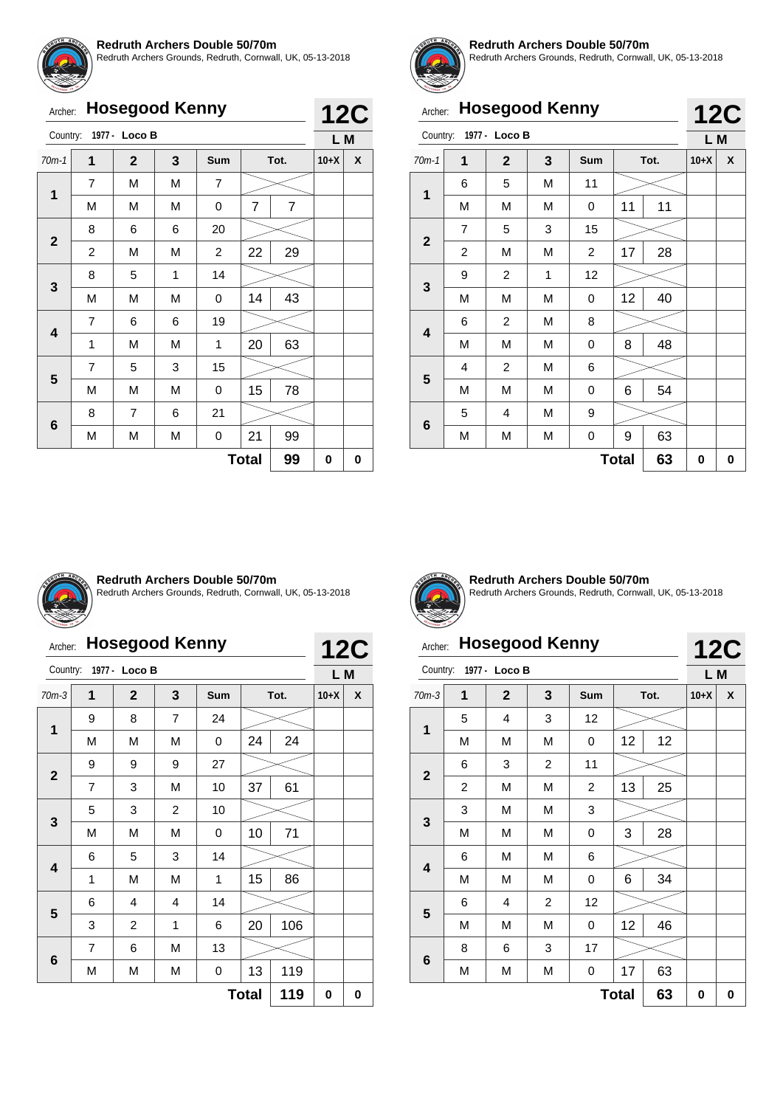![](_page_26_Picture_0.jpeg)

Redruth Archers Grounds, Redruth, Cornwall, UK, 05-13-2018

| Archer: Hosegood Kenny |  |
|------------------------|--|
|------------------------|--|

| Archer:      |                | <b>Hosegood Kenny</b> |   |                |              |                | <b>12C</b> |   |  |
|--------------|----------------|-----------------------|---|----------------|--------------|----------------|------------|---|--|
| Country:     |                | 1977 - Loco B         |   |                |              |                | L M        |   |  |
| $70m-1$      | 1              | $\overline{2}$        | 3 | Sum            | Tot.         |                | $10+X$     | X |  |
|              | $\overline{7}$ | M                     | M | $\overline{7}$ |              |                |            |   |  |
| 1            | М              | M                     | М | 0              | 7            | $\overline{7}$ |            |   |  |
|              | 8              | 6                     | 6 | 20             |              |                |            |   |  |
| $\mathbf{2}$ | $\overline{c}$ | M                     | М | $\overline{2}$ | 22           | 29             |            |   |  |
|              | 8              | 5                     | 1 | 14             |              |                |            |   |  |
| 3            | M              | M                     | M | 0              | 14           | 43             |            |   |  |
|              | $\overline{7}$ | 6                     | 6 | 19             |              |                |            |   |  |
| 4            | 1              | M                     | М | 1              | 20           | 63             |            |   |  |
|              | $\overline{7}$ | 5                     | 3 | 15             |              |                |            |   |  |
| 5            | М              | M                     | М | 0              | 15           | 78             |            |   |  |
|              | 8              | $\overline{7}$        | 6 | 21             |              |                |            |   |  |
| 6            | М              | М                     | М | 0              | 21           | 99             |            |   |  |
|              |                |                       |   |                | <b>Total</b> | 99             | 0          | 0 |  |

![](_page_26_Picture_5.jpeg)

#### **Redruth Archers Double 50/70m**

Redruth Archers Grounds, Redruth, Cornwall, UK, 05-13-2018

| Archer:      |                | <b>Hosegood Kenny</b> |   |            |              |    | <b>12C</b> |   |  |
|--------------|----------------|-----------------------|---|------------|--------------|----|------------|---|--|
| Country:     |                | 1977 - Loco B         |   |            |              |    | L M        |   |  |
| $70m-1$      | $\overline{1}$ | $\mathbf{2}$          | 3 | <b>Sum</b> | Tot.         |    | $10+X$     | X |  |
|              | 6              | 5                     | M | 11         |              |    |            |   |  |
| 1            | M              | M                     | М | 0          | 11           | 11 |            |   |  |
|              | 7              | 5                     | 3 | 15         |              |    |            |   |  |
| $\mathbf{2}$ | 2              | M                     | M | 2          | 17           | 28 |            |   |  |
|              | 9              | $\overline{c}$        | 1 | 12         |              |    |            |   |  |
| 3            | M              | M                     | M | 0          | 12           | 40 |            |   |  |
|              | 6              | $\overline{2}$        | M | 8          |              |    |            |   |  |
| 4            | M              | M                     | M | 0          | 8            | 48 |            |   |  |
|              | 4              | $\overline{c}$        | М | 6          |              |    |            |   |  |
| 5            | М              | M                     | M | 0          | 6            | 54 |            |   |  |
|              | 5              | 4                     | M | 9          |              |    |            |   |  |
| 6            | М              | М                     | М | 0          | 9            | 63 |            |   |  |
|              |                |                       |   |            | <b>Total</b> | 63 | 0          | 0 |  |

![](_page_26_Picture_9.jpeg)

#### **Redruth Archers Double 50/70m**

Redruth Archers Grounds, Redruth, Cornwall, UK, 05-13-2018

# Archer: **Hosegood Kenny**

|              | <b>Hosegood Kenny</b><br>Archer: |                |                |     |      |     |        |   |  |
|--------------|----------------------------------|----------------|----------------|-----|------|-----|--------|---|--|
| Country:     |                                  | 1977 - Loco B  |                |     |      |     | L M    |   |  |
| $70m-3$      | 1                                | $\mathbf{2}$   | 3              | Sum | Tot. |     | $10+X$ | X |  |
| 1            | 9                                | 8              | $\overline{7}$ | 24  |      |     |        |   |  |
|              | М                                | M              | М              | 0   | 24   | 24  |        |   |  |
| $\mathbf{2}$ | 9                                | 9              | 9              | 27  |      |     |        |   |  |
|              | 7                                | 3              | M              | 10  | 37   | 61  |        |   |  |
| 3            | 5                                | 3              | 2              | 10  |      |     |        |   |  |
|              | М                                | M              | M              | 0   | 10   | 71  |        |   |  |
|              | 6                                | 5              | 3              | 14  |      |     |        |   |  |
| 4            | 1                                | M              | M              | 1   | 15   | 86  |        |   |  |
| 5            | 6                                | $\overline{4}$ | 4              | 14  |      |     |        |   |  |
|              | 3                                | $\overline{c}$ | 1              | 6   | 20   | 106 |        |   |  |
|              | 7                                | 6              | М              | 13  |      |     |        |   |  |
| 6            | M                                | М              | М              | 0   | 13   | 119 |        |   |  |
|              | 119<br><b>Total</b>              |                |                |     |      |     |        |   |  |

![](_page_26_Picture_14.jpeg)

**Redruth Archers Double 50/70m** Redruth Archers Grounds, Redruth, Cornwall, UK, 05-13-2018

# Archer: **Hosegood Kenny**

|                         | <b>Hosegood Kenny</b><br>Archer: |               |                |     |      |    |        |   |  |
|-------------------------|----------------------------------|---------------|----------------|-----|------|----|--------|---|--|
| Country:                |                                  | 1977 - Loco B |                |     |      |    | L M    |   |  |
| $70m-3$                 | 1                                | $\mathbf{2}$  | 3              | Sum | Tot. |    | $10+X$ | X |  |
| 1                       | 5                                | 4             | 3              | 12  |      |    |        |   |  |
|                         | M                                | M             | M              | 0   | 12   | 12 |        |   |  |
| $\mathbf{2}$            | 6                                | 3             | 2              | 11  |      |    |        |   |  |
|                         | $\overline{2}$                   | M             | M              | 2   | 13   | 25 |        |   |  |
|                         | 3                                | M             | M              | 3   |      |    |        |   |  |
| $\mathbf{3}$            | M                                | M             | M              | 0   | 3    | 28 |        |   |  |
| $\overline{\mathbf{4}}$ | 6                                | M             | M              | 6   |      |    |        |   |  |
|                         | M                                | M             | М              | 0   | 6    | 34 |        |   |  |
| 5                       | 6                                | 4             | $\overline{2}$ | 12  |      |    |        |   |  |
|                         | M                                | M             | M              | 0   | 12   | 46 |        |   |  |
|                         | 8                                | 6             | 3              | 17  |      |    |        |   |  |
| 6                       | M                                | М             | M              | 0   | 17   | 63 |        |   |  |
|                         | 63<br><b>Total</b>               |               |                |     |      |    |        |   |  |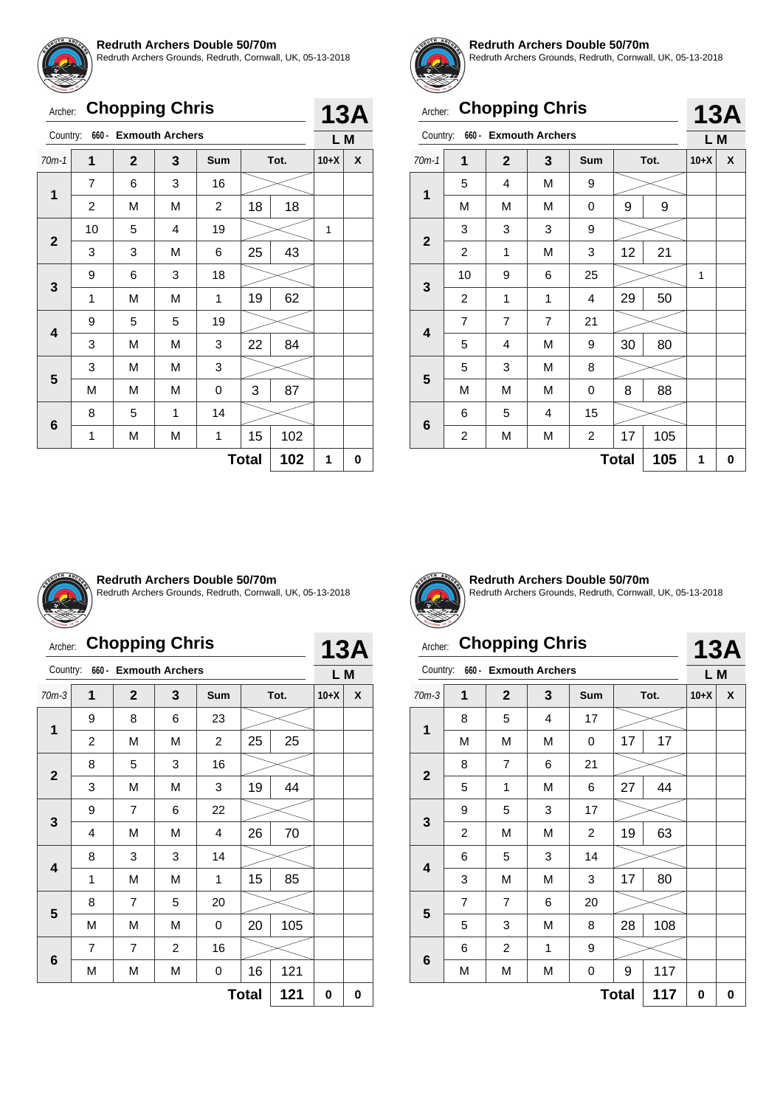![](_page_27_Picture_0.jpeg)

Redruth Archers Grounds, Redruth, Cornwall, UK, 05-13-2018

| Archer: Chopping Chris |
|------------------------|
| ______                 |

| <b>13A</b> |  |
|------------|--|

| Country:     |                | 660 - Exmouth Archers |   |     |              |     | L M    |   |
|--------------|----------------|-----------------------|---|-----|--------------|-----|--------|---|
| $70m-1$      | 1              | $\mathbf{2}$          | 3 | Sum | Tot.         |     | $10+X$ | X |
| $\mathbf{1}$ | $\overline{7}$ | 6                     | 3 | 16  |              |     |        |   |
|              | $\overline{c}$ | M                     | М | 2   | 18           | 18  |        |   |
| $\mathbf{2}$ | 10             | 5                     | 4 | 19  |              |     | 1      |   |
|              | 3              | 3                     | М | 6   | 25           | 43  |        |   |
|              | 9              | 6                     | 3 | 18  |              |     |        |   |
| 3            | 1              | M                     | M | 1   | 19           | 62  |        |   |
| 4            | 9              | 5                     | 5 | 19  |              |     |        |   |
|              | 3              | M                     | М | 3   | 22           | 84  |        |   |
| 5            | 3              | M                     | М | 3   |              |     |        |   |
|              | M              | М                     | М | 0   | 3            | 87  |        |   |
|              | 8              | 5                     | 1 | 14  |              |     |        |   |
| 6            | 1              | М                     | М | 1   | 15           | 102 |        |   |
|              |                |                       |   |     | <b>Total</b> | 102 | 1      | 0 |

![](_page_27_Picture_6.jpeg)

#### **Redruth Archers Double 50/70m**

Redruth Archers Grounds, Redruth, Cornwall, UK, 05-13-2018

|                         | <b>Chopping Chris</b><br>Archer:                    |                       |                |            |    |      |        |   |  |
|-------------------------|-----------------------------------------------------|-----------------------|----------------|------------|----|------|--------|---|--|
| Country:                |                                                     | 660 - Exmouth Archers |                |            |    |      | L M    |   |  |
| $70m-1$                 | 1                                                   | $\mathbf{2}$          | 3              | <b>Sum</b> |    | Tot. | $10+X$ | X |  |
|                         | 5                                                   | 4                     | M              | 9          |    |      |        |   |  |
| 1                       | M                                                   | M                     | М              | 0          | 9  | 9    |        |   |  |
|                         | 3<br>3<br>3<br>9                                    |                       |                |            |    |      |        |   |  |
| $\overline{2}$          | 2                                                   | 1                     | M              | 3          | 12 | 21   |        |   |  |
|                         | 10                                                  | 9                     | 6              | 25         |    |      | 1      |   |  |
| 3                       | 2                                                   | 1                     | 1              | 4          | 29 | 50   |        |   |  |
|                         | 7                                                   | $\overline{7}$        | $\overline{7}$ | 21         |    |      |        |   |  |
| $\overline{\mathbf{4}}$ | 5                                                   | 4                     | М              | 9          | 30 | 80   |        |   |  |
|                         | 5                                                   | 3                     | M              | 8          |    |      |        |   |  |
| 5                       | М                                                   | M                     | M              | 0          | 8  | 88   |        |   |  |
|                         | 6                                                   | 5                     | 4              | 15         |    |      |        |   |  |
| 6                       | 17<br>$\overline{\mathbf{c}}$<br>105<br>2<br>М<br>M |                       |                |            |    |      |        |   |  |
|                         | 105<br><b>Total</b>                                 |                       |                |            |    |      |        |   |  |

![](_page_27_Picture_10.jpeg)

#### **Redruth Archers Double 50/70m**

Redruth Archers Grounds, Redruth, Cornwall, UK, 05-13-2018

# Archer: **Chopping Chris**

|                     | 660 - Exmouth Archers<br>Country: |                |   |            |      |     |        | L M |
|---------------------|-----------------------------------|----------------|---|------------|------|-----|--------|-----|
| $70m-3$             | $\mathbf 1$                       | $\mathbf{2}$   | 3 | <b>Sum</b> | Tot. |     | $10+X$ | X   |
|                     | 9                                 | 8              | 6 | 23         |      |     |        |     |
| $\mathbf{1}$        | 2                                 | M              | M | 2          | 25   | 25  |        |     |
| $\mathbf 2$         | 8                                 | 5              | 3 | 16         |      |     |        |     |
|                     | 3                                 | M              | M | 3          | 19   | 44  |        |     |
| 3                   | 9                                 | $\overline{7}$ | 6 | 22         |      |     |        |     |
|                     | 4                                 | M              | M | 4          | 26   | 70  |        |     |
|                     | 8                                 | 3              | 3 | 14         |      |     |        |     |
| 4                   | 1                                 | M              | M | 1          | 15   | 85  |        |     |
|                     | 8                                 | $\overline{7}$ | 5 | 20         |      |     |        |     |
| 5                   | M                                 | M              | M | 0          | 20   | 105 |        |     |
|                     | $\overline{7}$                    | 7              | 2 | 16         |      |     |        |     |
| $\bf 6$             | M                                 | М              | М | 0          | 16   | 121 |        |     |
| 121<br><b>Total</b> |                                   |                |   |            |      |     |        | 0   |

![](_page_27_Picture_15.jpeg)

**13A**

**Redruth Archers Double 50/70m** Redruth Archers Grounds, Redruth, Cornwall, UK, 05-13-2018

# Archer: **Chopping Chris**

| Country: 660 - Exmouth Archers |                                  |   |    |    |    |        |     |  |  |
|--------------------------------|----------------------------------|---|----|----|----|--------|-----|--|--|
|                                | Tot.<br>$\mathbf{2}$<br>3<br>Sum |   |    |    |    | $10+X$ | X   |  |  |
| 8                              | 5                                | 4 | 17 |    |    |        |     |  |  |
| М                              | M                                | M |    | 17 | 17 |        |     |  |  |
| 8                              |                                  | 6 | 21 |    |    |        |     |  |  |
| 5                              |                                  | M | 6  | 27 | 44 |        |     |  |  |
|                                |                                  |   |    |    |    |        | L M |  |  |

**13A**

|                         |                |                         |                           |                | <b>Total</b> | 117 | 0 | 0 |
|-------------------------|----------------|-------------------------|---------------------------|----------------|--------------|-----|---|---|
|                         | M              | M                       | M                         | $\mathsf 0$    | 9            | 117 |   |   |
| $6\phantom{1}6$         | 6              | $\overline{c}$          | 1                         | 9              |              |     |   |   |
| $5\phantom{1}$          | 5              | 3                       | M                         | 8              | 28           | 108 |   |   |
|                         | $\overline{7}$ | $\overline{7}$          | 6                         | 20             |              |     |   |   |
|                         | 3              | M                       | M                         | 3              | 17           | 80  |   |   |
| $\overline{\mathbf{4}}$ | 6              | 5                       | $\ensuremath{\mathsf{3}}$ | 14             |              |     |   |   |
|                         | $\overline{c}$ | M                       | M                         | $\overline{c}$ | 19           | 63  |   |   |
| $\mathbf{3}$            | 9              | 5                       | 3                         | 17             |              |     |   |   |
|                         | 5              | $\mathbf{1}$            | M                         | 6              | 27           | 44  |   |   |
| $\overline{2}$          | 8              | $\overline{\mathbf{7}}$ | 6                         | 21             |              |     |   |   |
|                         | M              | M                       | M                         | $\mathsf 0$    | 17           | 17  |   |   |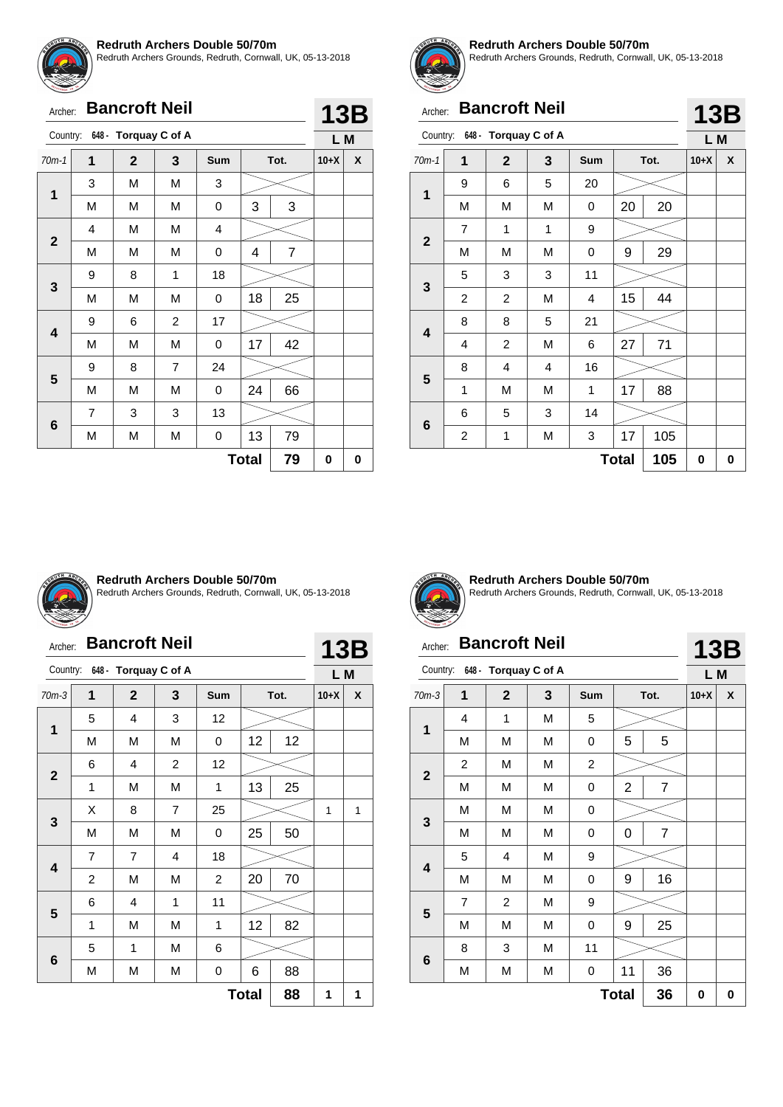![](_page_28_Picture_0.jpeg)

Redruth Archers Grounds, Redruth, Cornwall, UK, 05-13-2018

|              | <b>Bancroft Neil</b><br>Archer: |                      |                |     |    |                |        | <b>13B</b> |
|--------------|---------------------------------|----------------------|----------------|-----|----|----------------|--------|------------|
| Country:     |                                 | 648 - Torquay C of A |                |     |    |                | L M    |            |
| $70m-1$      | 1                               | $\overline{2}$       | 3              | Sum |    | Tot.           | $10+X$ | X          |
|              | 3                               | М                    | M              | 3   |    |                |        |            |
| 1            | M                               | M                    | M              | 0   | 3  | 3              |        |            |
|              | M<br>M<br>4<br>4                |                      |                |     |    |                |        |            |
| $\mathbf{2}$ | M                               | М                    | M              | 0   | 4  | $\overline{7}$ |        |            |
| 3            | 9                               | 8                    | 1              | 18  |    |                |        |            |
|              | M                               | M                    | M              | 0   | 18 | 25             |        |            |
|              | 9                               | 6                    | $\overline{c}$ | 17  |    |                |        |            |
| 4            | М                               | М                    | M              | 0   | 17 | 42             |        |            |
|              | 9                               | 8                    | $\overline{7}$ | 24  |    |                |        |            |
| 5            | M                               | M                    | M              | 0   | 24 | 66             |        |            |
|              | 7                               | 3                    | 3              | 13  |    |                |        |            |
| 6            | М                               | М                    | M              | 0   | 13 | 79             |        |            |
|              | 79<br><b>Total</b>              |                      |                |     |    |                |        |            |

![](_page_28_Picture_4.jpeg)

#### **Redruth Archers Double 50/70m**

Redruth Archers Grounds, Redruth, Cornwall, UK, 05-13-2018

# Archer: **Bancroft Neil**

|             | <b>Bancroft Neil</b><br>Archer: |                               |   |            |    |      |        |            |
|-------------|---------------------------------|-------------------------------|---|------------|----|------|--------|------------|
|             |                                 | Country: 648 - Torquay C of A |   |            |    |      | L M    | <b>13B</b> |
| $70m-1$     | 1                               | $\mathbf{2}$                  | 3 | <b>Sum</b> |    | Tot. | $10+X$ | X          |
| $\mathbf 1$ | 9                               | 6                             | 5 | 20         |    |      |        |            |
|             | M                               | M                             | M | 0          | 20 | 20   |        |            |
| $\mathbf 2$ | 1<br>7<br>1<br>9                |                               |   |            |    |      |        |            |
|             | М                               | M                             | M | 0          | 9  | 29   |        |            |
| 3           | 5                               | 3                             | 3 | 11         |    |      |        |            |
|             | $\overline{2}$                  | $\overline{2}$                | M | 4          | 15 | 44   |        |            |
|             | 8                               | 8                             | 5 | 21         |    |      |        |            |
| 4           | 4                               | $\overline{c}$                | M | 6          | 27 | 71   |        |            |
|             | 8                               | 4                             | 4 | 16         |    |      |        |            |
| 5           | 1                               | M                             | M | 1          | 17 | 88   |        |            |
|             | 6                               | 5                             | 3 | 14         |    |      |        |            |
| 6           | $\overline{\mathbf{c}}$         | 1                             | M | 3          | 17 | 105  |        |            |
|             | 0                               | 0                             |   |            |    |      |        |            |

![](_page_28_Picture_9.jpeg)

#### **Redruth Archers Double 50/70m**

Redruth Archers Grounds, Redruth, Cornwall, UK, 05-13-2018

| Archer:                 |                |                               | <b>Bancroft Neil</b> |                |              |      | <b>13B</b> |   |
|-------------------------|----------------|-------------------------------|----------------------|----------------|--------------|------|------------|---|
|                         |                | Country: 648 - Torquay C of A |                      |                |              |      | L M        |   |
| $70m-3$                 | 1              | $\mathbf{2}$                  | 3                    | <b>Sum</b>     |              | Tot. | $10+X$     | X |
|                         | 5              | $\overline{\mathbf{4}}$       | 3                    | 12             |              |      |            |   |
| 1                       | M              | M                             | M                    | 0              | 12           | 12   |            |   |
|                         | 6              | 4                             | 2                    | 12             |              |      |            |   |
| $\mathbf{2}$            | 1              | M                             | M                    | 1              | 13           | 25   |            |   |
|                         | X              | 8                             | $\overline{7}$       | 25             |              |      | 1          | 1 |
| 3                       | M              | M                             | M                    | 0              | 25           | 50   |            |   |
|                         | 7              | $\overline{7}$                | 4                    | 18             |              |      |            |   |
| $\overline{\mathbf{A}}$ | $\overline{2}$ | M                             | M                    | $\overline{2}$ | 20           | 70   |            |   |
|                         | 6              | 4                             | 1                    | 11             |              |      |            |   |
| 5                       | 1              | M                             | M                    | 1              | 12           | 82   |            |   |
|                         | 5              | 1                             | М                    | 6              |              |      |            |   |
| 6                       | M              | М                             | M                    | 0              | 6            | 88   |            |   |
|                         |                |                               |                      |                | <b>Total</b> | 88   | 1          | 1 |

![](_page_28_Picture_13.jpeg)

**Redruth Archers Double 50/70m** Redruth Archers Grounds, Redruth, Cornwall, UK, 05-13-2018

**13B**

# Archer: **Bancroft Neil**

|                         | 648 - Torquay C of A<br>Country: |                         |   |                |                |                |        | L M |
|-------------------------|----------------------------------|-------------------------|---|----------------|----------------|----------------|--------|-----|
| $70m-3$                 | 1                                | $\overline{2}$          | 3 | <b>Sum</b>     |                | Tot.           | $10+X$ | X   |
| $\mathbf 1$             | 4                                | 1                       | M | 5              |                |                |        |     |
|                         | M                                | M                       | M | 0              | 5              | 5              |        |     |
|                         | 2                                | М                       | М | $\overline{c}$ |                |                |        |     |
| $\mathbf{2}$            | M                                | M                       | M | 0              | $\overline{2}$ | $\overline{7}$ |        |     |
|                         | M                                | М                       | M | 0              |                |                |        |     |
| $\mathbf{3}$            | M                                | M                       | M | 0              | 0              | $\overline{7}$ |        |     |
|                         | 5                                | 4                       | M | 9              |                |                |        |     |
| $\overline{\mathbf{4}}$ | M                                | М                       | M | 0              | 9              | 16             |        |     |
|                         | 7                                | $\overline{\mathbf{c}}$ | M | 9              |                |                |        |     |
| 5                       | M                                | М                       | M | 0              | 9              | 25             |        |     |
|                         | 8                                | 3                       | M | 11             |                |                |        |     |
| 6                       | M                                | М                       | M | 0              | 11             | 36             |        |     |
| 36<br><b>Total</b>      |                                  |                         |   |                |                |                | 0      | 0   |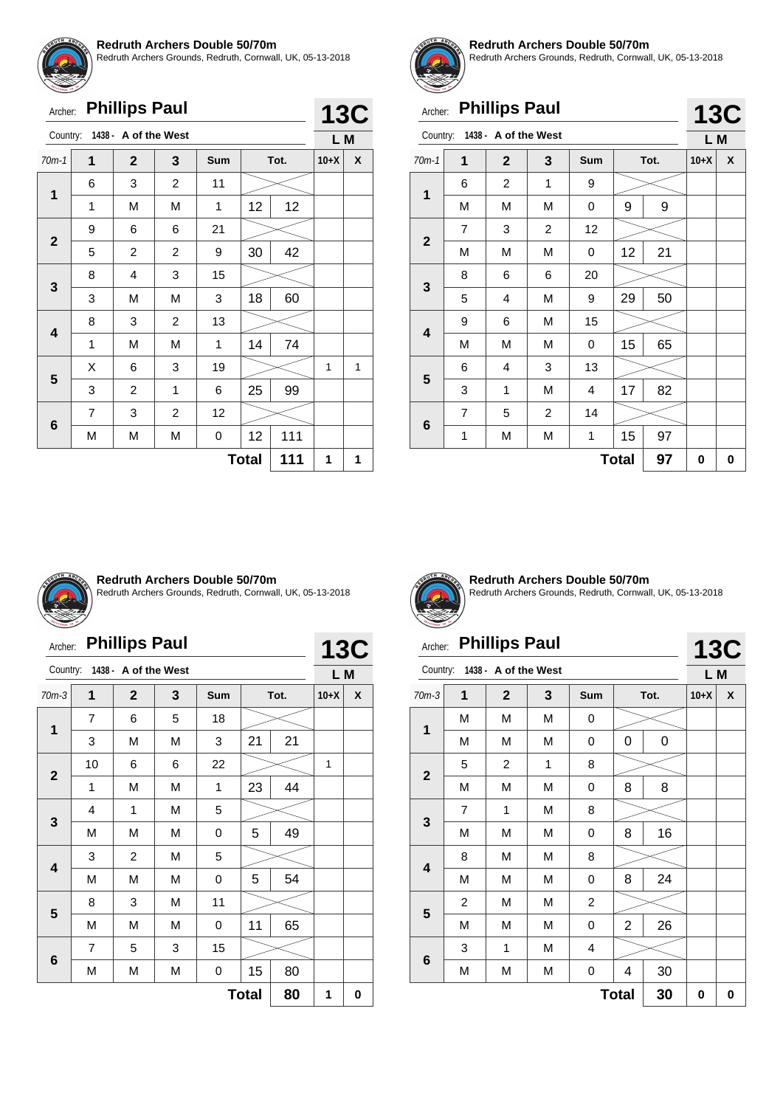![](_page_29_Picture_0.jpeg)

Redruth Archers Grounds, Redruth, Cornwall, UK, 05-13-2018

| <b>WEBBRATER</b> | <b>Phillips Paul</b><br>Archer: |                      |                |     |              |      |        |            |  |
|------------------|---------------------------------|----------------------|----------------|-----|--------------|------|--------|------------|--|
| Country:         |                                 | 1438 - A of the West |                |     |              |      | L M    | <b>13C</b> |  |
| $70m-1$          | 1                               | $\mathbf{2}$         | 3              | Sum |              | Tot. | $10+X$ | X          |  |
| 1                | 6                               | 3                    | $\overline{2}$ | 11  |              |      |        |            |  |
|                  | 1                               | M                    | M              | 1   | 12           | 12   |        |            |  |
|                  | 9                               | 6                    | 6              | 21  |              |      |        |            |  |
| $\mathbf{2}$     | 5                               | $\overline{2}$       | $\overline{2}$ | 9   | 30           | 42   |        |            |  |
|                  | 8                               | $\overline{4}$       | 3              | 15  |              |      |        |            |  |
| 3                | 3                               | M                    | M              | 3   | 18           | 60   |        |            |  |
|                  | 8                               | 3                    | $\overline{c}$ | 13  |              |      |        |            |  |
| 4                | 1                               | M                    | M              | 1   | 14           | 74   |        |            |  |
| 5                | X                               | 6                    | 3              | 19  |              |      | 1      | 1          |  |
|                  | 3                               | $\overline{c}$       | 1              | 6   | 25           | 99   |        |            |  |
|                  | $\overline{7}$                  | 3                    | $\overline{c}$ | 12  |              |      |        |            |  |
| 6                | М                               | М                    | M              | 0   | 12           | 111  |        |            |  |
|                  |                                 |                      |                |     | <b>Total</b> | 111  | 1      | 1          |  |
|                  |                                 |                      |                |     |              |      |        |            |  |

![](_page_29_Picture_4.jpeg)

#### **Redruth Archers Double 50/70m**

Redruth Archers Grounds, Redruth, Cornwall, UK, 05-13-2018

**13C**

**13C**

# Archer: **Phillips Paul**

| Country:                |                | 1438 - A of the West |                |     |    |      | L M    |   |  |
|-------------------------|----------------|----------------------|----------------|-----|----|------|--------|---|--|
| $70m-1$                 | 1              | $\mathbf{2}$         | 3              | Sum |    | Tot. | $10+X$ | X |  |
| $\mathbf 1$             | 6              | $\overline{c}$       | 1              | 9   |    |      |        |   |  |
|                         | M              | M                    | M              | 0   | 9  | 9    |        |   |  |
|                         | $\overline{7}$ | 3                    | $\overline{c}$ | 12  |    |      |        |   |  |
| $\mathbf{2}$            | M              | M                    | M              | 0   | 12 | 21   |        |   |  |
|                         | 8              | 6                    | 6              | 20  |    |      |        |   |  |
| 3                       | 5              | 4                    | M              | 9   | 29 | 50   |        |   |  |
| $\overline{\mathbf{4}}$ | 9              | 6                    | M              | 15  |    |      |        |   |  |
|                         | M              | М                    | M              | 0   | 15 | 65   |        |   |  |
|                         | 6              | 4                    | 3              | 13  |    |      |        |   |  |
| 5                       | 3              | 1                    | M              | 4   | 17 | 82   |        |   |  |
|                         | $\overline{7}$ | 5                    | $\overline{c}$ | 14  |    |      |        |   |  |
| 6                       | 1              | М                    | M              | 1   | 15 | 97   |        |   |  |
| 97<br><b>Total</b>      |                |                      |                |     |    |      |        | 0 |  |

![](_page_29_Picture_9.jpeg)

#### **Redruth Archers Double 50/70m**

Redruth Archers Grounds, Redruth, Cornwall, UK, 05-13-2018

|  | Archer: Phillips Paul |  |
|--|-----------------------|--|
|--|-----------------------|--|

|                | <b>Phillips Paul</b><br>Archer: |                      |   |            |    |      |        |            |  |
|----------------|---------------------------------|----------------------|---|------------|----|------|--------|------------|--|
| Country:       |                                 | 1438 - A of the West |   |            |    |      | L M    | <b>13C</b> |  |
| $70m-3$        | 1                               | $\overline{2}$       | 3 | <b>Sum</b> |    | Tot. | $10+X$ | X          |  |
| 1              | 7                               | 6                    | 5 | 18         |    |      |        |            |  |
|                | 3                               | M                    | M | 3          | 21 | 21   |        |            |  |
| $\overline{2}$ | 22<br>10<br>6<br>6              |                      |   |            |    |      |        |            |  |
|                | 1                               | M                    | M | 1          | 23 | 44   |        |            |  |
| 3              | 4                               | 1                    | M | 5          |    |      |        |            |  |
|                | M                               | M                    | M | 0          | 5  | 49   |        |            |  |
|                | 3                               | $\overline{c}$       | M | 5          |    |      |        |            |  |
| 4              | M                               | M                    | M | 0          | 5  | 54   |        |            |  |
| 5              | 8                               | 3                    | M | 11         |    |      |        |            |  |
|                | M                               | M                    | M | 0          | 11 | 65   |        |            |  |
|                | 7                               | 5                    | 3 | 15         |    |      |        |            |  |
| 6              | 15<br>80<br>M<br>M<br>M<br>0    |                      |   |            |    |      |        |            |  |
|                | 80<br><b>Total</b>              |                      |   |            |    |      |        |            |  |

![](_page_29_Picture_14.jpeg)

**Redruth Archers Double 50/70m** Redruth Archers Grounds, Redruth, Cornwall, UK, 05-13-2018

# Archer: **Phillips Paul**

| Country:                |                | 1438 - A of the West |   |                |              |    | L M    |   |
|-------------------------|----------------|----------------------|---|----------------|--------------|----|--------|---|
| $70m-3$                 | 1              | $\mathbf{2}$         | 3 | Sum            | Tot.         |    | $10+X$ | χ |
| 1                       | М              | М                    | М | 0              |              |    |        |   |
|                         | Μ              | М                    | М | 0              | 0            | 0  |        |   |
|                         | 5              | $\overline{c}$       | 1 | 8              |              |    |        |   |
| $\mathbf{2}$            | Μ              | М                    | М | 0              | 8            | 8  |        |   |
|                         | 7              | 1                    | М | 8              |              |    |        |   |
| 3                       | Μ              | М                    | М | 0              | 8            | 16 |        |   |
|                         | 8              | М                    | М | 8              |              |    |        |   |
| $\overline{\mathbf{4}}$ | М              | М                    | M | 0              | 8            | 24 |        |   |
|                         | $\overline{c}$ | М                    | M | $\overline{c}$ |              |    |        |   |
| 5                       | M              | М                    | M | 0              | 2            | 26 |        |   |
|                         | 3              | 1                    | M | 4              |              |    |        |   |
| $\bf 6$                 | M              | М                    | M | 0              | 4            | 30 |        |   |
|                         |                |                      |   |                | <b>Total</b> | 30 | 0      | 0 |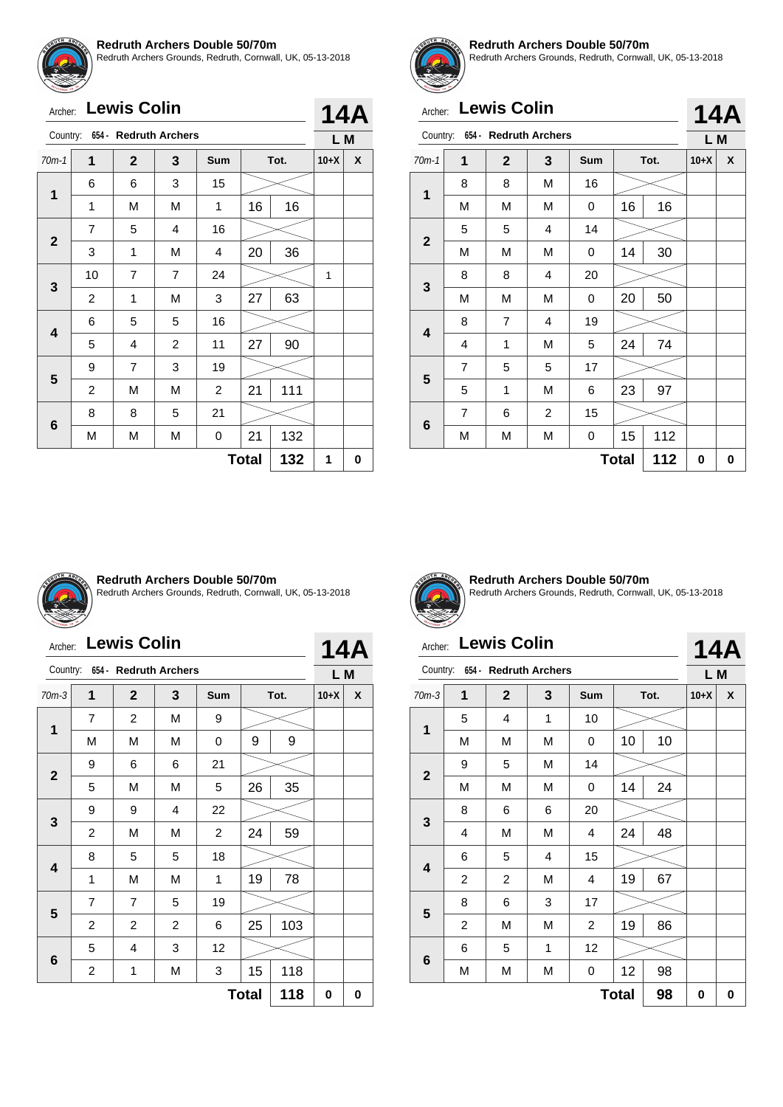![](_page_30_Picture_0.jpeg)

Redruth Archers Grounds, Redruth, Cornwall, UK, 05-13-2018

| <b>ETHYENGH TH</b><br>Archer: |                | <b>Lewis Colin</b>    |                |                |              |      |        | <b>14A</b> |
|-------------------------------|----------------|-----------------------|----------------|----------------|--------------|------|--------|------------|
| Country:                      |                | 654 - Redruth Archers |                |                |              |      | L M    |            |
| $70m-1$                       | 1              | $\mathbf{2}$          | 3              | <b>Sum</b>     |              | Tot. | $10+X$ | X          |
|                               | 6              | 6                     | 3              | 15             |              |      |        |            |
| 1                             | 1              | M                     | M              | 1              | 16           | 16   |        |            |
| $\overline{2}$                | 7              | 5                     | 4              | 16             |              |      |        |            |
|                               | 3              | 1                     | М              | 4              | 20           | 36   |        |            |
| 3                             | 10             | $\overline{7}$        | $\overline{7}$ | 24             |              |      | 1      |            |
|                               | 2              | 1                     | М              | 3              | 27           | 63   |        |            |
| 4                             | 6              | 5                     | 5              | 16             |              |      |        |            |
|                               | 5              | 4                     | $\overline{2}$ | 11             | 27           | 90   |        |            |
|                               | 9              | $\overline{7}$        | 3              | 19             |              |      |        |            |
| 5                             | $\overline{2}$ | M                     | M              | $\overline{2}$ | 21           | 111  |        |            |
|                               | 8              | 8                     | 5              | 21             |              |      |        |            |
| 6                             | M              | М                     | М              | 0              | 21           | 132  |        |            |
|                               |                |                       |                |                | <b>Total</b> | 132  | 1      | 0          |
|                               |                |                       |                |                |              |      |        |            |

![](_page_30_Picture_4.jpeg)

#### **Redruth Archers Double 50/70m**

Redruth Archers Grounds, Redruth, Cornwall, UK, 05-13-2018

**14A**

## Archer: **Lewis Colin**

| Country:       |                | 654 - Redruth Archers |                |            |              |      | L M    |   |
|----------------|----------------|-----------------------|----------------|------------|--------------|------|--------|---|
| $70m-1$        | 1              | $\mathbf{2}$          | 3              | <b>Sum</b> |              | Tot. | $10+X$ | X |
| 1              | 8              | 8                     | M              | 16         |              |      |        |   |
|                | М              | M                     | M              | 0          | 16<br>16     |      |        |   |
|                | 5              | 5                     | 4              | 14         |              |      |        |   |
| $\mathbf{2}$   | М              | M                     | M              | 0          | 14           | 30   |        |   |
|                | 8              | 8                     | 4              | 20         |              |      |        |   |
| 3              | М              | M                     | M              | 0          | 20           | 50   |        |   |
|                | 8              | $\overline{7}$        | 4              | 19         |              |      |        |   |
| 4              | 4              | 1                     | M              | 5          | 24           | 74   |        |   |
| $5\phantom{1}$ | $\overline{7}$ | 5                     | 5              | 17         |              |      |        |   |
|                | 5              | 1                     | M              | 6          | 23           | 97   |        |   |
|                | $\overline{7}$ | 6                     | $\overline{c}$ | 15         |              |      |        |   |
| 6              | М              | М                     | M              | 0          | 15           | 112  |        |   |
|                |                |                       |                |            | <b>Total</b> | 112  | 0      | 0 |

![](_page_30_Picture_9.jpeg)

#### **Redruth Archers Double 50/70m**

Redruth Archers Grounds, Redruth, Cornwall, UK, 05-13-2018

| Archer:      |                | <b>Lewis Colin</b>             |                |                |              |      |        | <b>14A</b> |
|--------------|----------------|--------------------------------|----------------|----------------|--------------|------|--------|------------|
|              |                | Country: 654 - Redruth Archers |                |                |              |      | L M    |            |
| $70m-3$      | 1              | $\mathbf{2}$                   | 3              | <b>Sum</b>     |              | Tot. | $10+X$ | X          |
|              | $\overline{7}$ | $\overline{2}$                 | M              | 9              |              |      |        |            |
| 1            | M              | M                              | М              | 0              | 9            | 9    |        |            |
|              | 9              | 6                              | 6              | 21             |              |      |        |            |
| $\mathbf{2}$ | 5              | M                              | M              | 5              | 26           | 35   |        |            |
|              | 9              | 9                              | 4              | 22             |              |      |        |            |
| 3            | 2              | M                              | М              | $\overline{c}$ | 24           | 59   |        |            |
|              | 8              | 5                              | 5              | 18             |              |      |        |            |
| 4            | 1              | M                              | М              | 1              | 19           | 78   |        |            |
|              | 7              | $\overline{7}$                 | 5              | 19             |              |      |        |            |
| 5            | 2              | 2                              | $\overline{2}$ | 6              | 25           | 103  |        |            |
|              | 5              | 4                              | 3              | 12             |              |      |        |            |
| 6            | 2              | 1                              | М              | 3              | 15           | 118  |        |            |
|              |                |                                |                |                | <b>Total</b> | 118  | 0      | 0          |

![](_page_30_Picture_13.jpeg)

**1**

**2**

**3**

**4**

**5**

**6**

**Redruth Archers Double 50/70m** Redruth Archers Grounds, Redruth, Cornwall, UK, 05-13-2018

#### Archer: **Lewis Colin 14A** Country: **654 - Redruth Archers L M** 70m-3 **1 2 3 Sum Tot. 10+X X** 5 | 4 | 1 | 10 M | M | M | 0 | 10 | 10 9 | 5 | M | 14 M | M | M | 0 | 14 | 24 8 6 6 20 Ĺ. 4 | M | M | 4 | 24 | 48 - 2 6 5 4 15 ∈ 2 | 2 | M | 4 | 19 | 67

8 | 6 | 3 | 17

6 | 5 | 1 | 12

2 | M | M | 2 | 19 | 86

M | M | M | 0 | 12 | 98

**Total 98 0 0**

╱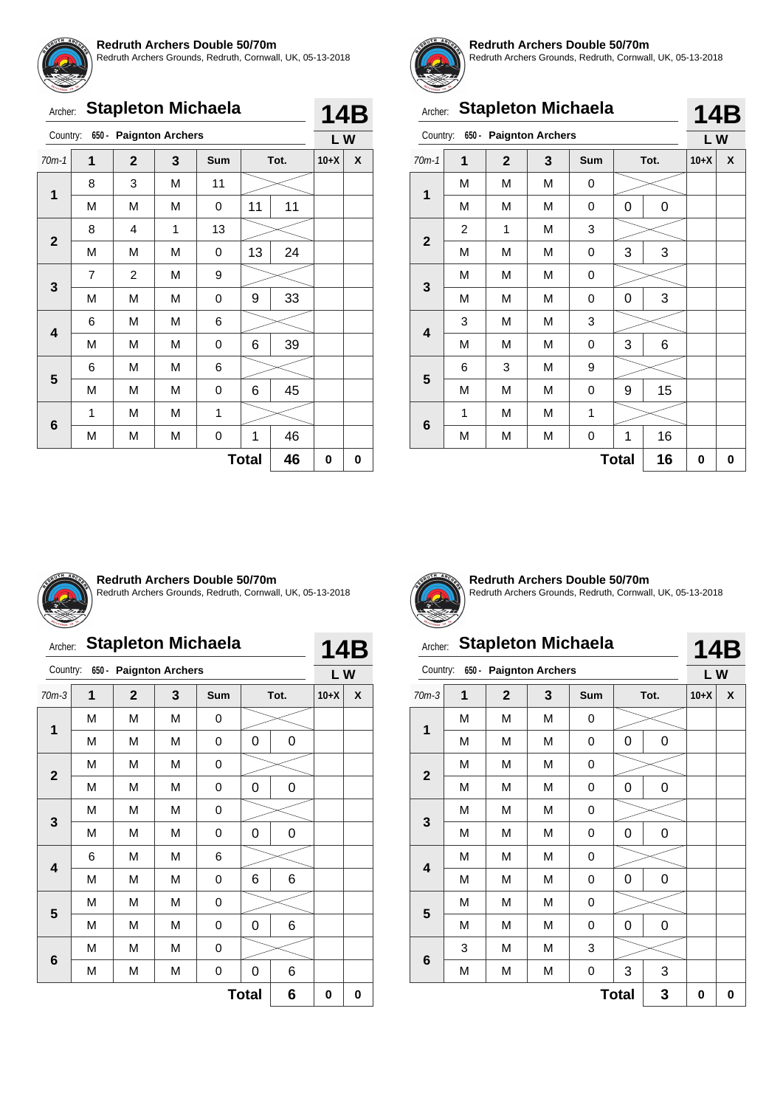![](_page_31_Picture_0.jpeg)

Redruth Archers Grounds, Redruth, Cornwall, UK, 05-13-2018

| Archer: Stapleton Michaela |  |
|----------------------------|--|
|                            |  |

| Country:     |                | 650 - Paignton Archers |   |            |              |      | LW     |   |
|--------------|----------------|------------------------|---|------------|--------------|------|--------|---|
| $70m-1$      | 1              | $\mathbf{2}$           | 3 | <b>Sum</b> |              | Tot. | $10+X$ | X |
|              | 8              | 3                      | M | 11         |              |      |        |   |
| 1            | M              | M                      | М | 0          | 11           | 11   |        |   |
| $\mathbf{2}$ | 8              | $\overline{4}$         | 1 | 13         |              |      |        |   |
|              | M              | M                      | М | 0          | 13           | 24   |        |   |
| 3            | $\overline{7}$ | $\overline{c}$         | М | 9          |              |      |        |   |
|              | M              | M                      | М | 0          | 9            | 33   |        |   |
|              | 6              | M                      | М | 6          |              |      |        |   |
| 4            | M              | М                      | М | 0          | 6            | 39   |        |   |
|              | 6              | М                      | М | 6          |              |      |        |   |
| 5            | M              | М                      | М | 0          | 6            | 45   |        |   |
|              | 1              | М                      | М | 1          |              |      |        |   |
| 6            | M              | М                      | М | 0          | 1            | 46   |        |   |
|              |                |                        |   |            | <b>Total</b> | 46   | 0      | 0 |

![](_page_31_Picture_5.jpeg)

**14B**

#### **Redruth Archers Double 50/70m**

Redruth Archers Grounds, Redruth, Cornwall, UK, 05-13-2018

|                | <b>Stapleton Michaela</b><br>Archer: |                |                        |            |              |      |        |     |  |
|----------------|--------------------------------------|----------------|------------------------|------------|--------------|------|--------|-----|--|
| Country:       |                                      |                | 650 - Paignton Archers |            |              |      | LW     | 14B |  |
| $70m-1$        | 1                                    | $\overline{2}$ | 3                      | <b>Sum</b> |              | Tot. | $10+X$ | X   |  |
|                | М                                    | М              | M                      | 0          |              |      |        |     |  |
| 1              | M                                    | M              | M                      | 0          | 0            | 0    |        |     |  |
|                | $\overline{2}$                       | 1              | M                      | 3          |              |      |        |     |  |
| $\overline{2}$ | M                                    | M              | M                      | 0          | 3            | 3    |        |     |  |
|                | M                                    | М              | M                      | 0          |              |      |        |     |  |
| 3              | М                                    | M              | M                      | 0          | 0            | 3    |        |     |  |
|                | 3                                    | М              | M                      | 3          |              |      |        |     |  |
| 4              | М                                    | M              | M                      | 0          | 3            | 6    |        |     |  |
|                | 6                                    | 3              | M                      | 9          |              |      |        |     |  |
| 5              | М                                    | M              | M                      | 0          | 9            | 15   |        |     |  |
|                | 1                                    | М              | M                      | 1          |              |      |        |     |  |
| 6              | М                                    | М              | M                      | 0          | 1            | 16   |        |     |  |
|                |                                      |                |                        |            | <b>Total</b> | 16   | 0      | 0   |  |

![](_page_31_Picture_9.jpeg)

#### **Redruth Archers Double 50/70m**

Redruth Archers Grounds, Redruth, Cornwall, UK, 05-13-2018

# Archer: **Stapleton Michaela**

| Country:                |                   | 650 - Paignton Archers |   |            |      |   | LW     |   |  |
|-------------------------|-------------------|------------------------|---|------------|------|---|--------|---|--|
| $70m-3$                 | $\overline{1}$    | $\mathbf{2}$           | 3 | <b>Sum</b> | Tot. |   | $10+X$ | X |  |
| 1                       | М                 | M                      | М | 0          |      |   |        |   |  |
|                         | M                 | M                      | M | 0          | 0    | 0 |        |   |  |
|                         | M                 | M                      | M | 0          |      |   |        |   |  |
| $\mathbf{2}$            | M                 | M                      | M | 0          | 0    | 0 |        |   |  |
|                         | M                 | M                      | M | 0          |      |   |        |   |  |
| 3                       | М                 | M                      | M | 0          | 0    | 0 |        |   |  |
|                         | 6                 | M                      | M | 6          |      |   |        |   |  |
| $\overline{\mathbf{4}}$ | M                 | M                      | М | 0          | 6    | 6 |        |   |  |
|                         | М                 | M                      | M | 0          |      |   |        |   |  |
| 5                       | М                 | M                      | M | 0          | 0    | 6 |        |   |  |
|                         | М                 | M                      | М | 0          |      |   |        |   |  |
| $6\phantom{1}$          | М                 | M                      | М | 0          | 0    | 6 |        |   |  |
|                         | 6<br><b>Total</b> |                        |   |            |      |   |        |   |  |

![](_page_31_Picture_15.jpeg)

**Redruth Archers Double 50/70m** Redruth Archers Grounds, Redruth, Cornwall, UK, 05-13-2018

# Archer: **Stapleton Michaela**

# **14B**

| Country:        | $650 -$ | <b>Paignton Archers</b> |   |            |              |             | LW     |   |
|-----------------|---------|-------------------------|---|------------|--------------|-------------|--------|---|
| $70m-3$         | 1       | $\mathbf{2}$            | 3 | <b>Sum</b> |              | Tot.        | $10+X$ | X |
| $\mathbf 1$     | M       | М                       | M | 0          |              |             |        |   |
|                 | M       | М                       | M | 0          | 0            | $\mathbf 0$ |        |   |
| $\mathbf{2}$    | M       | М                       | M | 0          |              |             |        |   |
|                 | M       | М                       | M | 0          | 0            | 0           |        |   |
|                 | M       | M                       | M | 0          |              |             |        |   |
| $\mathbf{3}$    | М       | М                       | М | 0          | 0            | 0           |        |   |
|                 | M       | М                       | M | 0          |              |             |        |   |
| 4               | М       | М                       | M | 0          | 0            | 0           |        |   |
|                 | М       | М                       | M | 0          |              |             |        |   |
| 5               | М       | М                       | M | 0          | 0            | 0           |        |   |
|                 | 3       | М                       | M | 3          |              |             |        |   |
| $6\phantom{1}6$ | M       | M                       | M | 0          | 3            | 3           |        |   |
|                 |         |                         |   |            | <b>Total</b> | 3           | 0      | 0 |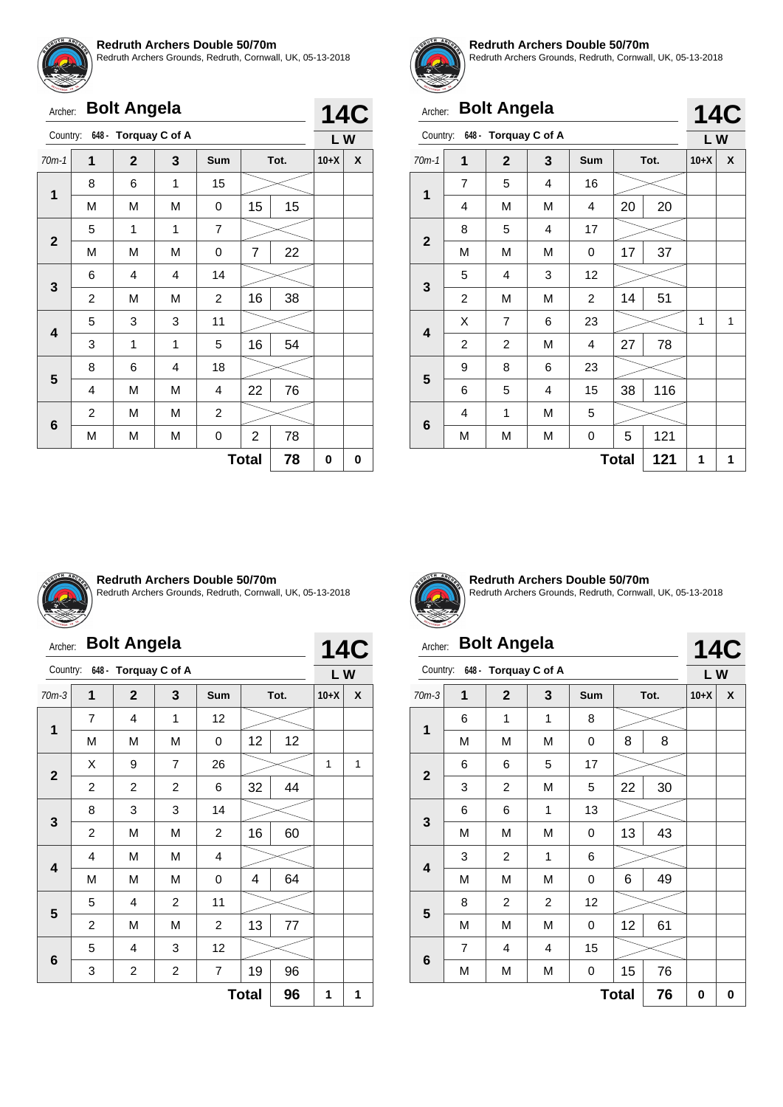![](_page_32_Picture_0.jpeg)

Redruth Archers Grounds, Redruth, Cornwall, UK, 05-13-2018

|                         | <b>Bolt Angela</b><br>Archer: |                      |                |                |                |      |                  |   |  |
|-------------------------|-------------------------------|----------------------|----------------|----------------|----------------|------|------------------|---|--|
| Country:                |                               | 648 - Torquay C of A |                |                |                |      | <b>14C</b><br>LW |   |  |
| $70m-1$                 | 1                             | $\mathbf{2}$         | 3              | <b>Sum</b>     |                | Tot. | $10+X$           | X |  |
| 1                       | 8                             | 6                    | 1              | 15             |                |      |                  |   |  |
|                         | M                             | M                    | M              | 0              | 15             | 15   |                  |   |  |
| $\mathbf{2}$            | 5                             | 1                    | 1              | $\overline{7}$ |                |      |                  |   |  |
|                         | M                             | M                    | M              | 0              | 7              | 22   |                  |   |  |
|                         | 6                             | $\overline{4}$       | $\overline{4}$ | 14             |                |      |                  |   |  |
| 3                       | 2                             | M                    | M              | $\overline{c}$ | 16             | 38   |                  |   |  |
| $\overline{\mathbf{4}}$ | 5                             | 3                    | 3              | 11             |                |      |                  |   |  |
|                         | 3                             | 1                    | 1              | 5              | 16             | 54   |                  |   |  |
|                         | 8                             | 6                    | 4              | 18             |                |      |                  |   |  |
| 5                       | 4                             | M                    | M              | 4              | 22             | 76   |                  |   |  |
|                         | $\overline{c}$                | M                    | M              | $\overline{2}$ |                |      |                  |   |  |
| 6                       | M                             | М                    | M              | 0              | $\overline{2}$ | 78   |                  |   |  |
|                         |                               |                      |                |                | <b>Total</b>   | 78   | 0                | 0 |  |

![](_page_32_Picture_4.jpeg)

#### **Redruth Archers Double 50/70m**

Redruth Archers Grounds, Redruth, Cornwall, UK, 05-13-2018

**14C**

# Archer: **Bolt Angela**

| Country:                |                | 648 - Torquay C of A |   |     |              |      | LW     |   |  |  |
|-------------------------|----------------|----------------------|---|-----|--------------|------|--------|---|--|--|
| $70m-1$                 | 1              | $\mathbf{2}$         | 3 | Sum |              | Tot. | $10+X$ | X |  |  |
| $\mathbf 1$             | 7              | 5                    | 4 | 16  |              |      |        |   |  |  |
|                         | 4              | M                    | М | 4   | 20           | 20   |        |   |  |  |
| $\mathbf{2}$            | 8              | 5                    | 4 | 17  |              |      |        |   |  |  |
|                         | M              | M                    | M | 0   | 17           | 37   |        |   |  |  |
|                         | 5              | 4                    | 3 | 12  |              |      |        |   |  |  |
| $\mathbf{3}$            | $\overline{c}$ | M                    | M | 2   | 14           | 51   |        |   |  |  |
| $\overline{\mathbf{4}}$ | Χ              | $\overline{7}$       | 6 | 23  |              |      | 1      | 1 |  |  |
|                         | $\overline{c}$ | $\overline{c}$       | M | 4   | 27           | 78   |        |   |  |  |
| 5                       | 9              | 8                    | 6 | 23  |              |      |        |   |  |  |
|                         | 6              | 5                    | 4 | 15  | 38           | 116  |        |   |  |  |
| 6                       | 4              | 1                    | M | 5   |              |      |        |   |  |  |
|                         | М              | М                    | М | 0   | 5            | 121  |        |   |  |  |
|                         |                |                      |   |     | <b>Total</b> | 121  | 1      | 1 |  |  |

![](_page_32_Picture_9.jpeg)

#### **Redruth Archers Double 50/70m**

Redruth Archers Grounds, Redruth, Cornwall, UK, 05-13-2018

| Archer:                                                         |   | <b>14C</b>           |                |                |    |      |        |                |
|-----------------------------------------------------------------|---|----------------------|----------------|----------------|----|------|--------|----------------|
| Country:                                                        |   | 648 - Torquay C of A |                |                |    |      | LW     |                |
| $70m-3$                                                         | 1 | $\mathbf{2}$         | 3              | <b>Sum</b>     |    | Tot. | $10+X$ | X              |
| 1                                                               | 7 | 4                    | 1              | 12             |    |      |        |                |
|                                                                 | M | M                    | M              | 0              | 12 | 12   |        |                |
| $\overline{7}$<br>9<br>X<br>26<br>$\overline{2}$                |   |                      |                |                |    |      |        | $\overline{1}$ |
|                                                                 | 2 | $\overline{2}$       | $\overline{c}$ | 6              | 32 | 44   |        |                |
| 3                                                               | 8 | 3                    | 3              | 14             |    |      |        |                |
|                                                                 | 2 | M                    | M              | 2              | 16 | 60   |        |                |
| $\overline{\mathbf{4}}$                                         | 4 | M                    | M              | 4              |    |      |        |                |
|                                                                 | M | M                    | M              | 0              | 4  | 64   |        |                |
| 5                                                               | 5 | $\overline{4}$       | $\overline{2}$ | 11             |    |      |        |                |
|                                                                 | 2 | M                    | M              | $\overline{c}$ | 13 | 77   |        |                |
| 6                                                               | 5 | 4                    | 3              | 12             |    |      |        |                |
| 2<br>$\overline{\mathbf{c}}$<br>$\overline{7}$<br>19<br>96<br>3 |   |                      |                |                |    |      |        |                |
|                                                                 | 1 | 1                    |                |                |    |      |        |                |

![](_page_32_Picture_13.jpeg)

#### **Redruth Archers Double 50/70m** Redruth Archers Grounds, Redruth, Cornwall, UK, 05-13-2018

#### Archer: **Bolt Angela** Country: **648 - Torquay C of A 14C L W**

| $70m-3$      | 1 | $\mathbf{2}$   | $\mathbf{3}$     | Sum       | Tot. |    | $10+X$ | $\boldsymbol{\mathsf{x}}$ |
|--------------|---|----------------|------------------|-----------|------|----|--------|---------------------------|
| $\mathbf 1$  | 6 | 1              | 1                | 8         |      |    |        |                           |
|              | M | M              | M                | 0         | 8    | 8  |        |                           |
|              | 6 | 6              | 5                | 17        |      |    |        |                           |
| $\mathbf 2$  | 3 | $\overline{c}$ | M                | 5         | 22   | 30 |        |                           |
| $\mathbf 3$  | 6 | 6              | 1                | 13        |      |    |        |                           |
|              | M | M              | M                | $\pmb{0}$ | 13   | 43 |        |                           |
|              | 3 | $\overline{c}$ | 1                | 6         |      |    |        |                           |
| 4            | M | M              | M                | 0         | 6    | 49 |        |                           |
|              | 8 | $\overline{c}$ | $\boldsymbol{2}$ | 12        |      |    |        |                           |
| 5            | M | M              | M                | 0         | 12   | 61 |        |                           |
|              | 7 | 4              | 4                | 15        |      |    |        |                           |
| $\bf 6$      | M | ${\sf M}$      | M                | 0         | 15   | 76 |        |                           |
| <b>Total</b> |   |                |                  |           |      | 76 | 0      | $\bf{0}$                  |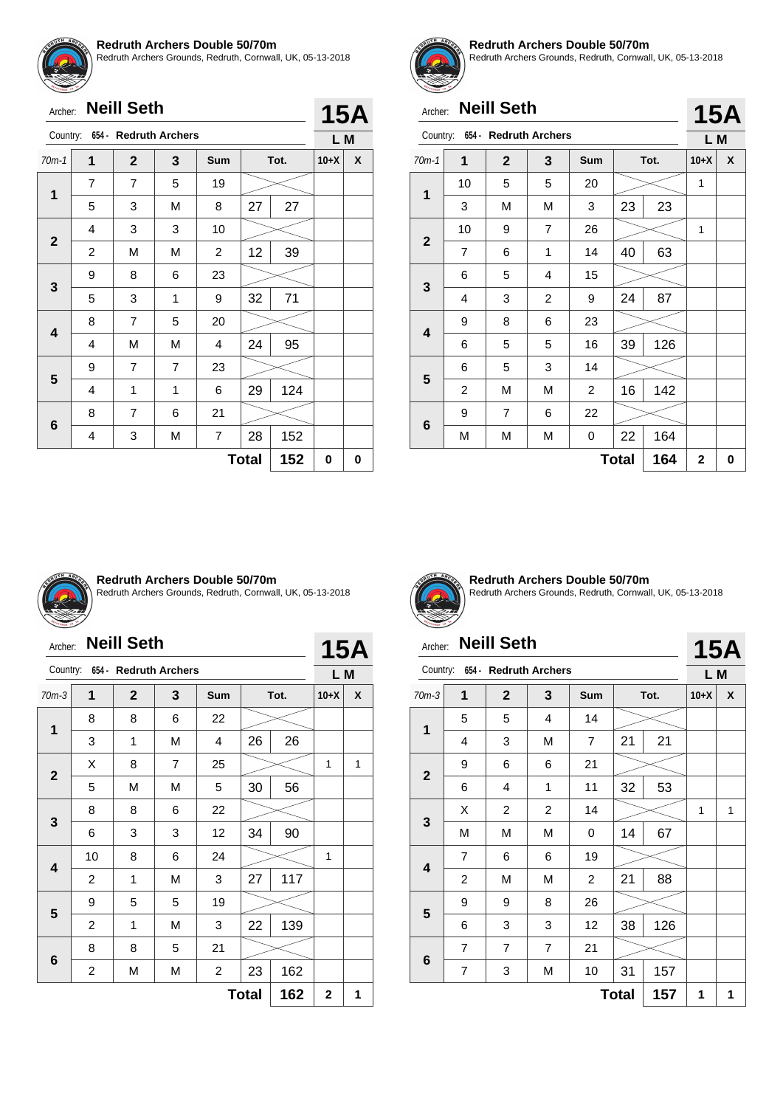![](_page_33_Picture_0.jpeg)

Redruth Archers Grounds, Redruth, Cornwall, UK, 05-13-2018

|              | <b>Neill Seth</b><br>Archer: |                |                       |                |              |      |        | <b>15A</b> |
|--------------|------------------------------|----------------|-----------------------|----------------|--------------|------|--------|------------|
| Country:     |                              |                | 654 - Redruth Archers |                |              |      | L M    |            |
| $70m-1$      | 1                            | $\mathbf{2}$   | 3                     | <b>Sum</b>     |              | Tot. | $10+X$ | X          |
| 1            | 7                            | 7              | 5                     | 19             |              |      |        |            |
|              | 5                            | 3              | M                     | 8              | 27           | 27   |        |            |
|              | 4                            | 3              | 3                     | 10             |              |      |        |            |
| $\mathbf{2}$ | $\overline{c}$               | M              | M                     | 2              | 12           | 39   |        |            |
|              | 9                            | 8              | 6                     | 23             |              |      |        |            |
| 3            | 5                            | 3              | 1                     | 9              | 32           | 71   |        |            |
| 4            | 8                            | $\overline{7}$ | 5                     | 20             |              |      |        |            |
|              | 4                            | М              | M                     | 4              | 24           | 95   |        |            |
|              | 9                            | 7              | 7                     | 23             |              |      |        |            |
| 5            | 4                            | 1              | 1                     | 6              | 29           | 124  |        |            |
|              | 8                            | 7              | 6                     | 21             |              |      |        |            |
| 6            | 4                            | 3              | M                     | $\overline{7}$ | 28           | 152  |        |            |
|              |                              |                |                       |                | <b>Total</b> | 152  | 0      | 0          |

![](_page_33_Picture_4.jpeg)

#### **Redruth Archers Double 50/70m**

Redruth Archers Grounds, Redruth, Cornwall, UK, 05-13-2018

**15A**

# Archer: **Neill Seth**

| Country:     |                         | 654 - Redruth Archers |                |                         |      |     | L M    |   |  |
|--------------|-------------------------|-----------------------|----------------|-------------------------|------|-----|--------|---|--|
| $70m-1$      | 1                       | $\mathbf{2}$          | 3              | <b>Sum</b>              | Tot. |     | $10+X$ | X |  |
| 1            | 10                      | 5                     | 5              | 20                      |      |     | 1      |   |  |
|              | 3                       | M                     | M              | 3                       | 23   | 23  |        |   |  |
|              | 10                      | 9                     | $\overline{7}$ | 26                      |      |     | 1      |   |  |
| $\mathbf{2}$ | $\overline{7}$          | 6                     | 1              | 14                      | 40   | 63  |        |   |  |
|              | 6                       | 5                     | 4              | 15                      |      |     |        |   |  |
| 3            | 4                       | 3                     | 2              | 9                       | 24   | 87  |        |   |  |
|              | 9                       | 8                     | 6              | 23                      |      |     |        |   |  |
| 4            | 6                       | 5                     | 5              | 16                      | 39   | 126 |        |   |  |
|              | 6                       | 5                     | 3              | 14                      |      |     |        |   |  |
| 5            | $\overline{\mathbf{c}}$ | M                     | M              | $\overline{\mathbf{c}}$ | 16   | 142 |        |   |  |
|              | 9                       | $\overline{7}$        | 6              | 22                      |      |     |        |   |  |
| 6            | M                       | M                     | M              | 0                       | 22   | 164 |        |   |  |
|              | $\overline{2}$          | 0                     |                |                         |      |     |        |   |  |

![](_page_33_Picture_9.jpeg)

#### **Redruth Archers Double 50/70m**

Redruth Archers Grounds, Redruth, Cornwall, UK, 05-13-2018

| Archer: |  | <b>Neill Seth</b> |
|---------|--|-------------------|
|---------|--|-------------------|

**15A**

| Country:     |                     | 654 - Redruth Archers |                |                         |      |     | L M         |   |
|--------------|---------------------|-----------------------|----------------|-------------------------|------|-----|-------------|---|
| $70m-3$      | 1                   | $\mathbf{2}$          | 3              | <b>Sum</b>              | Tot. |     | $10+X$      | X |
| 1            | 8                   | 8                     | 6              | 22                      |      |     |             |   |
|              | 3                   | 1                     | M              | 4                       | 26   | 26  |             |   |
|              | X                   | 8                     | $\overline{7}$ | 25                      |      |     | 1           | 1 |
| $\mathbf{2}$ | 5                   | M                     | M              | 5                       | 30   | 56  |             |   |
| 3            | 8                   | 8                     | 6              | 22                      |      |     |             |   |
|              | 6                   | 3                     | 3              | 12                      | 34   | 90  |             |   |
|              | 10                  | 8                     | 6              | 24                      |      |     | 1           |   |
| 4            | 2                   | 1                     | M              | 3                       | 27   | 117 |             |   |
| 5            | 9                   | 5                     | 5              | 19                      |      |     |             |   |
|              | $\overline{c}$      | 1                     | M              | 3                       | 22   | 139 |             |   |
|              | 8                   | 8                     | 5              | 21                      |      |     |             |   |
| 6            | 2                   | M                     | M              | $\overline{\mathbf{c}}$ | 23   | 162 |             |   |
|              | 162<br><b>Total</b> |                       |                |                         |      |     | $\mathbf 2$ | 1 |

![](_page_33_Picture_16.jpeg)

#### **Redruth Archers Double 50/70m** Redruth Archers Grounds, Redruth, Cornwall, UK, 05-13-2018

#### Archer: **Neill Seth 15A** Country: **654 - Redruth Archers L M** 70m-3 **1 2 3 Sum Tot. 10+X X** 5 5 4 14 **1** 4 3 | M | 7 | 21 | 21 9 6 6 21 **2** 6 | 4 | 1 | 11 | 32 | 53  $X$  | 2 | 2 | 14 |  $\geq$  | 1 | 1 **3** M | M | M | 0 | 14 | 67  $\overline{\phantom{a}}$ 7 | 6 | 6 | 19 **4** 2 | M | M | 2 | 21 | 88 9 | 9 | 8 | 26 **5** 6 | 3 | 3 | 12 | 38 | 126 7 7 7 21 **6** 7 | 3 | M | 10 | 31 | 157

**Total** | **157** | **1** | **1**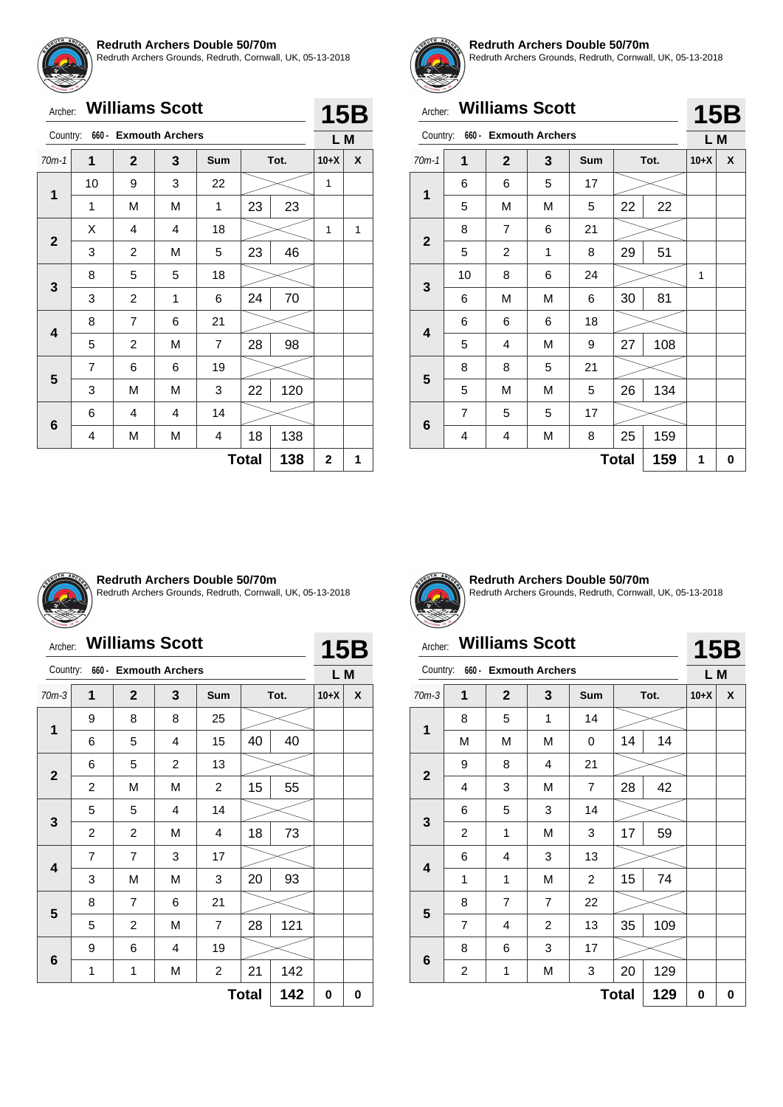![](_page_34_Picture_0.jpeg)

Redruth Archers Grounds, Redruth, Cornwall, UK, 05-13-2018

|              | <b>Williams Scott</b><br>Archer: |                |                                |                |    |      |        |   |  |
|--------------|----------------------------------|----------------|--------------------------------|----------------|----|------|--------|---|--|
|              |                                  |                | Country: 660 - Exmouth Archers |                |    |      | L M    |   |  |
| $70m-1$      | 1                                | $\mathbf{2}$   | 3                              | Sum            |    | Tot. | $10+X$ | X |  |
|              | 10                               | 9              | 3                              | 22             |    |      | 1      |   |  |
| 1            | 1                                | М              | M                              | 1              | 23 | 23   |        |   |  |
|              | X                                | 4              | 4                              | 18             |    |      | 1      | 1 |  |
| $\mathbf{2}$ | 3                                | $\overline{2}$ | M                              | 5              | 23 | 46   |        |   |  |
|              | 8                                | 5              | 5                              | 18             |    |      |        |   |  |
| 3            | 3                                | 2              | 1                              | 6              | 24 | 70   |        |   |  |
|              | 8                                | $\overline{7}$ | 6                              | 21             |    |      |        |   |  |
| 4            | 5                                | $\overline{2}$ | M                              | $\overline{7}$ | 28 | 98   |        |   |  |
|              | $\overline{7}$                   | 6              | 6                              | 19             |    |      |        |   |  |
| 5            | 3                                | M              | M                              | 3              | 22 | 120  |        |   |  |
|              | 6                                | 4              | 4                              | 14             |    |      |        |   |  |
| 6            | 4                                | М              | М                              | 4              | 18 | 138  |        |   |  |
|              | 138<br><b>Total</b>              |                |                                |                |    |      |        |   |  |

![](_page_34_Picture_4.jpeg)

#### **Redruth Archers Double 50/70m**

Redruth Archers Grounds, Redruth, Cornwall, UK, 05-13-2018

**15B**

# Archer: **Williams Scott**

| Country:            |                | 660 - Exmouth Archers |   |                    |    |        | L M |   |  |
|---------------------|----------------|-----------------------|---|--------------------|----|--------|-----|---|--|
| $70m-1$             | 1              | $\mathbf 2$           | 3 | <b>Sum</b><br>Tot. |    | $10+X$ | X   |   |  |
| 1                   | 6              | 6                     | 5 | 17                 |    |        |     |   |  |
|                     | 5              | M                     | M | 5                  | 22 | 22     |     |   |  |
| $\mathbf{2}$        | 8              | $\overline{7}$        | 6 | 21                 |    |        |     |   |  |
|                     | 5              | $\overline{2}$        | 1 | 8                  | 29 | 51     |     |   |  |
| 3                   | 10             | 8                     | 6 | 24                 |    |        | 1   |   |  |
|                     | 6              | M                     | M | 6                  | 30 | 81     |     |   |  |
| 4                   | 6              | 6                     | 6 | 18                 |    |        |     |   |  |
|                     | 5              | 4                     | M | 9                  | 27 | 108    |     |   |  |
|                     | 8              | 8                     | 5 | 21                 |    |        |     |   |  |
| 5                   | 5              | М                     | M | 5                  | 26 | 134    |     |   |  |
|                     | $\overline{7}$ | 5                     | 5 | 17                 |    |        |     |   |  |
| $6\phantom{1}6$     | 4              | 4                     | M | 8                  | 25 | 159    |     |   |  |
| 159<br><b>Total</b> |                |                       |   |                    |    |        |     | 0 |  |

![](_page_34_Picture_9.jpeg)

#### **Redruth Archers Double 50/70m**

Redruth Archers Grounds, Redruth, Cornwall, UK, 05-13-2018

# Archer: **Williams Scott**

|                                |                                            | <b>Williams Scott</b><br>Archer: |                |                |              |      |        |   |
|--------------------------------|--------------------------------------------|----------------------------------|----------------|----------------|--------------|------|--------|---|
| Country: 660 - Exmouth Archers |                                            |                                  |                |                |              |      | L M    |   |
| $70m-3$                        | 1                                          | $\mathbf{2}$                     | 3              | Sum            |              | Tot. | $10+X$ | X |
|                                | 9                                          | 8                                | 8              | 25             |              |      |        |   |
| $\mathbf{1}$                   | 6                                          | 5                                | 4              | 15             | 40           | 40   |        |   |
|                                | 5<br>6<br>$\mathbf{2}$                     |                                  | $\overline{c}$ | 13             |              |      |        |   |
|                                | $\overline{c}$                             | M                                | M              | $\overline{c}$ | 15<br>55     |      |        |   |
|                                | 5                                          | 5                                | $\overline{4}$ | 14             |              |      |        |   |
| 3                              | 2                                          | 2                                | M              | 4              | 18           | 73   |        |   |
|                                | 7                                          | 7                                | 3              | 17             |              |      |        |   |
| 4                              | 3                                          | M                                | M              | 3              | 20           | 93   |        |   |
|                                | 8                                          | $\overline{7}$                   | 6              | 21             |              |      |        |   |
| 5                              | 5                                          | $\overline{2}$                   | M              | 7              | 28           | 121  |        |   |
|                                | 19<br>9<br>6<br>4                          |                                  |                |                |              |      |        |   |
| 6                              | 142<br>$\overline{c}$<br>21<br>1<br>M<br>1 |                                  |                |                |              |      |        |   |
|                                |                                            |                                  |                |                | <b>Total</b> | 142  | 0      | 0 |

![](_page_34_Picture_14.jpeg)

**Redruth Archers Double 50/70m** Redruth Archers Grounds, Redruth, Cornwall, UK, 05-13-2018

# Archer: **Williams Scott**

# **15B**

|                     | 660 - Exmouth Archers<br>Country: |                |                |            |      |     |        | L M |
|---------------------|-----------------------------------|----------------|----------------|------------|------|-----|--------|-----|
| $70m-3$             | 1                                 | $\mathbf{2}$   | 3              | <b>Sum</b> | Tot. |     | $10+X$ | X   |
| $\mathbf 1$         | 8                                 | 5              | 1              | 14         |      |     |        |     |
|                     | M                                 | М              | М              | 0          | 14   | 14  |        |     |
|                     | 9                                 | 8              | 4              | 21         |      |     |        |     |
| $\mathbf{2}$        | 4                                 | 3              | М              | 7          | 28   | 42  |        |     |
|                     | 6                                 | 5              | 3              | 14         |      |     |        |     |
| 3                   | 2                                 | 1              | М              | 3          | 17   | 59  |        |     |
|                     | 6                                 | 4              | 3              | 13         |      |     |        |     |
| 4                   | 1                                 | 1              | М              | 2          | 15   | 74  |        |     |
|                     | 8                                 | $\overline{7}$ | $\overline{7}$ | 22         |      |     |        |     |
| 5                   | $\overline{7}$                    | 4              | 2              | 13         | 35   | 109 |        |     |
|                     | 8                                 | 6              | 3              | 17         |      |     |        |     |
| 6                   | 2                                 | 1              | М              | 3          | 20   | 129 |        |     |
| 129<br><b>Total</b> |                                   |                |                |            |      |     |        | 0   |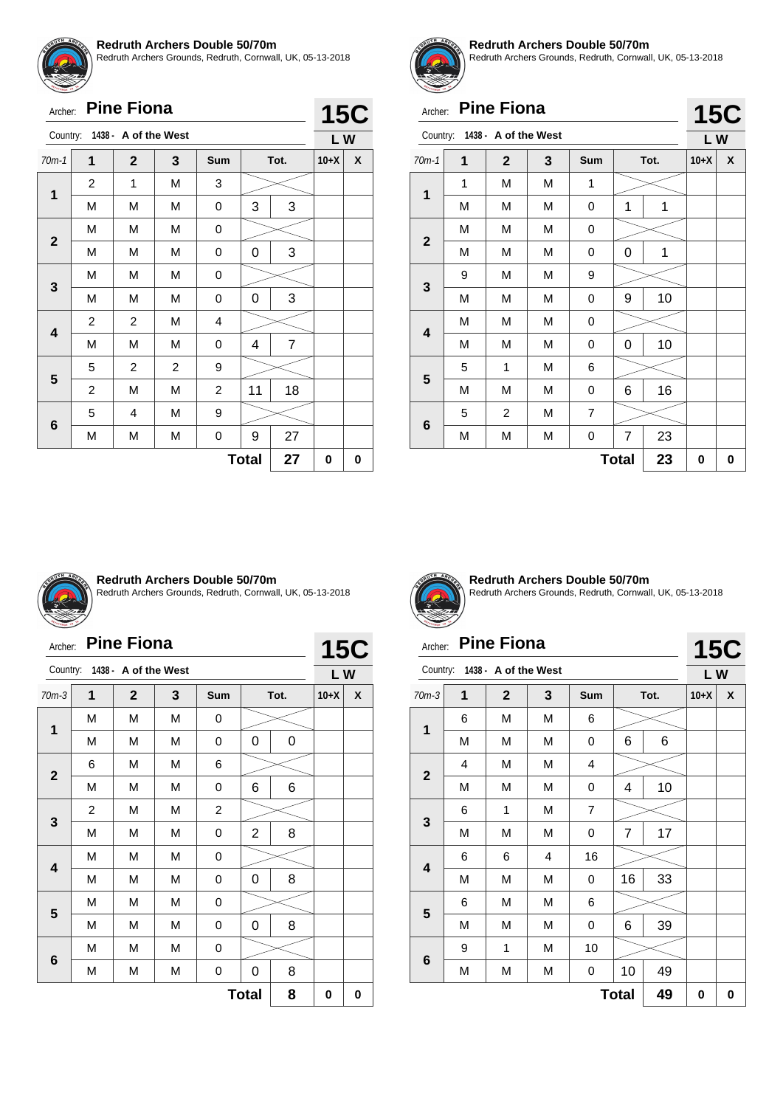![](_page_35_Picture_0.jpeg)

Redruth Archers Grounds, Redruth, Cornwall, UK, 05-13-2018

|                         | <b>Pine Fiona</b><br>Archer: |                               |                |                |    |                |        |   |  |  |
|-------------------------|------------------------------|-------------------------------|----------------|----------------|----|----------------|--------|---|--|--|
|                         |                              | Country: 1438 - A of the West |                |                |    |                | LW     |   |  |  |
| $70m-1$                 | 1                            | $\mathbf{2}$                  | 3              | Sum            |    | Tot.           | $10+X$ | X |  |  |
| $\mathbf 1$             | 2                            | 1                             | M              | 3              |    |                |        |   |  |  |
|                         | М                            | M                             | M              | 0              | 3  | 3              |        |   |  |  |
|                         | М                            | M                             | M              | 0              |    |                |        |   |  |  |
| $\mathbf{2}$            | М                            | M                             | M              | 0              | 0  | 3              |        |   |  |  |
|                         | М                            | M                             | M              | 0              |    |                |        |   |  |  |
| 3                       | М                            | M                             | M              | 0              | 0  | 3              |        |   |  |  |
| $\overline{\mathbf{4}}$ | $\overline{c}$               | 2                             | M              | 4              |    |                |        |   |  |  |
|                         | М                            | M                             | M              | 0              | 4  | $\overline{7}$ |        |   |  |  |
|                         | 5                            | 2                             | $\overline{2}$ | 9              |    |                |        |   |  |  |
| 5                       | 2                            | M                             | M              | $\overline{c}$ | 11 | 18             |        |   |  |  |
|                         | 5                            | 4                             | M              | 9              |    |                |        |   |  |  |
| 6                       | М                            | М                             | М              | 0              | 9  | 27             |        |   |  |  |
|                         | 27<br><b>Total</b>           |                               |                |                |    |                |        |   |  |  |

![](_page_35_Picture_4.jpeg)

#### **Redruth Archers Double 50/70m**

Redruth Archers Grounds, Redruth, Cornwall, UK, 05-13-2018

# Archer: **Pine Fiona**

|                         | <b>Pine Fiona</b><br>Archer: |                      |   |            |   |      |        |            |  |  |
|-------------------------|------------------------------|----------------------|---|------------|---|------|--------|------------|--|--|
| Country:                |                              | 1438 - A of the West |   |            |   |      | LW     | <b>15C</b> |  |  |
| $70m-1$                 | 1                            | $\mathbf{2}$         | 3 | <b>Sum</b> |   | Tot. | $10+X$ | X          |  |  |
| 1                       | 1                            | M                    | М | 1          |   |      |        |            |  |  |
|                         | M                            | M                    | М | 0          | 1 | 1    |        |            |  |  |
| $\mathbf{2}$            | M                            | M                    | M | 0          |   |      |        |            |  |  |
|                         | M                            | M                    | M | 0          | 0 | 1    |        |            |  |  |
|                         | 9                            | M                    | М | 9          |   |      |        |            |  |  |
| 3                       | M                            | M                    | M | 0          | 9 | 10   |        |            |  |  |
|                         | M                            | M                    | M | 0          |   |      |        |            |  |  |
| $\overline{\mathbf{4}}$ | M                            | M                    | M | 0          | 0 | 10   |        |            |  |  |
|                         | 5                            | 1                    | M | 6          |   |      |        |            |  |  |
| 5                       | M                            | M                    | M | 0          | 6 | 16   |        |            |  |  |
|                         | 5                            | $\overline{2}$       | M | 7          |   |      |        |            |  |  |
| 6                       | M                            | M                    | M | 0          | 7 | 23   |        |            |  |  |
|                         | 0                            | 0                    |   |            |   |      |        |            |  |  |

![](_page_35_Picture_9.jpeg)

#### **Redruth Archers Double 50/70m**

Redruth Archers Grounds, Redruth, Cornwall, UK, 05-13-2018

| Archer:      |   | <b>Pine Fiona</b>             |   |                         |                |      |        | <b>15C</b> |
|--------------|---|-------------------------------|---|-------------------------|----------------|------|--------|------------|
|              |   | Country: 1438 - A of the West |   |                         |                |      | LW     |            |
| $70m-3$      | 1 | $\mathbf{2}$                  | 3 | <b>Sum</b>              |                | Tot. | $10+X$ | X          |
|              | M | M                             | M | 0                       |                |      |        |            |
| 1            | M | М                             | M | 0                       | 0              | 0    |        |            |
|              | 6 | M                             | M | 6                       |                |      |        |            |
| $\mathbf{2}$ | M | M                             | М | 0                       | 6              | 6    |        |            |
|              | 2 | M                             | M | $\overline{\mathbf{c}}$ |                |      |        |            |
| 3            | M | M                             | M | 0                       | $\overline{2}$ | 8    |        |            |
|              | M | М                             | М | 0                       |                |      |        |            |
| 4            | М | M                             | M | 0                       | 0              | 8    |        |            |
|              | М | M                             | M | 0                       |                |      |        |            |
| 5            | M | M                             | M | 0                       | 0              | 8    |        |            |
|              | М | М                             | M | 0                       |                |      |        |            |
| 6            | М | М                             | М | 0                       | 0              | 8    |        |            |
|              |   |                               |   |                         | <b>Total</b>   | 8    | 0      | 0          |

![](_page_35_Picture_13.jpeg)

**Redruth Archers Double 50/70m** Redruth Archers Grounds, Redruth, Cornwall, UK, 05-13-2018

# Archer: **Pine Fiona**

| Archer:                 |   | <b>Pine Fiona</b>    |   |                |                |      |        | <b>15C</b> |
|-------------------------|---|----------------------|---|----------------|----------------|------|--------|------------|
| Country:                |   | 1438 - A of the West |   |                |                |      | LW     |            |
| $70m-3$                 | 1 | $\mathbf{2}$         | 3 | Sum            |                | Tot. | $10+X$ | X          |
|                         | 6 | М                    | M | 6              |                |      |        |            |
| 1                       | M | M                    | М | 0              | 6              | 6    |        |            |
| $\overline{\mathbf{2}}$ | 4 | M                    | M | 4              |                |      |        |            |
|                         | М | М                    | M | 0              | 4              | 10   |        |            |
|                         | 6 | 1                    | M | $\overline{7}$ |                |      |        |            |
| 3                       | М | М                    | M | 0              | $\overline{7}$ | 17   |        |            |
|                         | 6 | 6                    | 4 | 16             |                |      |        |            |
| 4                       | M | M                    | M | 0              | 16             | 33   |        |            |
|                         | 6 | M                    | M | 6              |                |      |        |            |
| 5                       | М | М                    | M | 0              | 6              | 39   |        |            |
|                         | 9 | 1                    | M | 10             |                |      |        |            |
| $6\phantom{1}6$         | М | М                    | М | 0              | 10             | 49   |        |            |
|                         |   |                      |   |                | <b>Total</b>   | 49   | 0      | 0          |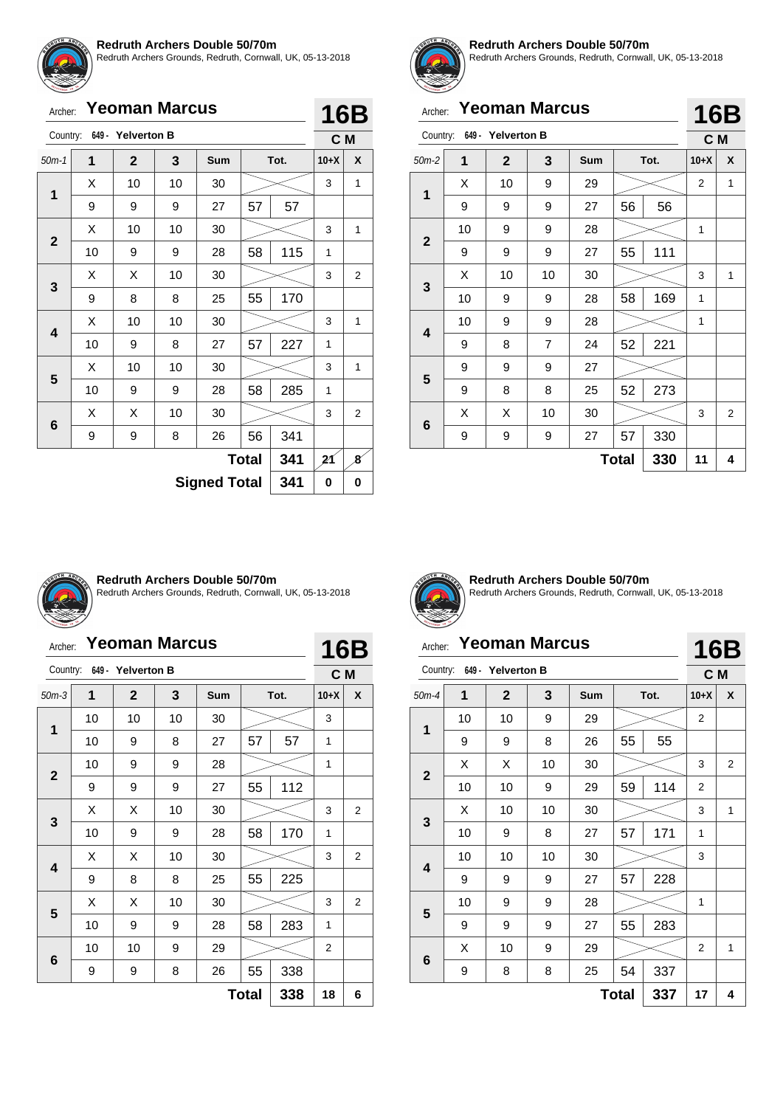![](_page_36_Picture_0.jpeg)

Redruth Archers Grounds, Redruth, Cornwall, UK, 05-13-2018

| Archer:      |    |                   | <b>Yeoman Marcus</b> |                     |              |      |        | <b>16B</b>     |
|--------------|----|-------------------|----------------------|---------------------|--------------|------|--------|----------------|
| Country:     |    | 649 - Yelverton B |                      |                     |              |      | C M    |                |
| $50m-1$      | 1  | $\mathbf 2$       | 3                    | Sum                 |              | Tot. | $10+X$ | X              |
|              | X  | 10                | 10                   | 30                  |              |      | 3      | 1              |
| 1            | 9  | 9                 | 9                    | 27                  | 57           | 57   |        |                |
|              | Х  | 10                | 10                   | 30                  |              |      | 3      | 1              |
| $\mathbf{2}$ | 10 | 9                 | 9                    | 28                  | 58           | 115  | 1      |                |
|              | Х  | X                 | 10                   | 30                  |              |      | 3      | 2              |
| 3            | 9  | 8                 | 8                    | 25                  | 55           | 170  |        |                |
|              | X  | 10                | 10                   | 30                  |              |      | 3      | 1              |
| 4            | 10 | 9                 | 8                    | 27                  | 57           | 227  | 1      |                |
|              | X  | 10                | 10                   | 30                  |              |      | 3      | 1              |
| 5            | 10 | 9                 | 9                    | 28                  | 58           | 285  | 1      |                |
|              | X  | X                 | 10                   | 30                  |              |      | 3      | $\overline{2}$ |
| 6            | 9  | 9                 | 8                    | 26                  | 56           | 341  |        |                |
|              |    |                   |                      |                     | <b>Total</b> | 341  | 21     | 8              |
|              |    |                   |                      | <b>Signed Total</b> |              | 341  | 0      | 0              |

![](_page_36_Picture_4.jpeg)

#### **Redruth Archers Double 50/70m**

Redruth Archers Grounds, Redruth, Cornwall, UK, 05-13-2018

|              | <b>Yeoman Marcus</b><br>Archer: |                   |                |            |              |      |                |                |
|--------------|---------------------------------|-------------------|----------------|------------|--------------|------|----------------|----------------|
| Country:     |                                 | 649 - Yelverton B |                |            |              |      | C M            | 16B            |
| $50m-2$      | 1                               | $\overline{2}$    | 3              | <b>Sum</b> |              | Tot. | $10+X$         | X              |
| 1            | X                               | 10                | 9              | 29         |              |      | $\overline{2}$ | 1              |
|              | 9                               | 9                 | 9              | 27         | 56           | 56   |                |                |
| $\mathbf{2}$ | 10                              | 9                 | 9              | 28         |              |      | 1              |                |
|              | 9                               | 9                 | 9              | 27         | 55           | 111  |                |                |
|              | X                               | 10                | 10             | 30         |              |      | 3              | 1              |
| 3            | 10                              | 9                 | 9              | 28         | 58           | 169  | 1              |                |
| 4            | 10                              | 9                 | 9              | 28         |              |      | 1              |                |
|              | 9                               | 8                 | $\overline{7}$ | 24         | 52           | 221  |                |                |
|              | 9                               | 9                 | 9              | 27         |              |      |                |                |
| 5            | 9                               | 8                 | 8              | 25         | 52           | 273  |                |                |
|              | X                               | X                 | 10             | 30         |              |      | 3              | $\overline{2}$ |
| 6            | 9                               | 9                 | 9              | 27         | 57           | 330  |                |                |
|              |                                 |                   |                |            | <b>Total</b> | 330  | 11             | 4              |

![](_page_36_Picture_8.jpeg)

#### **Redruth Archers Double 50/70m**

Redruth Archers Grounds, Redruth, Cornwall, UK, 05-13-2018

# Archer: **Yeoman Marcus**

| Archer:      |    | <b>Yeoman Marcus</b>       |    |     |              |      | <b>16B</b> |                |
|--------------|----|----------------------------|----|-----|--------------|------|------------|----------------|
|              |    | Country: 649 - Yelverton B |    |     |              |      | C M        |                |
| $50m-3$      | 1  | $\mathbf{2}$               | 3  | Sum |              | Tot. | $10+X$     | X              |
| $\mathbf 1$  | 10 | 10                         | 10 | 30  |              |      | 3          |                |
|              | 10 | 9                          | 8  | 27  | 57           | 57   | 1          |                |
| $\mathbf{2}$ | 10 | 9                          | 9  | 28  |              |      | 1          |                |
|              | 9  | 9                          | 9  | 27  | 55           | 112  |            |                |
|              | X  | Χ                          | 10 | 30  |              |      | 3          | 2              |
| 3            | 10 | 9                          | 9  | 28  | 58           | 170  | 1          |                |
|              | X  | X                          | 10 | 30  |              |      | 3          | $\overline{2}$ |
| 4            | 9  | 8                          | 8  | 25  | 55           | 225  |            |                |
|              | X  | X                          | 10 | 30  |              |      | 3          | $\overline{2}$ |
| 5            | 10 | 9                          | 9  | 28  | 58           | 283  | 1          |                |
|              | 10 | 10                         | 9  | 29  |              |      | 2          |                |
| 6            | 9  | 9                          | 8  | 26  | 55           | 338  |            |                |
|              |    |                            |    |     | <b>Total</b> | 338  | 18         | 6              |

![](_page_36_Picture_13.jpeg)

**Redruth Archers Double 50/70m** Redruth Archers Grounds, Redruth, Cornwall, UK, 05-13-2018

**16B**

### Archer: **Yeoman Marcus**

| Country:                |    | 649 - Yelverton B |    |     |              |      | C M            |   |
|-------------------------|----|-------------------|----|-----|--------------|------|----------------|---|
| $50m-4$                 | 1  | $\mathbf{2}$      | 3  | Sum |              | Tot. | $10+X$         | X |
| 1                       | 10 | 10                | 9  | 29  |              |      | $\overline{2}$ |   |
|                         | 9  | 9                 | 8  | 26  | 55           | 55   |                |   |
| $\mathbf{2}$            | X  | X                 | 10 | 30  |              |      | 3              | 2 |
|                         | 10 | 10                | 9  | 29  | 59           | 114  | $\overline{2}$ |   |
| 3                       | X  | 10                | 10 | 30  |              |      | 3              | 1 |
|                         | 10 | 9                 | 8  | 27  | 57           | 171  | 1              |   |
|                         | 10 | 10                | 10 | 30  |              |      | 3              |   |
| $\overline{\mathbf{4}}$ | 9  | 9                 | 9  | 27  | 57           | 228  |                |   |
|                         | 10 | 9                 | 9  | 28  |              |      | 1              |   |
| 5                       | 9  | 9                 | 9  | 27  | 55           | 283  |                |   |
|                         | X  | 10                | 9  | 29  |              |      | $\overline{2}$ | 1 |
| 6                       | 9  | 8                 | 8  | 25  | 54           | 337  |                |   |
|                         |    |                   |    |     | <b>Total</b> | 337  | 17             | 4 |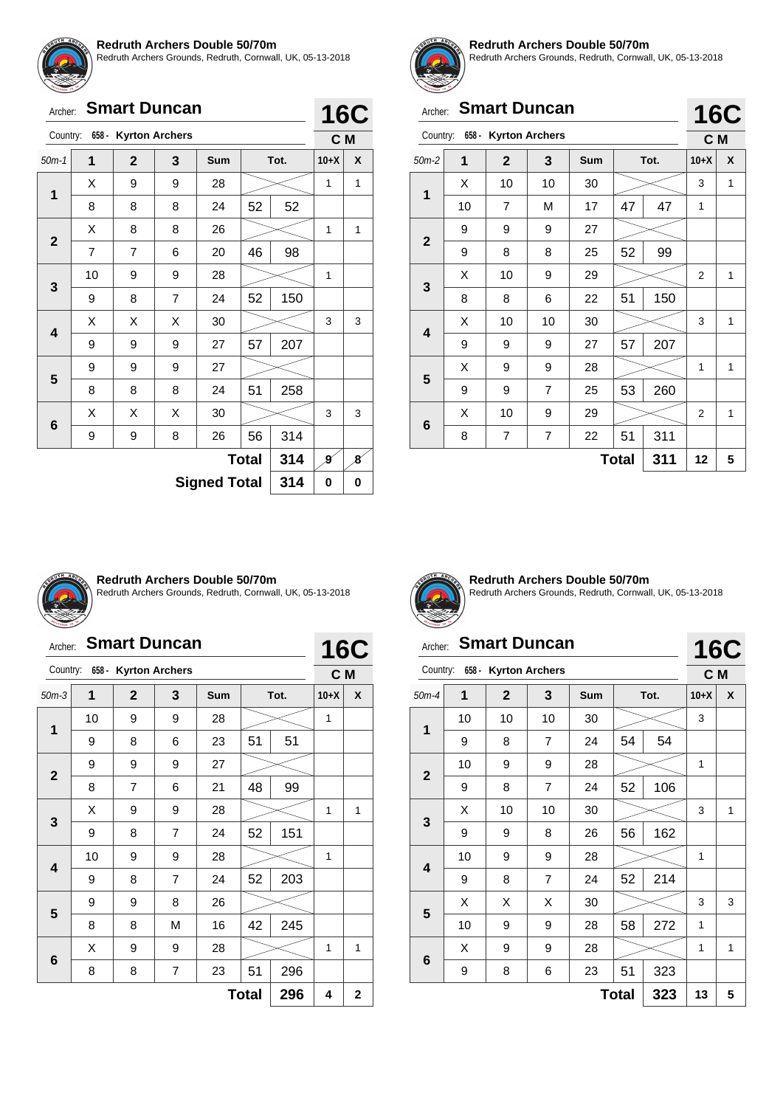![](_page_37_Picture_0.jpeg)

Redruth Archers Grounds, Redruth, Cornwall, UK, 05-13-2018

| Archer: Smart Duncan |
|----------------------|
|                      |

|              | <b>Kyrton Archers</b><br>Country:<br>$658 -$ |              |                |     |              |     |        | C M |
|--------------|----------------------------------------------|--------------|----------------|-----|--------------|-----|--------|-----|
| $50m-1$      | 1                                            | $\mathbf{2}$ | 3              | Sum | Tot.         |     | $10+X$ | X   |
| 1            | Χ                                            | 9            | 9              | 28  |              |     | 1      | 1   |
|              | 8                                            | 8            | 8              | 24  | 52           | 52  |        |     |
| $\mathbf{2}$ | X                                            | 8            | 8              | 26  |              |     | 1      | 1   |
|              | 7                                            | 7            | 6              | 20  | 46           | 98  |        |     |
| 3            | 10                                           | 9            | 9              | 28  |              |     | 1      |     |
|              | 9                                            | 8            | $\overline{7}$ | 24  | 52           | 150 |        |     |
| 4            | Χ                                            | X            | Χ              | 30  |              |     | 3      | 3   |
|              | 9                                            | 9            | 9              | 27  | 57           | 207 |        |     |
| 5            | 9                                            | 9            | 9              | 27  |              |     |        |     |
|              | 8                                            | 8            | 8              | 24  | 51           | 258 |        |     |
| 6            | Χ                                            | Χ            | X              | 30  |              |     | 3      | 3   |
|              | 9                                            | 9            | 8              | 26  | 56           | 314 |        |     |
|              |                                              |              |                |     | <b>Total</b> | 314 | g      | 8   |
|              | <b>Signed Total</b><br>314                   |              |                |     |              |     |        |     |

![](_page_37_Picture_6.jpeg)

#### **Redruth Archers Double 50/70m**

Redruth Archers Grounds, Redruth, Cornwall, UK, 05-13-2018

**16C**

# Archer: **Smart Duncan**

|              |    |                      |    |     |              |      | $\bullet$      |   |  |
|--------------|----|----------------------|----|-----|--------------|------|----------------|---|--|
| Country:     |    | 658 - Kyrton Archers |    |     |              |      | C M            |   |  |
| $50m-2$      | 1  | $\overline{2}$       | 3  | Sum |              | Tot. | $10+X$         | X |  |
|              | X  | 10                   | 10 | 30  |              |      | 3              | 1 |  |
| 1            | 10 | 7                    | М  | 17  | 47           | 47   | 1              |   |  |
| $\mathbf{2}$ | 9  | 9                    | 9  | 27  |              |      |                |   |  |
|              | 9  | 8                    | 8  | 25  | 52           | 99   |                |   |  |
|              | X  | 10                   | 9  | 29  |              |      | 2              | 1 |  |
| $\mathbf{3}$ | 8  | 8                    | 6  | 22  | 51           | 150  |                |   |  |
| 4            | X  | 10                   | 10 | 30  |              |      | 3              | 1 |  |
|              | 9  | 9                    | 9  | 27  | 57           | 207  |                |   |  |
| 5            | X  | 9                    | 9  | 28  |              |      | 1              | 1 |  |
|              | 9  | 9                    | 7  | 25  | 53           | 260  |                |   |  |
| 6            | X  | 10                   | 9  | 29  |              |      | $\overline{2}$ | 1 |  |
|              | 8  | 7                    | 7  | 22  | 51           | 311  |                |   |  |
|              |    |                      |    |     | <b>Total</b> | 311  | 12             | 5 |  |

![](_page_37_Picture_11.jpeg)

#### **Redruth Archers Double 50/70m**

Redruth Archers Grounds, Redruth, Cornwall, UK, 05-13-2018

# Archer: **Smart Duncan**

| Archer:                 |    | <b>Smart Duncan</b>  |                |            |              |      |        | <b>16C</b>     |
|-------------------------|----|----------------------|----------------|------------|--------------|------|--------|----------------|
| Country:                |    | 658 - Kyrton Archers |                |            |              |      | C M    |                |
| $50m-3$                 | 1  | $\mathbf 2$          | 3              | <b>Sum</b> |              | Tot. | $10+X$ | X              |
|                         | 10 | 9                    | 9              | 28         |              |      | 1      |                |
| 1                       | 9  | 8                    | 6              | 23         | 51           | 51   |        |                |
|                         | 9  | 9                    | 9              | 27         |              |      |        |                |
| $\mathbf{2}$            | 8  | $\overline{7}$       | 6              | 21         | 48           | 99   |        |                |
|                         | X  | 9                    | 9              | 28         |              |      | 1      | 1              |
| 3                       | 9  | 8                    | $\overline{7}$ | 24         | 52           | 151  |        |                |
|                         | 10 | 9                    | 9              | 28         |              |      | 1      |                |
| $\overline{\mathbf{4}}$ | 9  | 8                    | $\overline{7}$ | 24         | 52           | 203  |        |                |
|                         | 9  | 9                    | 8              | 26         |              |      |        |                |
| 5                       | 8  | 8                    | M              | 16         | 42           | 245  |        |                |
|                         | X  | 9                    | 9              | 28         |              |      | 1      | 1              |
| 6                       | 8  | 8                    | 7              | 23         | 51           | 296  |        |                |
|                         |    |                      |                |            | <b>Total</b> | 296  | 4      | $\overline{2}$ |

![](_page_37_Picture_16.jpeg)

**Redruth Archers Double 50/70m** Redruth Archers Grounds, Redruth, Cornwall, UK, 05-13-2018

# Archer: **Smart Duncan**

|                 | <b>Smart Duncan</b><br>Archer: |                                  |                |        |              |     |                   |   |  |  |
|-----------------|--------------------------------|----------------------------------|----------------|--------|--------------|-----|-------------------|---|--|--|
|                 | Country: 658 - Kyrton Archers  |                                  |                |        |              |     | <b>16C</b><br>C M |   |  |  |
| $50m-4$         | 1                              | $\mathbf{2}$<br>3<br>Sum<br>Tot. |                | $10+X$ | X            |     |                   |   |  |  |
| 1               | 10                             | 10                               | 10             | 30     |              |     | 3                 |   |  |  |
|                 | 9                              | 8                                | $\overline{7}$ | 24     | 54           | 54  |                   |   |  |  |
| $\overline{2}$  | 10                             | 9                                | 9              | 28     |              |     | 1                 |   |  |  |
|                 | 9                              | 8                                | $\overline{7}$ | 24     | 52           | 106 |                   |   |  |  |
| 3               | X                              | 10                               | 10             | 30     |              |     | 3                 | 1 |  |  |
|                 | 9                              | 9                                | 8              | 26     | 56           | 162 |                   |   |  |  |
|                 | 10                             | 9                                | 9              | 28     |              |     | 1                 |   |  |  |
| 4               | 9                              | 8                                | $\overline{7}$ | 24     | 52           | 214 |                   |   |  |  |
| 5               | X                              | X                                | Х              | 30     |              |     | 3                 | 3 |  |  |
|                 | 10                             | 9                                | 9              | 28     | 58           | 272 | 1                 |   |  |  |
|                 | X                              | 9                                | 9              | 28     |              |     | 1                 | 1 |  |  |
| $6\phantom{1}6$ | 9                              | 8                                | 6              | 23     | 51           | 323 |                   |   |  |  |
|                 |                                |                                  |                |        | <b>Total</b> | 323 | 13                | 5 |  |  |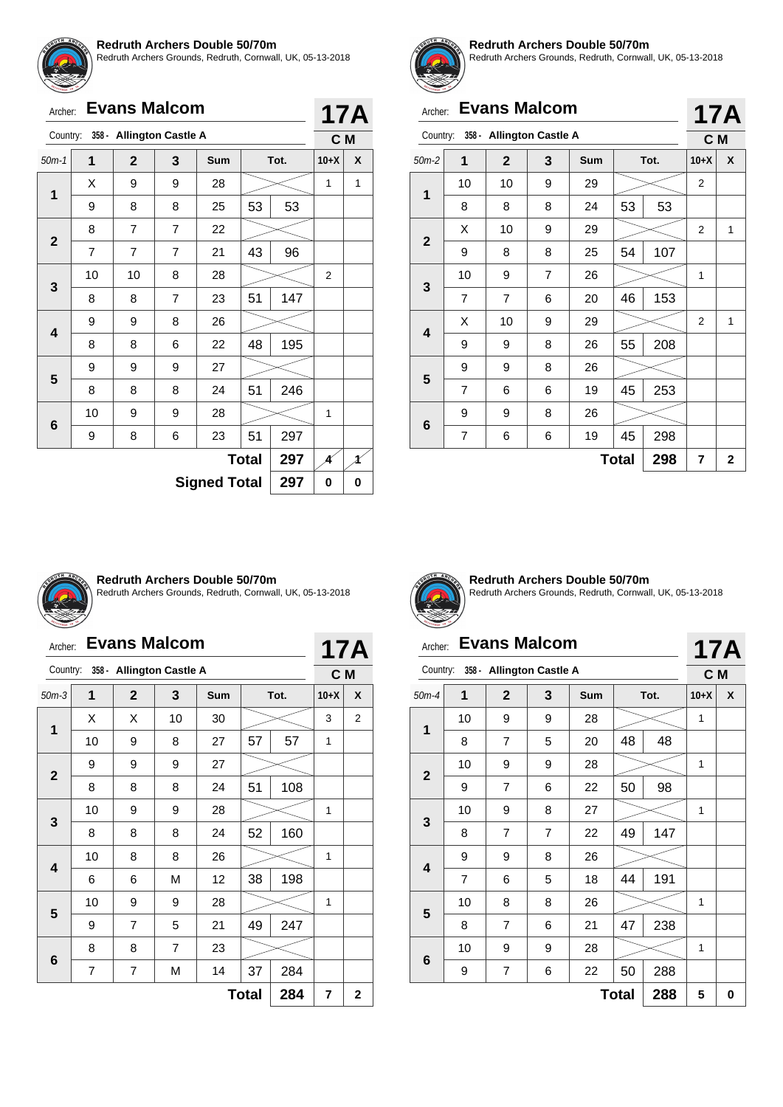![](_page_38_Picture_0.jpeg)

Redruth Archers Grounds, Redruth, Cornwall, UK, 05-13-2018

|  | Archer: Evans Malcom |
|--|----------------------|
|  |                      |

|                                                              |                | <b>Evans Malcom</b>      |                |                |              |      |              | <b>17A</b> |  |
|--------------------------------------------------------------|----------------|--------------------------|----------------|----------------|--------------|------|--------------|------------|--|
|                                                              |                | 358 - Allington Castle A |                |                |              |      | C M          |            |  |
| $50m-1$                                                      | $\mathbf{1}$   | $\mathbf{2}$             | 3              | Sum            |              | Tot. | $10+X$       | X          |  |
|                                                              | Χ              | 9                        | 9              | 28             |              |      | 1            | 1          |  |
| Archer:<br>Country:<br>1<br>$\mathbf{2}$<br>3<br>4<br>5<br>6 | 9              | 8                        | 8              | 25             | 53           | 53   |              |            |  |
|                                                              | 8              | $\overline{7}$           | $\overline{7}$ | 22             |              |      |              |            |  |
|                                                              | $\overline{7}$ | $\overline{7}$           | $\overline{7}$ | 21             | 43           | 96   |              |            |  |
|                                                              | 10<br>10       |                          | 8              | 28             |              |      | 2            |            |  |
|                                                              | 8              | 8                        | 7              | 23             | 51           | 147  |              |            |  |
|                                                              | 9              | 9                        | 8              | 26             |              |      |              |            |  |
|                                                              | 8              | 8                        | 6              | 22             | 48           | 195  |              |            |  |
|                                                              | 9              | 9                        | 9              | 27             |              |      |              |            |  |
|                                                              | 8              | 8                        | 8              | 24             | 51           | 246  |              |            |  |
|                                                              | 10             | 9                        | 9              | 28             |              |      | 1            |            |  |
|                                                              | 9              | 8                        | 6              | 23             | 51           | 297  |              |            |  |
|                                                              |                |                          |                |                | <b>Total</b> | 297  | 4            | Å          |  |
|                                                              |                |                          | е.             | امتم ۳ امم مرد |              | 207  | $\mathbf{r}$ | ◠          |  |

**Signed Total 297 0 0**

![](_page_38_Picture_6.jpeg)

#### **Redruth Archers Double 50/70m**

Redruth Archers Grounds, Redruth, Cornwall, UK, 05-13-2018

|                         | <b>Evans Malcom</b><br>Archer: |                          |   |     |    |      |                |   |  |
|-------------------------|--------------------------------|--------------------------|---|-----|----|------|----------------|---|--|
| Country:                |                                | 358 - Allington Castle A |   |     |    |      | 17A<br>C M     |   |  |
| $50m-2$                 | 1                              | $\overline{2}$           | 3 | Sum |    | Tot. | $10+X$         | X |  |
| 1                       | 10                             | 10                       | 9 | 29  |    |      | 2              |   |  |
|                         | 8                              | 8                        | 8 | 24  | 53 | 53   |                |   |  |
| $\overline{2}$          | X                              | 10                       | 9 | 29  |    |      | 2              | 1 |  |
|                         | 9                              | 8                        | 8 | 25  | 54 | 107  |                |   |  |
|                         | 10                             | 9                        | 7 | 26  |    |      | 1              |   |  |
| 3                       | 7                              | $\overline{7}$           | 6 | 20  | 46 | 153  |                |   |  |
| $\overline{\mathbf{4}}$ | X                              | 10                       | 9 | 29  |    |      | $\overline{2}$ | 1 |  |
|                         | 9                              | 9                        | 8 | 26  | 55 | 208  |                |   |  |
|                         | 9                              | 9                        | 8 | 26  |    |      |                |   |  |
| 5                       | 7                              | 6                        | 6 | 19  | 45 | 253  |                |   |  |
|                         | 9                              | 9                        | 8 | 26  |    |      |                |   |  |
| 6                       | 7                              | 6                        | 6 | 19  | 45 | 298  |                |   |  |
|                         | <b>Total</b><br>298            |                          |   |     |    |      |                |   |  |

![](_page_38_Picture_10.jpeg)

#### **Redruth Archers Double 50/70m**

Redruth Archers Grounds, Redruth, Cornwall, UK, 05-13-2018

|                         | <b>Evans Malcom</b><br>Archer: |                          |                |            |      |     |                       |                |  |
|-------------------------|--------------------------------|--------------------------|----------------|------------|------|-----|-----------------------|----------------|--|
| Country:                |                                | 358 - Allington Castle A |                |            |      |     | 17A<br>C <sub>M</sub> |                |  |
| $50m-3$                 | 1                              | $\mathbf{2}$             | 3              | <b>Sum</b> | Tot. |     | $10+X$                | X              |  |
| 1                       | X                              | X                        | 10             | 30         |      |     | 3                     | $\overline{2}$ |  |
|                         | 10                             | 9                        | 8              | 27         | 57   | 57  | 1                     |                |  |
| $\mathbf{2}$            | 9                              | 9                        | 9              | 27         |      |     |                       |                |  |
|                         | 8                              | 8                        | 8              | 24         | 51   | 108 |                       |                |  |
|                         | 10                             | 9                        | 9              | 28         |      |     |                       |                |  |
| 3                       | 8                              | 8                        | 8              | 24         | 52   | 160 |                       |                |  |
|                         | 10                             | 8                        | 8              | 26         |      |     | 1                     |                |  |
| $\overline{\mathbf{4}}$ | 6                              | 6                        | M              | 12         | 38   | 198 |                       |                |  |
|                         | 10                             | 9                        | 9              | 28         |      |     | 1                     |                |  |
| 5                       | 9                              | $\overline{7}$           | 5              | 21         | 49   | 247 |                       |                |  |
|                         | 8                              | 8                        | $\overline{7}$ | 23         |      |     |                       |                |  |
| 6                       | 7                              | 7                        | M              | 14         | 37   | 284 |                       |                |  |
|                         | 284<br><b>Total</b>            |                          |                |            |      |     |                       |                |  |

![](_page_38_Picture_14.jpeg)

**Redruth Archers Double 50/70m** Redruth Archers Grounds, Redruth, Cornwall, UK, 05-13-2018

# Archer: **Evans Malcom**

|                         | <b>Evans Malcom</b><br>Archer:<br>Country: 358 - Allington Castle A |                |                |     |              |      |     | 17A |  |  |
|-------------------------|---------------------------------------------------------------------|----------------|----------------|-----|--------------|------|-----|-----|--|--|
|                         |                                                                     |                |                |     |              |      | C M |     |  |  |
| $50m-4$                 | 1                                                                   | $\mathbf{2}$   | 3              | Sum |              | Tot. |     | X   |  |  |
| $\mathbf{1}$            | 10                                                                  | 9              | 9              | 28  |              |      | 1   |     |  |  |
|                         | 8                                                                   | $\overline{7}$ | 5              | 20  | 48           | 48   |     |     |  |  |
| $\overline{2}$          | 10                                                                  | 9              | 9              | 28  |              |      | 1   |     |  |  |
|                         | 9                                                                   | $\overline{7}$ | 6              | 22  | 50           | 98   |     |     |  |  |
|                         | 10                                                                  | 9              | 8              | 27  |              |      | 1   |     |  |  |
| 3                       | 8                                                                   | $\overline{7}$ | $\overline{7}$ | 22  | 49           | 147  |     |     |  |  |
|                         | 9                                                                   | 9              | 8              | 26  |              |      |     |     |  |  |
| $\overline{\mathbf{4}}$ | 7                                                                   | 6              | 5              | 18  | 44           | 191  |     |     |  |  |
|                         | 10                                                                  | 8              | 8              | 26  |              |      | 1   |     |  |  |
| 5                       | 8                                                                   | $\overline{7}$ | 6              | 21  | 47           | 238  |     |     |  |  |
|                         | 10                                                                  | 9              | 9              | 28  |              |      | 1   |     |  |  |
| $6\phantom{1}6$         | 9                                                                   | 7              | 6              | 22  | 50           | 288  |     |     |  |  |
|                         |                                                                     |                |                |     | <b>Total</b> | 288  | 5   | 0   |  |  |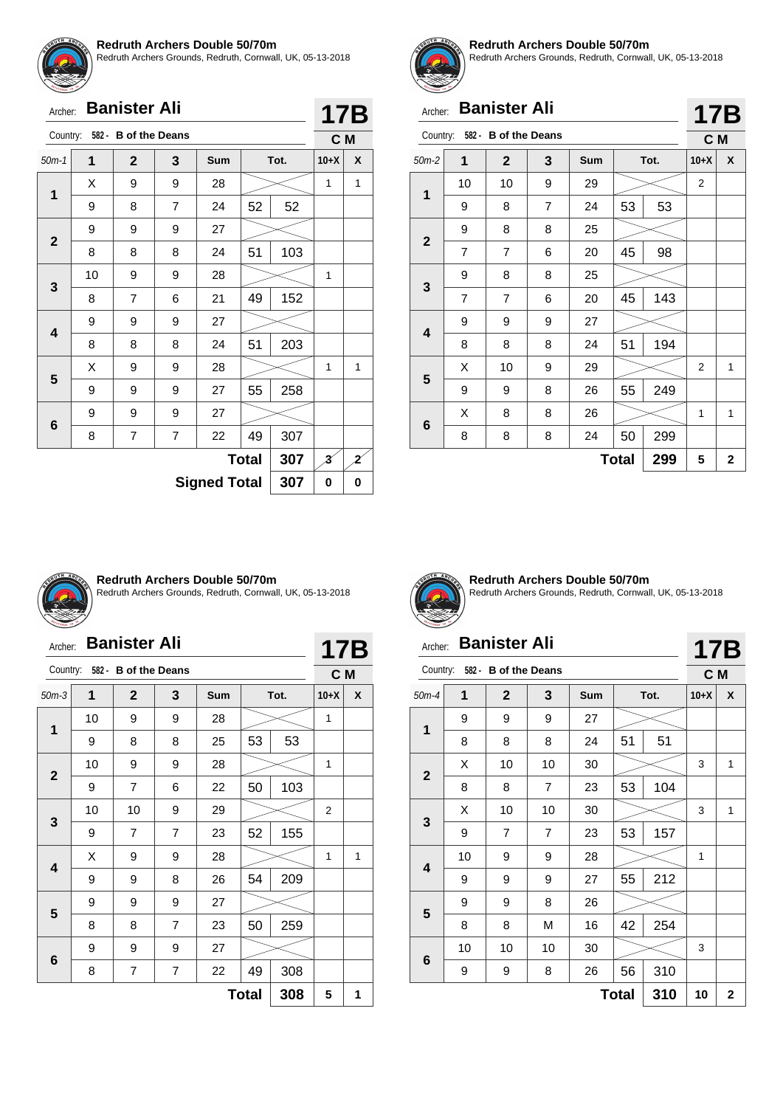![](_page_39_Picture_0.jpeg)

Redruth Archers Grounds, Redruth, Cornwall, UK, 05-13-2018

| <b>Banister Ali</b><br>Archer: |    |                      |                |                     |              |      |                         | 17B |
|--------------------------------|----|----------------------|----------------|---------------------|--------------|------|-------------------------|-----|
| Country:                       |    | 582 - B of the Deans |                |                     |              |      | C M                     |     |
| $50m-1$                        | 1  | $\mathbf{2}$         | 3              | Sum                 |              | Tot. | $10 + X$                | X   |
|                                | X  | 9                    | 9              | 28                  |              |      |                         | 1   |
| 1                              | 9  | 8                    | $\overline{7}$ | 24                  | 52           | 52   |                         |     |
|                                | 9  | 9                    | 9              | 27                  |              |      |                         |     |
| $\mathbf{2}$                   | 8  | 8                    | 8              | 24                  | 51           | 103  |                         |     |
|                                | 10 | 9                    | 9              | 28                  |              |      | 1                       |     |
| 3                              | 8  | $\overline{7}$       | 6              | 21                  | 49           | 152  |                         |     |
|                                | 9  | 9                    | 9              | 27                  |              |      |                         |     |
| 4                              | 8  | 8                    | 8              | 24                  | 51           | 203  |                         |     |
|                                | Χ  | 9                    | 9              | 28                  |              |      | 1                       | 1   |
| 5                              | 9  | 9                    | 9              | 27                  | 55           | 258  |                         |     |
|                                | 9  | 9                    | 9              | 27                  |              |      |                         |     |
| 6                              | 8  | 7                    | 7              | 22                  | 49           | 307  |                         |     |
|                                |    |                      |                |                     | <b>Total</b> | 307  | $\overline{\mathbf{3}}$ | 2   |
|                                |    |                      |                | <b>Signed Total</b> |              | 307  | 0                       | 0   |

![](_page_39_Picture_4.jpeg)

#### **Redruth Archers Double 50/70m**

Redruth Archers Grounds, Redruth, Cornwall, UK, 05-13-2018

**17B**

# Archer: **Banister Ali**

| Country:    |                | 582 - B of the Deans |   |     |              |      |                | C M |  |
|-------------|----------------|----------------------|---|-----|--------------|------|----------------|-----|--|
| $50m-2$     | 1              | $\mathbf{2}$         | 3 | Sum |              | Tot. | $10+X$         | X   |  |
| 1           | 10             | 10                   | 9 | 29  |              |      | $\overline{2}$ |     |  |
|             | 9              | 8                    | 7 | 24  | 53           | 53   |                |     |  |
| $\mathbf 2$ | 9              | 8                    | 8 | 25  |              |      |                |     |  |
|             | $\overline{7}$ | $\overline{7}$       | 6 | 20  | 45           | 98   |                |     |  |
|             | 9              | 8                    | 8 | 25  |              |      |                |     |  |
| 3           | 7              | 7                    | 6 | 20  | 45           | 143  |                |     |  |
| 4           | 9              | 9                    | 9 | 27  |              |      |                |     |  |
|             | 8              | 8                    | 8 | 24  | 51           | 194  |                |     |  |
| 5           | X              | $10$                 | 9 | 29  |              |      | 2              | 1   |  |
|             | 9              | 9                    | 8 | 26  | 55           | 249  |                |     |  |
|             | Χ              | 8                    | 8 | 26  |              |      | 1              | 1   |  |
| 6           | 8              | 8                    | 8 | 24  | 50           | 299  |                |     |  |
|             |                |                      |   |     | <b>Total</b> | 299  | 5              | 2   |  |

![](_page_39_Picture_9.jpeg)

#### **Redruth Archers Double 50/70m**

Redruth Archers Grounds, Redruth, Cornwall, UK, 05-13-2018

|                | <b>Banister Ali</b><br>Archer: |                      |                |     |      |     |                       |   |  |
|----------------|--------------------------------|----------------------|----------------|-----|------|-----|-----------------------|---|--|
| Country:       |                                | 582 - B of the Deans |                |     |      |     | 17B<br>C <sub>M</sub> |   |  |
| $50m-3$        | 1                              | $\mathbf{2}$         | 3              | Sum | Tot. |     | $10+X$                | X |  |
| 1              | 10                             | 9                    | 9              | 28  |      |     | 1                     |   |  |
|                | 9                              | 8                    | 8              | 25  | 53   | 53  |                       |   |  |
| $\overline{2}$ | 10                             | 9                    | 9              | 28  |      |     | 1                     |   |  |
|                | 9                              | $\overline{7}$       | 6              | 22  | 50   | 103 |                       |   |  |
| 3              | 10                             | 10                   | 9              | 29  |      |     | $\overline{2}$        |   |  |
|                | 9                              | 7                    | $\overline{7}$ | 23  | 52   | 155 |                       |   |  |
|                | X                              | 9                    | 9              | 28  |      |     |                       | 1 |  |
| 4              | 9                              | 9                    | 8              | 26  | 54   | 209 |                       |   |  |
|                | 9                              | 9                    | 9              | 27  |      |     |                       |   |  |
| 5              | 8                              | 8                    | $\overline{7}$ | 23  | 50   | 259 |                       |   |  |
|                | 9                              | 9                    | 9              | 27  |      |     |                       |   |  |
| 6              | 8                              | 7                    | 7              | 22  | 49   | 308 |                       |   |  |
|                | 308<br><b>Total</b>            |                      |                |     |      |     |                       |   |  |

![](_page_39_Picture_13.jpeg)

**Redruth Archers Double 50/70m** Redruth Archers Grounds, Redruth, Cornwall, UK, 05-13-2018

#### Archer: **Banister Ali** Country: **582 - B of the Deans 17B C M** 50m-4 **1 2 3 Sum Tot. 10+X X 1** 9 9 9 27 8 8 8 24 51 51 **2**  $\textsf{X}$  | 10 | 10 | 30 |  $> <$  | 3 | 1 8 | 8 | 7 | 23 | 53 | 104 **3**  $\textsf{X}$  | 10 | 10 | 30 |  $>$  | 3 | 1 9 | 7 | 7 | 23 | 53 | 157 **4** 10 | 9 | 9 | 28 |  $\swarrow$  | 1 9 | 9 | 9 | 27 | 55 | 212 **5** 9 8 26 8 | 8 | M | 16 | 42 | 254 **6** 10 | 10 | 10 | 30 |  $\gg$  | 3 9 | 9 | 8 | 26 | 56 | 310  $Total | 310 | 10 | 2$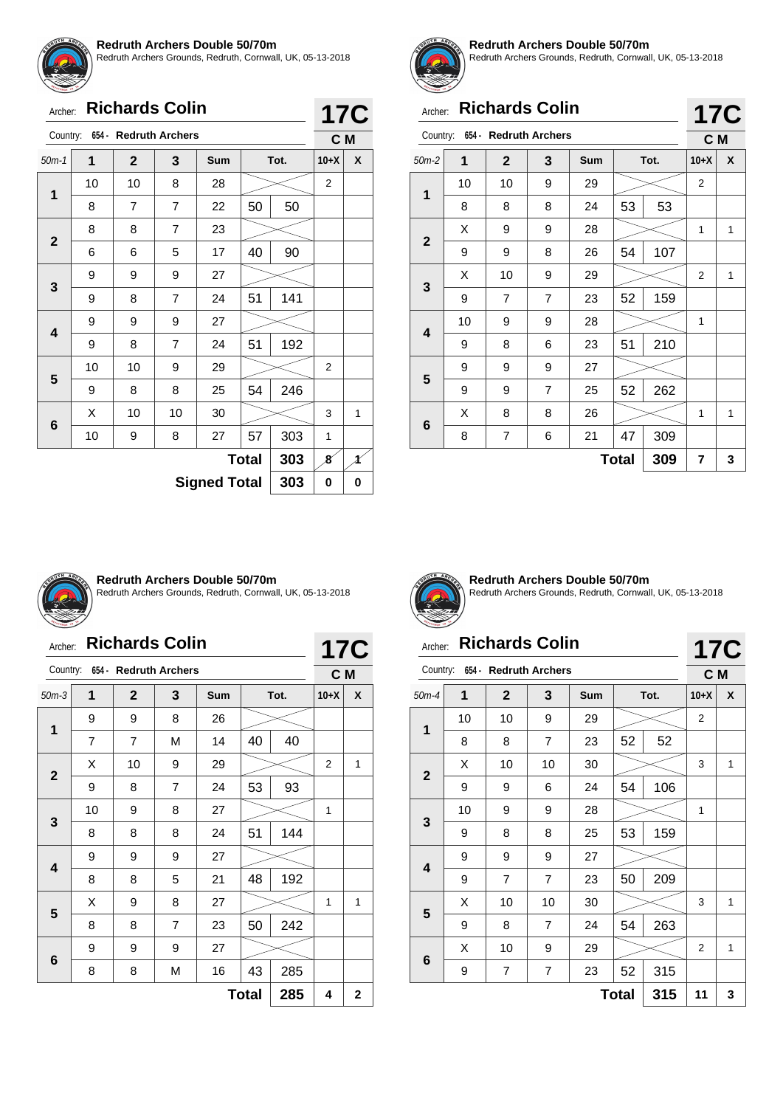![](_page_40_Picture_0.jpeg)

Redruth Archers Grounds, Redruth, Cornwall, UK, 05-13-2018

| Archer: Richards Colin |  |
|------------------------|--|

| <b>Richards Colin</b><br>Archer: |                            |                                |                |            |              |      |                | <b>17C</b> |  |  |
|----------------------------------|----------------------------|--------------------------------|----------------|------------|--------------|------|----------------|------------|--|--|
|                                  |                            | Country: 654 - Redruth Archers |                |            |              |      | C <sub>M</sub> |            |  |  |
| $50m-1$                          | 1                          | $\mathbf{2}$                   | 3              | <b>Sum</b> |              | Tot. | $10+X$         | X          |  |  |
|                                  | 10                         | 10                             | 8              | 28         |              |      | 2              |            |  |  |
| 1<br>$\overline{2}$<br>3<br>4    | 8                          | 7                              | 7              | 22         | 50           | 50   |                |            |  |  |
|                                  | 8                          | 8                              | $\overline{7}$ | 23         |              |      |                |            |  |  |
|                                  | 6                          | 6                              | 5              | 17         | 40           | 90   |                |            |  |  |
|                                  | 9                          | 9                              | 9              | 27         |              |      |                |            |  |  |
|                                  | 9                          | 8                              | $\overline{7}$ | 24         | 51           | 141  |                |            |  |  |
|                                  | 9                          | 9                              | 9              | 27         |              |      |                |            |  |  |
| 5<br>6                           | 9                          | 8                              | $\overline{7}$ | 24         | 51           | 192  |                |            |  |  |
|                                  | 10                         | 10                             | 9              | 29         |              |      | $\overline{2}$ |            |  |  |
|                                  | 9                          | 8                              | 8              | 25         | 54           | 246  |                |            |  |  |
|                                  | X                          | 10                             | 10             | 30         |              |      | 3              | 1          |  |  |
|                                  | 10                         | 9                              | 8              | 27         | 57           | 303  | 1              |            |  |  |
|                                  |                            |                                |                |            | <b>Total</b> | 303  | 8              |            |  |  |
|                                  | 303<br><b>Signed Total</b> |                                |                |            |              |      |                |            |  |  |

![](_page_40_Picture_5.jpeg)

#### **Redruth Archers Double 50/70m**

Redruth Archers Grounds, Redruth, Cornwall, UK, 05-13-2018

|              | <b>Richards Colin</b><br>Archer: |                |                                |            |    |      |                | <b>17C</b> |  |
|--------------|----------------------------------|----------------|--------------------------------|------------|----|------|----------------|------------|--|
|              |                                  |                | Country: 654 - Redruth Archers |            |    |      |                | C M        |  |
| $50m-2$      | 1                                | $\overline{2}$ | 3                              | <b>Sum</b> |    | Tot. | $10+X$         | X          |  |
| 1            | 10                               | 10             | 9                              | 29         |    |      | $\overline{2}$ |            |  |
|              | 8                                | 8              | 8                              | 24         | 53 | 53   |                |            |  |
|              | X                                | 9              | 9                              | 28         |    |      | 1              | 1          |  |
| $\mathbf{2}$ | 9                                | 9              | 8                              | 26         | 54 | 107  |                |            |  |
|              | X                                | 10             | 9                              | 29         |    |      | 2              | 1          |  |
| 3            | 9                                | $\overline{7}$ | $\overline{7}$                 | 23         | 52 | 159  |                |            |  |
| 4            | 10                               | 9              | 9                              | 28         |    |      | 1              |            |  |
|              | 9                                | 8              | 6                              | 23         | 51 | 210  |                |            |  |
| 5            | 9                                | 9              | 9                              | 27         |    |      |                |            |  |
|              | 9                                | 9              | $\overline{7}$                 | 25         | 52 | 262  |                |            |  |
|              | X                                | 8              | 8                              | 26         |    |      | 1              | 1          |  |
| 6            | 8                                | 7              | 6                              | 21         | 47 | 309  |                |            |  |
|              | 309<br><b>Total</b>              |                |                                |            |    |      |                |            |  |

![](_page_40_Picture_9.jpeg)

#### **Redruth Archers Double 50/70m**

Redruth Archers Grounds, Redruth, Cornwall, UK, 05-13-2018

| Country:     |                |                | 654 - Redruth Archers |            |              |      |        | C M         |
|--------------|----------------|----------------|-----------------------|------------|--------------|------|--------|-------------|
| $50m-3$      | 1              | $\mathbf{2}$   | 3                     | <b>Sum</b> |              | Tot. | $10+X$ | X           |
| 1            | 9              | 9              | 8                     | 26         |              |      |        |             |
|              | $\overline{7}$ | $\overline{7}$ | M                     | 14         | 40           | 40   |        |             |
| $\mathbf{2}$ | X              | 10             | 9                     | 29         |              |      | 2      | 1           |
|              | 9              | 8              | $\overline{7}$        | 24         | 53           | 93   |        |             |
| 3            | 10             | 9              | 8                     | 27         |              |      | 1      |             |
|              | 8              | 8              | 8                     | 24         | 51           | 144  |        |             |
|              | 9              | 9              | 9                     | 27         |              |      |        |             |
| 4            | 8              | 8              | 5                     | 21         | 48           | 192  |        |             |
| 5            | X              | 9              | 8                     | 27         |              |      | 1      | 1           |
|              | 8              | 8              | 7                     | 23         | 50           | 242  |        |             |
|              | 9              | 9              | 9                     | 27         |              |      |        |             |
| 6            | 8              | 8              | М                     | 16         | 43           | 285  |        |             |
|              |                |                |                       |            | <b>Total</b> | 285  | 4      | $\mathbf 2$ |

![](_page_40_Picture_15.jpeg)

**Redruth Archers Double 50/70m** Redruth Archers Grounds, Redruth, Cornwall, UK, 05-13-2018

| Archer:      |    | <b>Richards Colin</b> |                |     |      |     |        | <b>17C</b> |  |
|--------------|----|-----------------------|----------------|-----|------|-----|--------|------------|--|
| Country:     |    | 654 - Redruth Archers |                |     |      |     | C M    |            |  |
| $50m-4$      | 1  | $\mathbf{2}$          | 3              | Sum | Tot. |     | $10+X$ | X          |  |
| 1            | 10 | 10                    | 9              | 29  |      |     | 2      |            |  |
|              | 8  | 8                     | $\overline{7}$ | 23  | 52   | 52  |        |            |  |
| $\mathbf{2}$ | X  | 10                    | 10             | 30  |      |     | 3      | 1          |  |
|              | 9  | 9                     | 6              | 24  | 54   | 106 |        |            |  |
| 3            | 10 | 9                     | 9              | 28  |      |     | 1      |            |  |
|              | 9  | 8                     | 8              | 25  | 53   | 159 |        |            |  |
| 4            | 9  | 9                     | 9              | 27  |      |     |        |            |  |
|              | 9  | $\overline{7}$        | $\overline{7}$ | 23  | 50   | 209 |        |            |  |
| 5            | Х  | 10                    | 10             | 30  |      |     | 3      | 1          |  |
|              | 9  | 8                     | 7              | 24  | 54   | 263 |        |            |  |
|              | Χ  | 10                    | 9              | 29  |      |     | 2      | 1          |  |
| 6            | 9  | 7                     | 7              | 23  | 52   | 315 |        |            |  |

**Total 315 11 3**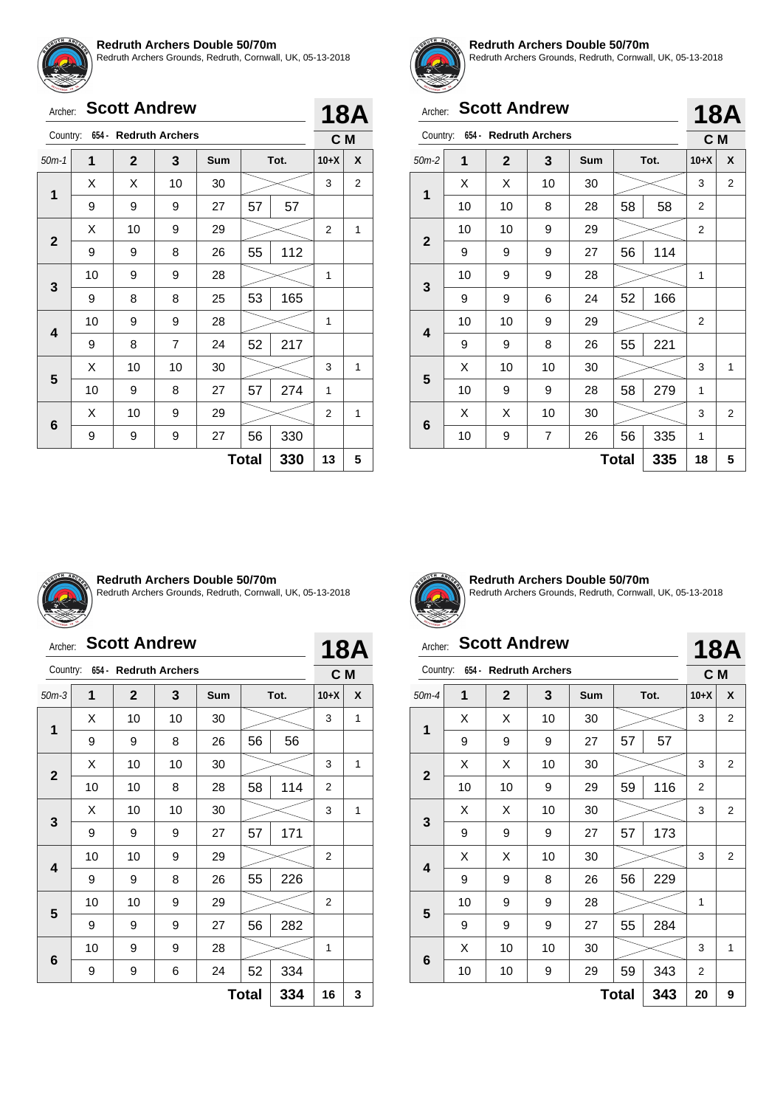![](_page_41_Picture_0.jpeg)

Redruth Archers Grounds, Redruth, Cornwall, UK, 05-13-2018

# Archer: **Scott Andrew**

|              |         |                        |                |            |              |      |                | . |
|--------------|---------|------------------------|----------------|------------|--------------|------|----------------|---|
| Country:     | $654 -$ | <b>Redruth Archers</b> |                |            |              |      | C M            |   |
| $50m-1$      | 1       | $\mathbf{2}$           | 3              | <b>Sum</b> |              | Tot. | $10+X$         | X |
| 1            | Х       | Х                      | 10             | 30         |              |      | 3              | 2 |
|              | 9       | 9                      | 9              | 27         | 57           | 57   |                |   |
| $\mathbf{2}$ | X       | 10                     | 9              | 29         |              |      | $\overline{2}$ | 1 |
|              | 9       | 9                      | 8              | 26         | 55           | 112  |                |   |
|              | 10      | 9                      | 9              | 28         |              |      | 1              |   |
| 3            | 9       | 8                      | 8              | 25         | 53           | 165  |                |   |
|              | 10      | 9                      | 9              | 28         |              |      | 1              |   |
| 4            | 9       | 8                      | $\overline{7}$ | 24         | 52           | 217  |                |   |
|              | X       | 10                     | 10             | 30         |              |      | 3              | 1 |
| 5            | 10      | 9                      | 8              | 27         | 57           | 274  | 1              |   |
|              | X       | 10                     | 9              | 29         |              |      | 2              | 1 |
| 6            | 9       | 9                      | 9              | 27         | 56           | 330  |                |   |
|              |         |                        |                |            | <b>Total</b> | 330  | 13             | 5 |

![](_page_41_Picture_6.jpeg)

**18A**

#### **Redruth Archers Double 50/70m**

Redruth Archers Grounds, Redruth, Cornwall, UK, 05-13-2018

**18A**

**18A**

# Archer: **Scott Andrew**

|              |    |                       |    |     |              |      |        | ' v' l |
|--------------|----|-----------------------|----|-----|--------------|------|--------|--------|
| Country:     |    | 654 - Redruth Archers |    |     |              |      | C M    |        |
| $50m-2$      | 1  | $\overline{2}$        | 3  | Sum |              | Tot. | $10+X$ | X      |
|              | Х  | X                     | 10 | 30  |              |      | 3      | 2      |
| 1            | 10 | 10                    | 8  | 28  | 58           | 58   | 2      |        |
| $\mathbf{2}$ | 10 | 10                    | 9  | 29  |              |      | 2      |        |
|              | 9  | 9                     | 9  | 27  | 56           | 114  |        |        |
|              | 10 | 9                     | 9  | 28  |              |      | 1      |        |
| 3            | 9  | 9                     | 6  | 24  | 52           | 166  |        |        |
|              | 10 | 10                    | 9  | 29  |              |      | 2      |        |
| 4            | 9  | 9                     | 8  | 26  | 55           | 221  |        |        |
|              | X  | 10                    | 10 | 30  |              |      | 3      | 1      |
| 5            | 10 | 9                     | 9  | 28  | 58           | 279  | 1      |        |
| 6            | X  | X                     | 10 | 30  |              |      | 3      | 2      |
|              | 10 | 9                     | 7  | 26  | 56           | 335  | 1      |        |
|              |    |                       |    |     | <b>Total</b> | 335  | 18     | 5      |

![](_page_41_Picture_11.jpeg)

#### **Redruth Archers Double 50/70m**

Redruth Archers Grounds, Redruth, Cornwall, UK, 05-13-2018

| Archer:      |    |              | <b>Scott Andrew</b>            |     |              |      |                | 18A |
|--------------|----|--------------|--------------------------------|-----|--------------|------|----------------|-----|
|              |    |              | Country: 654 - Redruth Archers |     |              |      | C M            |     |
| $50m-3$      | 1  | $\mathbf{2}$ | 3                              | Sum |              | Tot. | $10+X$         | X   |
| 1            | X  | 10           | 10                             | 30  |              |      | 3              | 1   |
|              | 9  | 9            | 8                              | 26  | 56           | 56   |                |     |
| $\mathbf{2}$ | X  | 10           | 10                             | 30  |              |      | 3              | 1   |
|              | 10 | 10           | 8                              | 28  | 58           | 114  | $\overline{2}$ |     |
| 3            | X  | 10           | 10                             | 30  |              |      | 3              | 1   |
|              | 9  | 9            | 9                              | 27  | 57           | 171  |                |     |
| 4            | 10 | 10           | 9                              | 29  |              |      | $\overline{2}$ |     |
|              | 9  | 9            | 8                              | 26  | 55           | 226  |                |     |
| 5            | 10 | 10           | 9                              | 29  |              |      | $\overline{2}$ |     |
|              | 9  | 9            | 9                              | 27  | 56           | 282  |                |     |
|              | 10 | 9            | 9                              | 28  |              |      | 1              |     |
| 6            | 9  | 9            | 6                              | 24  | 52           | 334  |                |     |
|              |    |              |                                |     | <b>Total</b> | 334  | 16             | 3   |

![](_page_41_Picture_15.jpeg)

**Redruth Archers Double 50/70m** Redruth Archers Grounds, Redruth, Cornwall, UK, 05-13-2018

# Archer: **Scott Andrew**

| Country:     |    |                | 654 - Redruth Archers |            |              |      | C M    |   |
|--------------|----|----------------|-----------------------|------------|--------------|------|--------|---|
| $50m-4$      | 1  | $\overline{2}$ | 3                     | <b>Sum</b> |              | Tot. | $10+X$ | X |
| 1            | х  | х              | 10                    | 30         |              |      | 3      | 2 |
|              | 9  | 9              | 9                     | 27         | 57           | 57   |        |   |
| $\mathbf{2}$ | X  | X              | 10                    | 30         |              |      | 3      | 2 |
|              | 10 | 10             | 9                     | 29         | 59           | 116  | 2      |   |
| 3            | Х  | X              | 10                    | 30         |              |      | 3      | 2 |
|              | 9  | 9              | 9                     | 27         | 57           | 173  |        |   |
|              | Χ  | Χ              | 10                    | 30         |              |      | 3      | 2 |
| 4            | 9  | 9              | 8                     | 26         | 56           | 229  |        |   |
|              | 10 | 9              | 9                     | 28         |              |      | 1      |   |
| 5            | 9  | 9              | 9                     | 27         | 55           | 284  |        |   |
|              | X  | 10             | 10                    | 30         |              |      | 3      | 1 |
| 6            | 10 | 10             | 9                     | 29         | 59           | 343  | 2      |   |
|              |    |                |                       |            | <b>Total</b> | 343  | 20     | 9 |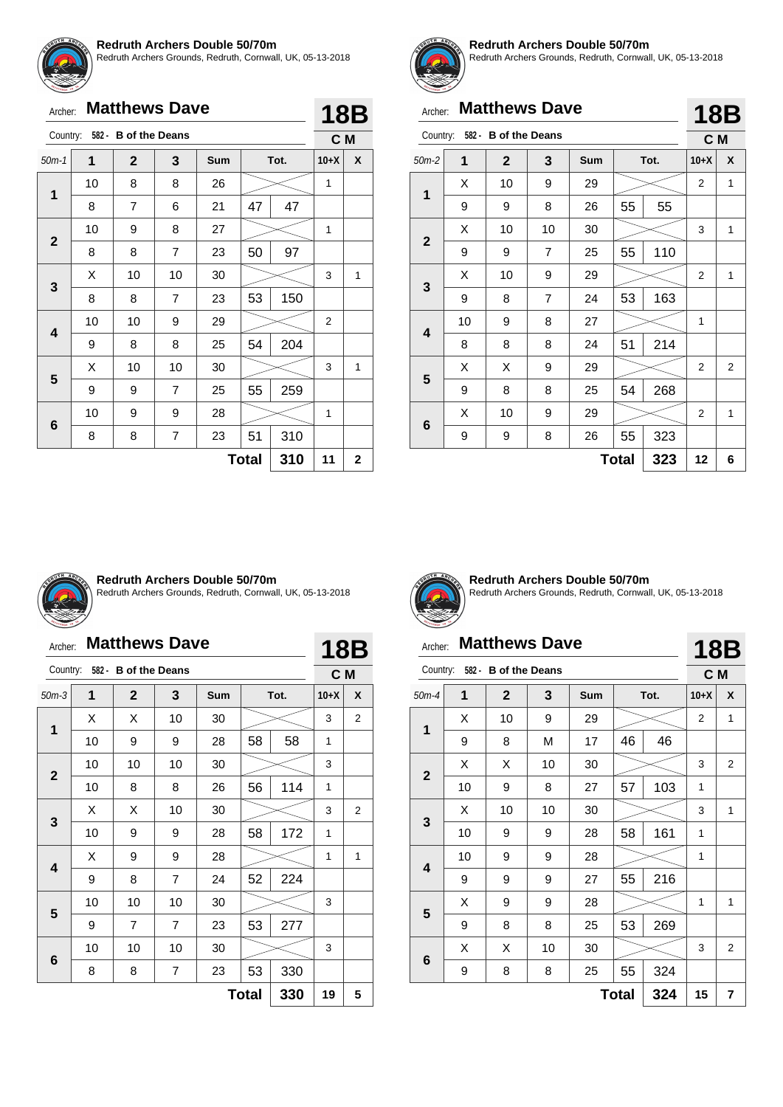![](_page_42_Picture_0.jpeg)

Redruth Archers Grounds, Redruth, Cornwall, UK, 05-13-2018

| Archer:                          |    | <b>Matthews Dave</b> |                |            |    |      |        | 18B |  |
|----------------------------------|----|----------------------|----------------|------------|----|------|--------|-----|--|
| 582 - B of the Deans<br>Country: |    |                      |                |            |    |      |        |     |  |
| $50m-1$                          | 1  | $\overline{2}$       | 3              | <b>Sum</b> |    | Tot. | $10+X$ | X   |  |
|                                  | 10 | 8                    | 8              | 26         |    |      | 1      |     |  |
| 1                                | 8  | $\overline{7}$       | 6              | 21         | 47 | 47   |        |     |  |
|                                  | 10 | 9                    | 8              | 27         |    |      | 1      |     |  |
| $\mathbf{2}$                     | 8  | 8                    | $\overline{7}$ | 23         | 50 | 97   |        |     |  |
| 3                                | X  | 10                   | 10             | 30         |    |      | 3      | 1   |  |
|                                  | 8  | 8                    | $\overline{7}$ | 23         | 53 | 150  |        |     |  |
| 4                                | 10 | 10                   | 9              | 29         |    |      | 2      |     |  |
|                                  | 9  | 8                    | 8              | 25         | 54 | 204  |        |     |  |
| 5                                | X  | 10                   | 10             | 30         |    |      | 3      | 1   |  |
|                                  | 9  | 9                    | $\overline{7}$ | 25         | 55 | 259  |        |     |  |
|                                  | 10 | 9                    | 9              | 28         |    |      | 1      |     |  |

![](_page_42_Picture_4.jpeg)

#### **Redruth Archers Double 50/70m**

Redruth Archers Grounds, Redruth, Cornwall, UK, 05-13-2018

|              | <b>Matthews Dave</b><br>Archer: |                               |                |            |              |     |                | 18B            |  |
|--------------|---------------------------------|-------------------------------|----------------|------------|--------------|-----|----------------|----------------|--|
|              |                                 | Country: 582 - B of the Deans |                |            |              |     | C M            |                |  |
| $50m-2$      | $\mathbf{1}$                    | $\mathbf{2}$                  | 3              | <b>Sum</b> | Tot.         |     | $10+X$         | X              |  |
|              | X                               | 10                            | 9              | 29         |              |     | $\overline{2}$ | 1              |  |
| 1            | 9                               | 9                             | 8              | 26         | 55           | 55  |                |                |  |
|              | X                               | 10                            | 10             | 30         |              |     | 3              | 1              |  |
| $\mathbf{2}$ | 9                               | 9                             | 7              | 25         | 55           | 110 |                |                |  |
|              | X                               | 10                            | 9              | 29         |              |     | 2              | 1              |  |
| 3            | 9                               | 8                             | $\overline{7}$ | 24         | 53           | 163 |                |                |  |
| 4            | 10                              | 9                             | 8              | 27         |              |     | 1              |                |  |
|              | 8                               | 8                             | 8              | 24         | 51           | 214 |                |                |  |
| 5            | Χ                               | Х                             | 9              | 29         |              |     | 2              | $\overline{2}$ |  |
|              | 9                               | 8                             | 8              | 25         | 54           | 268 |                |                |  |
|              | Х                               | 10                            | 9              | 29         |              |     | 2              | 1              |  |
| 6            | 9                               | 9                             | 8              | 26         | 55           | 323 |                |                |  |
|              |                                 |                               |                |            | <b>Total</b> | 323 | 12             | 6              |  |

![](_page_42_Picture_8.jpeg)

**6**

#### **Redruth Archers Double 50/70m**

 $8$  |  $8$  |  $7$  |  $23$  |  $51$  |  $310$ 

Redruth Archers Grounds, Redruth, Cornwall, UK, 05-13-2018

**Total 310 11 2**

# Archer: **Matthews Dave**

| Archer:      |    | <b>Matthews Dave</b> |                |            |              |      |                | <b>18B</b> |
|--------------|----|----------------------|----------------|------------|--------------|------|----------------|------------|
| Country:     |    | 582 - B of the Deans |                |            |              |      | C <sub>M</sub> |            |
| $50m-3$      | 1  | $\mathbf{2}$         | 3              | <b>Sum</b> |              | Tot. | $10+X$         | X          |
|              | X  | X                    | 10             | 30         |              |      | 3              | 2          |
| 1            | 10 | 9                    | 9              | 28         | 58           | 58   | 1              |            |
|              | 10 | 10                   | 10             | 30         |              |      | 3              |            |
| $\mathbf{2}$ | 10 | 8                    | 8              | 26         | 56           | 114  | 1              |            |
|              | X  | X                    | 10             | 30         |              |      | 3              | 2          |
| 3            | 10 | 9                    | 9              | 28         | 58           | 172  | 1              |            |
|              | X  | 9                    | 9              | 28         |              |      | 1              | 1          |
| 4            | 9  | 8                    | $\overline{7}$ | 24         | 52           | 224  |                |            |
| 5            | 10 | 10                   | 10             | 30         |              |      | 3              |            |
|              | 9  | $\overline{7}$       | 7              | 23         | 53           | 277  |                |            |
|              | 10 | 10                   | 10             | 30         |              |      | 3              |            |
| 6            | 8  | 8                    | 7              | 23         | 53           | 330  |                |            |
|              |    |                      |                |            | <b>Total</b> | 330  | 19             | 5          |

![](_page_42_Picture_13.jpeg)

**Redruth Archers Double 50/70m** Redruth Archers Grounds, Redruth, Cornwall, UK, 05-13-2018

# Archer: **Matthews Dave**

# **18B**

| Country:        |    | 582 - B of the Deans |    |            |       |      | C M            |              |
|-----------------|----|----------------------|----|------------|-------|------|----------------|--------------|
| $50m-4$         | 1  | $\mathbf{2}$         | 3  | <b>Sum</b> |       | Tot. | $10+X$         | X            |
| 1               | X  | 10                   | 9  | 29         |       |      | $\overline{2}$ | 1            |
|                 | 9  | 8                    | M  | 17         | 46    | 46   |                |              |
| $\mathbf{2}$    | X  | X                    | 10 | 30         |       |      | 3              | 2            |
|                 | 10 | 9                    | 8  | 27         | 57    | 103  | 1              |              |
| $\mathbf{3}$    | X  | 10                   | 10 | 30         |       |      | 3              | $\mathbf{1}$ |
|                 | 10 | 9                    | 9  | 28         | 58    | 161  | 1              |              |
|                 | 10 | 9                    | 9  | 28         |       |      | 1              |              |
| 4               | 9  | 9                    | 9  | 27         | 55    | 216  |                |              |
|                 | X  | 9                    | 9  | 28         |       |      | 1              | 1            |
| 5               | 9  | 8                    | 8  | 25         | 53    | 269  |                |              |
| $6\phantom{1}6$ | X  | Χ                    | 10 | 30         |       |      | 3              | 2            |
|                 | 9  | 8                    | 8  | 25         | 55    | 324  |                |              |
|                 |    |                      |    |            | Total | 324  | 15             | 7            |